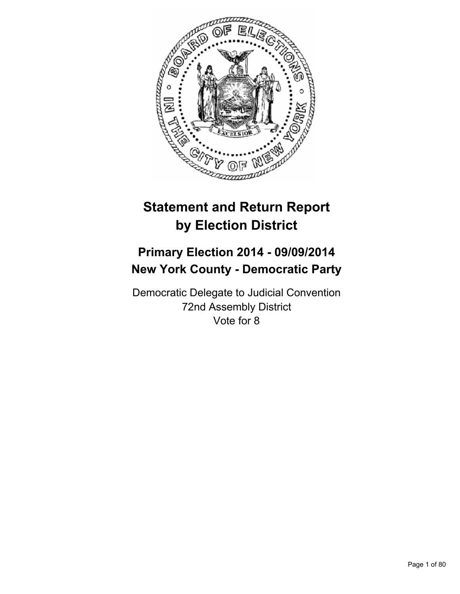

# **Statement and Return Report by Election District**

## **Primary Election 2014 - 09/09/2014 New York County - Democratic Party**

Democratic Delegate to Judicial Convention 72nd Assembly District Vote for 8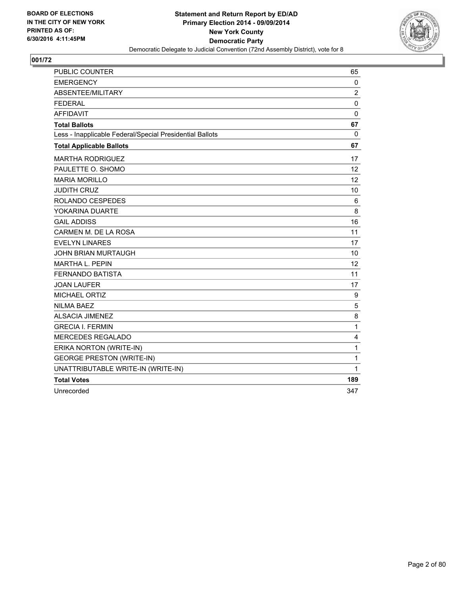

| <b>PUBLIC COUNTER</b>                                    | 65                |
|----------------------------------------------------------|-------------------|
| <b>EMERGENCY</b>                                         | 0                 |
| ABSENTEE/MILITARY                                        | $\overline{2}$    |
| <b>FEDERAL</b>                                           | 0                 |
| <b>AFFIDAVIT</b>                                         | $\mathbf{0}$      |
| <b>Total Ballots</b>                                     | 67                |
| Less - Inapplicable Federal/Special Presidential Ballots | $\mathbf 0$       |
| <b>Total Applicable Ballots</b>                          | 67                |
| <b>MARTHA RODRIGUEZ</b>                                  | 17                |
| PAULETTE O. SHOMO                                        | $12 \overline{ }$ |
| <b>MARIA MORILLO</b>                                     | 12                |
| <b>JUDITH CRUZ</b>                                       | 10                |
| ROLANDO CESPEDES                                         | 6                 |
| YOKARINA DUARTE                                          | 8                 |
| <b>GAIL ADDISS</b>                                       | 16                |
| CARMEN M. DE LA ROSA                                     | 11                |
| <b>EVELYN LINARES</b>                                    | 17                |
| <b>JOHN BRIAN MURTAUGH</b>                               | 10                |
| <b>MARTHA L. PEPIN</b>                                   | 12                |
| <b>FERNANDO BATISTA</b>                                  | 11                |
| <b>JOAN LAUFER</b>                                       | 17                |
| <b>MICHAEL ORTIZ</b>                                     | 9                 |
| <b>NILMA BAEZ</b>                                        | 5                 |
| <b>ALSACIA JIMENEZ</b>                                   | 8                 |
| <b>GRECIA I. FERMIN</b>                                  | $\mathbf 1$       |
| MERCEDES REGALADO                                        | 4                 |
| ERIKA NORTON (WRITE-IN)                                  | $\mathbf{1}$      |
| <b>GEORGE PRESTON (WRITE-IN)</b>                         | 1                 |
| UNATTRIBUTABLE WRITE-IN (WRITE-IN)                       | $\mathbf{1}$      |
| <b>Total Votes</b>                                       | 189               |
| Unrecorded                                               | 347               |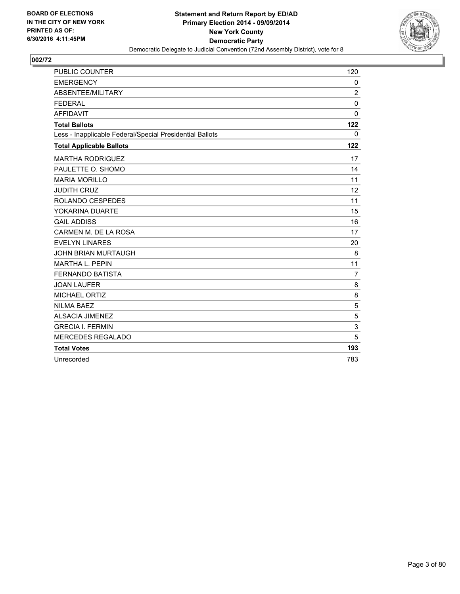

| <b>PUBLIC COUNTER</b>                                    | 120            |
|----------------------------------------------------------|----------------|
| <b>EMERGENCY</b>                                         | 0              |
| ABSENTEE/MILITARY                                        | $\overline{2}$ |
| <b>FEDERAL</b>                                           | $\mathbf 0$    |
| <b>AFFIDAVIT</b>                                         | $\mathbf 0$    |
| <b>Total Ballots</b>                                     | 122            |
| Less - Inapplicable Federal/Special Presidential Ballots | $\mathbf{0}$   |
| <b>Total Applicable Ballots</b>                          | 122            |
| <b>MARTHA RODRIGUEZ</b>                                  | 17             |
| PAULETTE O. SHOMO                                        | 14             |
| <b>MARIA MORILLO</b>                                     | 11             |
| <b>JUDITH CRUZ</b>                                       | 12             |
| ROLANDO CESPEDES                                         | 11             |
| YOKARINA DUARTE                                          | 15             |
| <b>GAIL ADDISS</b>                                       | 16             |
| CARMEN M. DE LA ROSA                                     | 17             |
| <b>EVELYN LINARES</b>                                    | 20             |
| <b>JOHN BRIAN MURTAUGH</b>                               | 8              |
| <b>MARTHA L. PEPIN</b>                                   | 11             |
| <b>FERNANDO BATISTA</b>                                  | $\overline{7}$ |
| <b>JOAN LAUFER</b>                                       | 8              |
| <b>MICHAEL ORTIZ</b>                                     | 8              |
| <b>NILMA BAEZ</b>                                        | 5              |
| <b>ALSACIA JIMENEZ</b>                                   | 5              |
| <b>GRECIA I. FERMIN</b>                                  | 3              |
| <b>MERCEDES REGALADO</b>                                 | 5              |
| <b>Total Votes</b>                                       | 193            |
| Unrecorded                                               | 783            |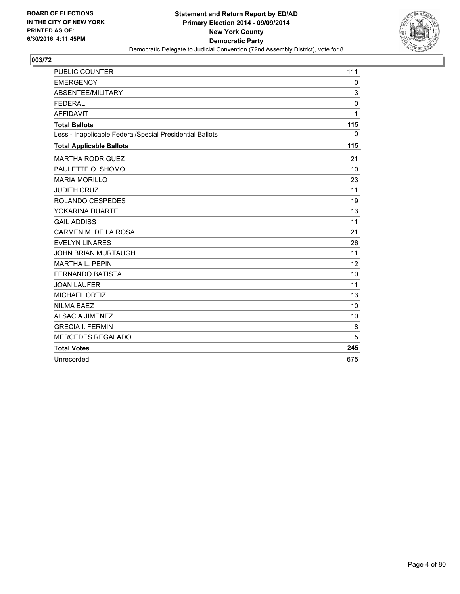

| <b>PUBLIC COUNTER</b>                                    | 111          |
|----------------------------------------------------------|--------------|
| <b>EMERGENCY</b>                                         | 0            |
| ABSENTEE/MILITARY                                        | 3            |
| <b>FEDERAL</b>                                           | 0            |
| <b>AFFIDAVIT</b>                                         | $\mathbf{1}$ |
| <b>Total Ballots</b>                                     | 115          |
| Less - Inapplicable Federal/Special Presidential Ballots | $\mathbf{0}$ |
| <b>Total Applicable Ballots</b>                          | 115          |
| <b>MARTHA RODRIGUEZ</b>                                  | 21           |
| PAULETTE O. SHOMO                                        | 10           |
| <b>MARIA MORILLO</b>                                     | 23           |
| <b>JUDITH CRUZ</b>                                       | 11           |
| ROLANDO CESPEDES                                         | 19           |
| YOKARINA DUARTE                                          | 13           |
| <b>GAIL ADDISS</b>                                       | 11           |
| CARMEN M. DE LA ROSA                                     | 21           |
| <b>EVELYN LINARES</b>                                    | 26           |
| <b>JOHN BRIAN MURTAUGH</b>                               | 11           |
| <b>MARTHA L. PEPIN</b>                                   | 12           |
| <b>FERNANDO BATISTA</b>                                  | 10           |
| <b>JOAN LAUFER</b>                                       | 11           |
| <b>MICHAEL ORTIZ</b>                                     | 13           |
| <b>NILMA BAEZ</b>                                        | 10           |
| <b>ALSACIA JIMENEZ</b>                                   | 10           |
| <b>GRECIA I. FERMIN</b>                                  | 8            |
| <b>MERCEDES REGALADO</b>                                 | 5            |
| <b>Total Votes</b>                                       | 245          |
| Unrecorded                                               | 675          |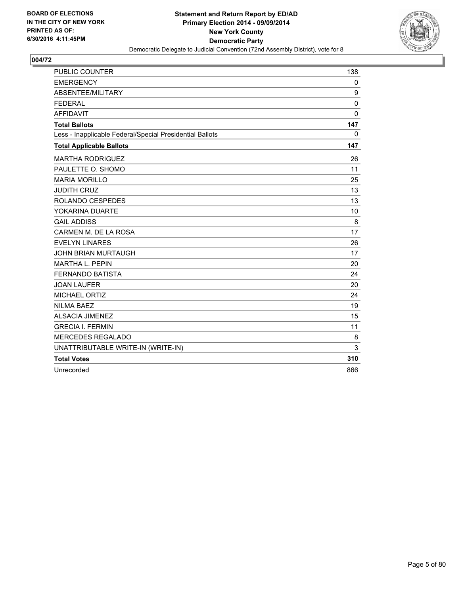

| <b>PUBLIC COUNTER</b>                                    | 138          |
|----------------------------------------------------------|--------------|
| <b>EMERGENCY</b>                                         | $\mathbf{0}$ |
| ABSENTEE/MILITARY                                        | 9            |
| <b>FEDERAL</b>                                           | $\mathbf{0}$ |
| <b>AFFIDAVIT</b>                                         | $\mathbf{0}$ |
| <b>Total Ballots</b>                                     | 147          |
| Less - Inapplicable Federal/Special Presidential Ballots | $\mathbf{0}$ |
| <b>Total Applicable Ballots</b>                          | 147          |
| <b>MARTHA RODRIGUEZ</b>                                  | 26           |
| PAULETTE O. SHOMO                                        | 11           |
| <b>MARIA MORILLO</b>                                     | 25           |
| <b>JUDITH CRUZ</b>                                       | 13           |
| <b>ROLANDO CESPEDES</b>                                  | 13           |
| YOKARINA DUARTE                                          | 10           |
| <b>GAIL ADDISS</b>                                       | 8            |
| CARMEN M. DE LA ROSA                                     | 17           |
| <b>EVELYN LINARES</b>                                    | 26           |
| <b>JOHN BRIAN MURTAUGH</b>                               | 17           |
| <b>MARTHA L. PEPIN</b>                                   | 20           |
| <b>FERNANDO BATISTA</b>                                  | 24           |
| <b>JOAN LAUFER</b>                                       | 20           |
| <b>MICHAEL ORTIZ</b>                                     | 24           |
| <b>NILMA BAEZ</b>                                        | 19           |
| <b>ALSACIA JIMENEZ</b>                                   | 15           |
| <b>GRECIA I. FERMIN</b>                                  | 11           |
| MERCEDES REGALADO                                        | 8            |
| UNATTRIBUTABLE WRITE-IN (WRITE-IN)                       | 3            |
| <b>Total Votes</b>                                       | 310          |
| Unrecorded                                               | 866          |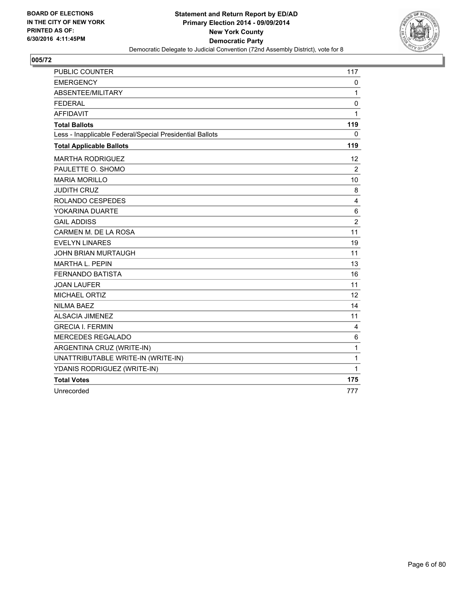

| <b>PUBLIC COUNTER</b>                                    | 117               |
|----------------------------------------------------------|-------------------|
| <b>EMERGENCY</b>                                         | 0                 |
| ABSENTEE/MILITARY                                        | $\mathbf{1}$      |
| <b>FEDERAL</b>                                           | 0                 |
| <b>AFFIDAVIT</b>                                         | 1                 |
| <b>Total Ballots</b>                                     | 119               |
| Less - Inapplicable Federal/Special Presidential Ballots | 0                 |
| <b>Total Applicable Ballots</b>                          | 119               |
| <b>MARTHA RODRIGUEZ</b>                                  | $12 \overline{ }$ |
| PAULETTE O. SHOMO                                        | $\overline{2}$    |
| <b>MARIA MORILLO</b>                                     | 10                |
| <b>JUDITH CRUZ</b>                                       | 8                 |
| <b>ROLANDO CESPEDES</b>                                  | 4                 |
| YOKARINA DUARTE                                          | 6                 |
| <b>GAIL ADDISS</b>                                       | $\overline{c}$    |
| CARMEN M. DE LA ROSA                                     | 11                |
| <b>EVELYN LINARES</b>                                    | 19                |
| <b>JOHN BRIAN MURTAUGH</b>                               | 11                |
| <b>MARTHA L. PEPIN</b>                                   | 13                |
| <b>FERNANDO BATISTA</b>                                  | 16                |
| <b>JOAN LAUFER</b>                                       | 11                |
| <b>MICHAEL ORTIZ</b>                                     | 12                |
| <b>NILMA BAEZ</b>                                        | 14                |
| <b>ALSACIA JIMENEZ</b>                                   | 11                |
| <b>GRECIA I. FERMIN</b>                                  | 4                 |
| MERCEDES REGALADO                                        | 6                 |
| ARGENTINA CRUZ (WRITE-IN)                                | $\mathbf 1$       |
| UNATTRIBUTABLE WRITE-IN (WRITE-IN)                       | $\mathbf{1}$      |
| YDANIS RODRIGUEZ (WRITE-IN)                              | 1                 |
| <b>Total Votes</b>                                       | 175               |
| Unrecorded                                               | 777               |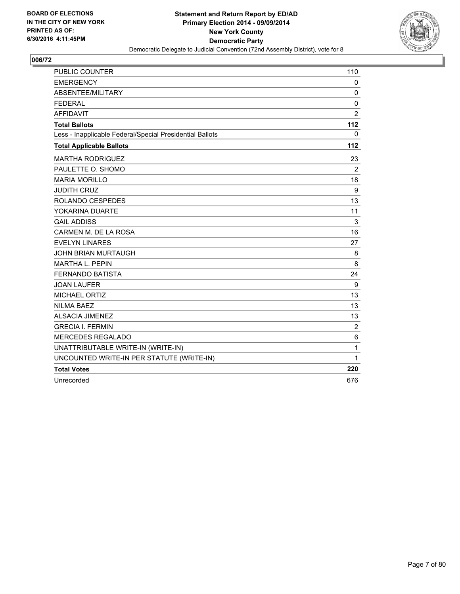

| <b>PUBLIC COUNTER</b>                                    | 110            |
|----------------------------------------------------------|----------------|
| <b>EMERGENCY</b>                                         | 0              |
| <b>ABSENTEE/MILITARY</b>                                 | 0              |
| <b>FEDERAL</b>                                           | $\mathbf 0$    |
| <b>AFFIDAVIT</b>                                         | $\overline{2}$ |
| <b>Total Ballots</b>                                     | 112            |
| Less - Inapplicable Federal/Special Presidential Ballots | 0              |
| <b>Total Applicable Ballots</b>                          | 112            |
| <b>MARTHA RODRIGUEZ</b>                                  | 23             |
| PAULETTE O. SHOMO                                        | $\overline{2}$ |
| <b>MARIA MORILLO</b>                                     | 18             |
| <b>JUDITH CRUZ</b>                                       | 9              |
| ROLANDO CESPEDES                                         | 13             |
| YOKARINA DUARTE                                          | 11             |
| <b>GAIL ADDISS</b>                                       | 3              |
| CARMEN M. DE LA ROSA                                     | 16             |
| <b>EVELYN LINARES</b>                                    | 27             |
| <b>JOHN BRIAN MURTAUGH</b>                               | 8              |
| <b>MARTHA L. PEPIN</b>                                   | 8              |
| <b>FERNANDO BATISTA</b>                                  | 24             |
| <b>JOAN LAUFER</b>                                       | 9              |
| MICHAEL ORTIZ                                            | 13             |
| <b>NILMA BAEZ</b>                                        | 13             |
| <b>ALSACIA JIMENEZ</b>                                   | 13             |
| <b>GRECIA I. FERMIN</b>                                  | $\overline{c}$ |
| <b>MERCEDES REGALADO</b>                                 | 6              |
| UNATTRIBUTABLE WRITE-IN (WRITE-IN)                       | $\mathbf{1}$   |
| UNCOUNTED WRITE-IN PER STATUTE (WRITE-IN)                | 1              |
| <b>Total Votes</b>                                       | 220            |
| Unrecorded                                               | 676            |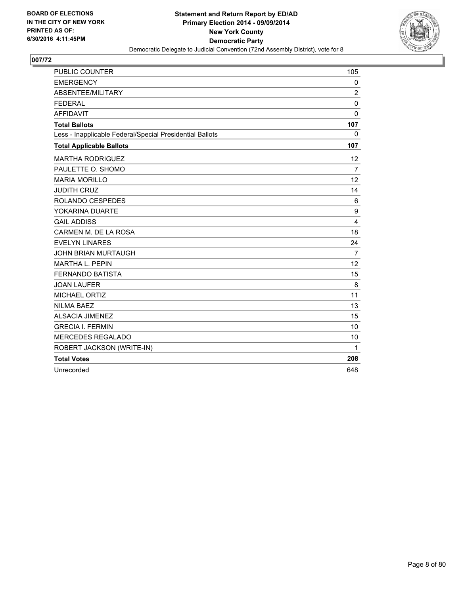

| <b>PUBLIC COUNTER</b>                                    | 105            |
|----------------------------------------------------------|----------------|
| <b>EMERGENCY</b>                                         | $\mathbf{0}$   |
| ABSENTEE/MILITARY                                        | 2              |
| <b>FEDERAL</b>                                           | 0              |
| <b>AFFIDAVIT</b>                                         | $\mathbf{0}$   |
| <b>Total Ballots</b>                                     | 107            |
| Less - Inapplicable Federal/Special Presidential Ballots | $\mathbf{0}$   |
| <b>Total Applicable Ballots</b>                          | 107            |
| <b>MARTHA RODRIGUEZ</b>                                  | 12             |
| PAULETTE O. SHOMO                                        | $\overline{7}$ |
| <b>MARIA MORILLO</b>                                     | 12             |
| <b>JUDITH CRUZ</b>                                       | 14             |
| <b>ROLANDO CESPEDES</b>                                  | 6              |
| YOKARINA DUARTE                                          | 9              |
| <b>GAIL ADDISS</b>                                       | 4              |
| CARMEN M. DE LA ROSA                                     | 18             |
| <b>EVELYN LINARES</b>                                    | 24             |
| <b>JOHN BRIAN MURTAUGH</b>                               | $\overline{7}$ |
| <b>MARTHA L. PEPIN</b>                                   | 12             |
| <b>FERNANDO BATISTA</b>                                  | 15             |
| <b>JOAN LAUFER</b>                                       | 8              |
| <b>MICHAEL ORTIZ</b>                                     | 11             |
| <b>NILMA BAEZ</b>                                        | 13             |
| <b>ALSACIA JIMENEZ</b>                                   | 15             |
| <b>GRECIA I. FERMIN</b>                                  | 10             |
| MERCEDES REGALADO                                        | 10             |
| ROBERT JACKSON (WRITE-IN)                                | 1              |
| <b>Total Votes</b>                                       | 208            |
| Unrecorded                                               | 648            |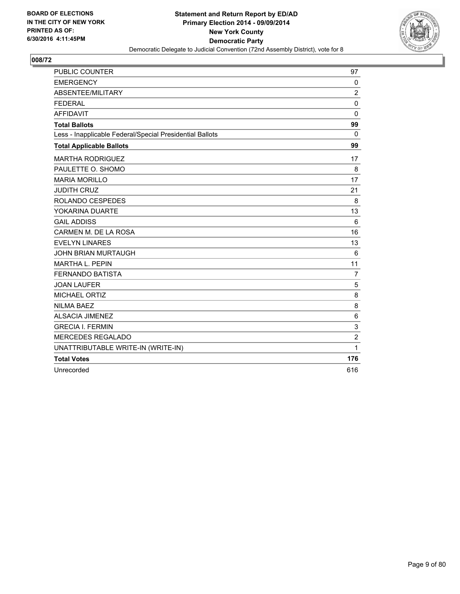

| <b>PUBLIC COUNTER</b>                                    | 97             |
|----------------------------------------------------------|----------------|
| <b>EMERGENCY</b>                                         | $\mathbf 0$    |
| ABSENTEE/MILITARY                                        | $\overline{c}$ |
| <b>FEDERAL</b>                                           | $\mathbf{0}$   |
| <b>AFFIDAVIT</b>                                         | 0              |
| <b>Total Ballots</b>                                     | 99             |
| Less - Inapplicable Federal/Special Presidential Ballots | $\mathbf{0}$   |
| <b>Total Applicable Ballots</b>                          | 99             |
| <b>MARTHA RODRIGUEZ</b>                                  | 17             |
| PAULETTE O. SHOMO                                        | 8              |
| <b>MARIA MORILLO</b>                                     | 17             |
| <b>JUDITH CRUZ</b>                                       | 21             |
| <b>ROLANDO CESPEDES</b>                                  | 8              |
| YOKARINA DUARTE                                          | 13             |
| <b>GAIL ADDISS</b>                                       | 6              |
| CARMEN M. DE LA ROSA                                     | 16             |
| <b>EVELYN LINARES</b>                                    | 13             |
| <b>JOHN BRIAN MURTAUGH</b>                               | 6              |
| MARTHA L. PEPIN                                          | 11             |
| <b>FERNANDO BATISTA</b>                                  | $\overline{7}$ |
| <b>JOAN LAUFER</b>                                       | 5              |
| <b>MICHAEL ORTIZ</b>                                     | 8              |
| <b>NILMA BAEZ</b>                                        | 8              |
| <b>ALSACIA JIMENEZ</b>                                   | 6              |
| <b>GRECIA I. FERMIN</b>                                  | 3              |
| MERCEDES REGALADO                                        | $\overline{2}$ |
| UNATTRIBUTABLE WRITE-IN (WRITE-IN)                       | 1              |
| <b>Total Votes</b>                                       | 176            |
| Unrecorded                                               | 616            |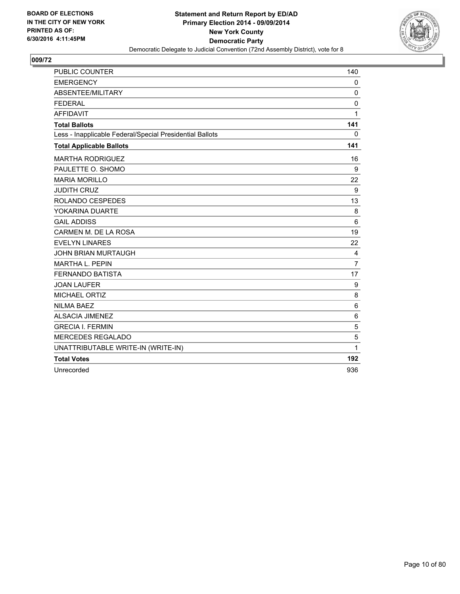

| <b>PUBLIC COUNTER</b>                                    | 140            |
|----------------------------------------------------------|----------------|
| <b>EMERGENCY</b>                                         | $\mathbf{0}$   |
| ABSENTEE/MILITARY                                        | 0              |
| <b>FEDERAL</b>                                           | 0              |
| <b>AFFIDAVIT</b>                                         | 1              |
| <b>Total Ballots</b>                                     | 141            |
| Less - Inapplicable Federal/Special Presidential Ballots | $\mathbf{0}$   |
| <b>Total Applicable Ballots</b>                          | 141            |
| <b>MARTHA RODRIGUEZ</b>                                  | 16             |
| PAULETTE O. SHOMO                                        | 9              |
| <b>MARIA MORILLO</b>                                     | 22             |
| <b>JUDITH CRUZ</b>                                       | 9              |
| ROLANDO CESPEDES                                         | 13             |
| YOKARINA DUARTE                                          | 8              |
| <b>GAIL ADDISS</b>                                       | 6              |
| CARMEN M. DE LA ROSA                                     | 19             |
| <b>EVELYN LINARES</b>                                    | 22             |
| <b>JOHN BRIAN MURTAUGH</b>                               | 4              |
| <b>MARTHA L. PEPIN</b>                                   | $\overline{7}$ |
| <b>FERNANDO BATISTA</b>                                  | 17             |
| <b>JOAN LAUFER</b>                                       | 9              |
| <b>MICHAEL ORTIZ</b>                                     | 8              |
| <b>NILMA BAEZ</b>                                        | 6              |
| <b>ALSACIA JIMENEZ</b>                                   | 6              |
| <b>GRECIA I. FERMIN</b>                                  | 5              |
| MERCEDES REGALADO                                        | 5              |
| UNATTRIBUTABLE WRITE-IN (WRITE-IN)                       | 1              |
| <b>Total Votes</b>                                       | 192            |
| Unrecorded                                               | 936            |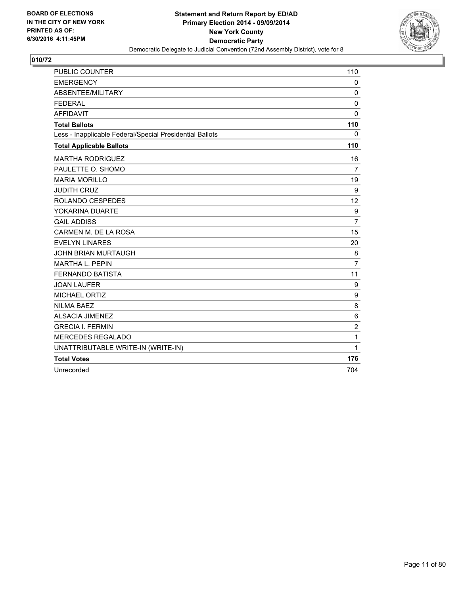

| <b>PUBLIC COUNTER</b>                                    | 110            |
|----------------------------------------------------------|----------------|
| <b>EMERGENCY</b>                                         | $\mathbf{0}$   |
| ABSENTEE/MILITARY                                        | 0              |
| <b>FEDERAL</b>                                           | 0              |
| <b>AFFIDAVIT</b>                                         | $\mathbf{0}$   |
| <b>Total Ballots</b>                                     | 110            |
| Less - Inapplicable Federal/Special Presidential Ballots | 0              |
| <b>Total Applicable Ballots</b>                          | 110            |
| <b>MARTHA RODRIGUEZ</b>                                  | 16             |
| PAULETTE O. SHOMO                                        | 7              |
| <b>MARIA MORILLO</b>                                     | 19             |
| <b>JUDITH CRUZ</b>                                       | 9              |
| ROLANDO CESPEDES                                         | 12             |
| YOKARINA DUARTE                                          | 9              |
| <b>GAIL ADDISS</b>                                       | $\overline{7}$ |
| CARMEN M. DE LA ROSA                                     | 15             |
| <b>EVELYN LINARES</b>                                    | 20             |
| <b>JOHN BRIAN MURTAUGH</b>                               | 8              |
| <b>MARTHA L. PEPIN</b>                                   | $\overline{7}$ |
| <b>FERNANDO BATISTA</b>                                  | 11             |
| <b>JOAN LAUFER</b>                                       | 9              |
| MICHAEL ORTIZ                                            | 9              |
| <b>NILMA BAEZ</b>                                        | 8              |
| <b>ALSACIA JIMENEZ</b>                                   | 6              |
| <b>GRECIA I. FERMIN</b>                                  | 2              |
| MERCEDES REGALADO                                        | 1              |
| UNATTRIBUTABLE WRITE-IN (WRITE-IN)                       | 1              |
| <b>Total Votes</b>                                       | 176            |
| Unrecorded                                               | 704            |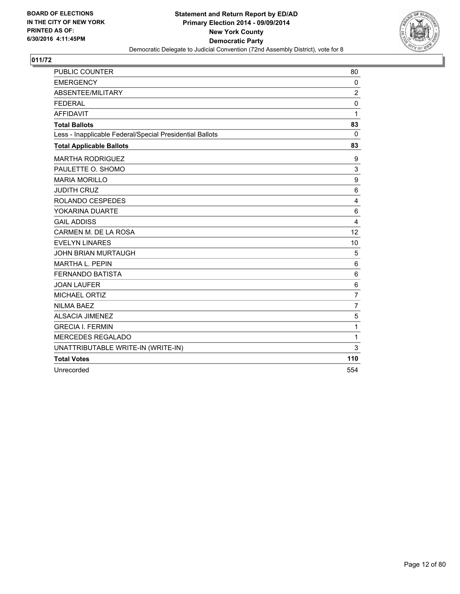

| <b>PUBLIC COUNTER</b>                                    | 80                      |
|----------------------------------------------------------|-------------------------|
| <b>EMERGENCY</b>                                         | 0                       |
| ABSENTEE/MILITARY                                        | 2                       |
| <b>FEDERAL</b>                                           | 0                       |
| <b>AFFIDAVIT</b>                                         | $\mathbf{1}$            |
| <b>Total Ballots</b>                                     | 83                      |
| Less - Inapplicable Federal/Special Presidential Ballots | $\Omega$                |
| <b>Total Applicable Ballots</b>                          | 83                      |
| <b>MARTHA RODRIGUEZ</b>                                  | 9                       |
| PAULETTE O. SHOMO                                        | 3                       |
| <b>MARIA MORILLO</b>                                     | 9                       |
| <b>JUDITH CRUZ</b>                                       | 6                       |
| ROLANDO CESPEDES                                         | $\overline{\mathbf{4}}$ |
| YOKARINA DUARTE                                          | 6                       |
| <b>GAIL ADDISS</b>                                       | $\overline{\mathbf{4}}$ |
| CARMEN M. DE LA ROSA                                     | 12                      |
| <b>EVELYN LINARES</b>                                    | 10                      |
| <b>JOHN BRIAN MURTAUGH</b>                               | 5                       |
| <b>MARTHA L. PEPIN</b>                                   | 6                       |
| <b>FERNANDO BATISTA</b>                                  | $\,6$                   |
| <b>JOAN LAUFER</b>                                       | 6                       |
| MICHAEL ORTIZ                                            | $\overline{7}$          |
| <b>NILMA BAEZ</b>                                        | $\overline{7}$          |
| <b>ALSACIA JIMENEZ</b>                                   | 5                       |
| <b>GRECIA I. FERMIN</b>                                  | $\mathbf{1}$            |
| <b>MERCEDES REGALADO</b>                                 | $\mathbf{1}$            |
| UNATTRIBUTABLE WRITE-IN (WRITE-IN)                       | 3                       |
| <b>Total Votes</b>                                       | 110                     |
| Unrecorded                                               | 554                     |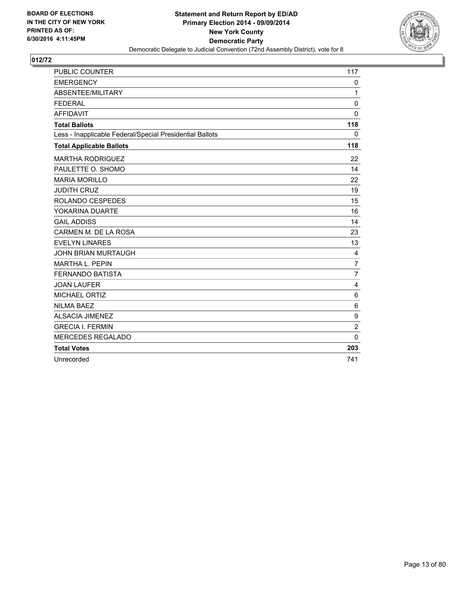

| <b>PUBLIC COUNTER</b>                                    | 117            |
|----------------------------------------------------------|----------------|
| <b>EMERGENCY</b>                                         | 0              |
| ABSENTEE/MILITARY                                        | 1              |
| <b>FEDERAL</b>                                           | $\mathbf 0$    |
| <b>AFFIDAVIT</b>                                         | $\mathbf{0}$   |
| <b>Total Ballots</b>                                     | 118            |
| Less - Inapplicable Federal/Special Presidential Ballots | 0              |
| <b>Total Applicable Ballots</b>                          | 118            |
| <b>MARTHA RODRIGUEZ</b>                                  | 22             |
| PAULETTE O. SHOMO                                        | 14             |
| <b>MARIA MORILLO</b>                                     | 22             |
| <b>JUDITH CRUZ</b>                                       | 19             |
| ROLANDO CESPEDES                                         | 15             |
| YOKARINA DUARTE                                          | 16             |
| <b>GAIL ADDISS</b>                                       | 14             |
| CARMEN M. DE LA ROSA                                     | 23             |
| <b>EVELYN LINARES</b>                                    | 13             |
| <b>JOHN BRIAN MURTAUGH</b>                               | 4              |
| <b>MARTHA L. PEPIN</b>                                   | $\overline{7}$ |
| <b>FERNANDO BATISTA</b>                                  | $\overline{7}$ |
| <b>JOAN LAUFER</b>                                       | 4              |
| MICHAEL ORTIZ                                            | 6              |
| <b>NILMA BAEZ</b>                                        | 6              |
| <b>ALSACIA JIMENEZ</b>                                   | 9              |
| <b>GRECIA I. FERMIN</b>                                  | $\overline{2}$ |
| <b>MERCEDES REGALADO</b>                                 | $\mathbf{0}$   |
| <b>Total Votes</b>                                       | 203            |
| Unrecorded                                               | 741            |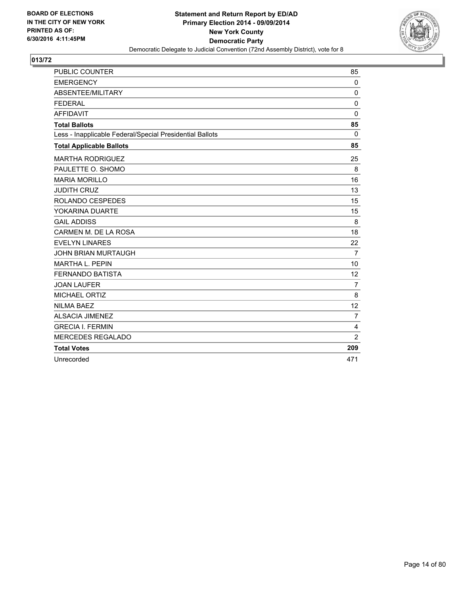

| <b>PUBLIC COUNTER</b>                                    | 85             |
|----------------------------------------------------------|----------------|
| <b>EMERGENCY</b>                                         | $\mathbf 0$    |
| ABSENTEE/MILITARY                                        | $\Omega$       |
| <b>FEDERAL</b>                                           | $\mathbf 0$    |
| <b>AFFIDAVIT</b>                                         | $\mathbf 0$    |
| <b>Total Ballots</b>                                     | 85             |
| Less - Inapplicable Federal/Special Presidential Ballots | $\mathbf{0}$   |
| <b>Total Applicable Ballots</b>                          | 85             |
| <b>MARTHA RODRIGUEZ</b>                                  | 25             |
| PAULETTE O. SHOMO                                        | 8              |
| <b>MARIA MORILLO</b>                                     | 16             |
| <b>JUDITH CRUZ</b>                                       | 13             |
| ROLANDO CESPEDES                                         | 15             |
| YOKARINA DUARTE                                          | 15             |
| <b>GAIL ADDISS</b>                                       | 8              |
| CARMEN M. DE LA ROSA                                     | 18             |
| <b>EVELYN LINARES</b>                                    | 22             |
| <b>JOHN BRIAN MURTAUGH</b>                               | $\overline{7}$ |
| <b>MARTHA L. PEPIN</b>                                   | 10             |
| <b>FERNANDO BATISTA</b>                                  | 12             |
| <b>JOAN LAUFER</b>                                       | $\overline{7}$ |
| <b>MICHAEL ORTIZ</b>                                     | 8              |
| <b>NILMA BAEZ</b>                                        | 12             |
| <b>ALSACIA JIMENEZ</b>                                   | $\overline{7}$ |
| <b>GRECIA I. FERMIN</b>                                  | $\overline{4}$ |
| <b>MERCEDES REGALADO</b>                                 | $\overline{2}$ |
| <b>Total Votes</b>                                       | 209            |
| Unrecorded                                               | 471            |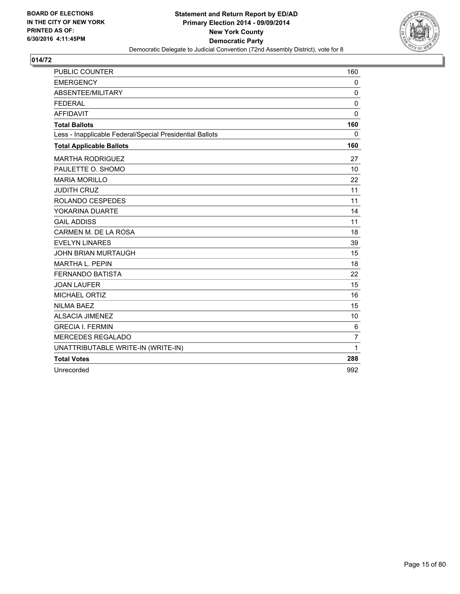

| <b>PUBLIC COUNTER</b>                                    | 160            |
|----------------------------------------------------------|----------------|
| <b>EMERGENCY</b>                                         | $\mathbf{0}$   |
| ABSENTEE/MILITARY                                        | 0              |
| <b>FEDERAL</b>                                           | 0              |
| <b>AFFIDAVIT</b>                                         | $\mathbf{0}$   |
| <b>Total Ballots</b>                                     | 160            |
| Less - Inapplicable Federal/Special Presidential Ballots | $\mathbf{0}$   |
| <b>Total Applicable Ballots</b>                          | 160            |
| <b>MARTHA RODRIGUEZ</b>                                  | 27             |
| PAULETTE O. SHOMO                                        | 10             |
| <b>MARIA MORILLO</b>                                     | 22             |
| <b>JUDITH CRUZ</b>                                       | 11             |
| <b>ROLANDO CESPEDES</b>                                  | 11             |
| YOKARINA DUARTE                                          | 14             |
| <b>GAIL ADDISS</b>                                       | 11             |
| CARMEN M. DE LA ROSA                                     | 18             |
| <b>EVELYN LINARES</b>                                    | 39             |
| <b>JOHN BRIAN MURTAUGH</b>                               | 15             |
| <b>MARTHA L. PEPIN</b>                                   | 18             |
| <b>FERNANDO BATISTA</b>                                  | 22             |
| <b>JOAN LAUFER</b>                                       | 15             |
| <b>MICHAEL ORTIZ</b>                                     | 16             |
| <b>NILMA BAEZ</b>                                        | 15             |
| <b>ALSACIA JIMENEZ</b>                                   | 10             |
| <b>GRECIA I. FERMIN</b>                                  | 6              |
| MERCEDES REGALADO                                        | $\overline{7}$ |
| UNATTRIBUTABLE WRITE-IN (WRITE-IN)                       | 1              |
| <b>Total Votes</b>                                       | 288            |
| Unrecorded                                               | 992            |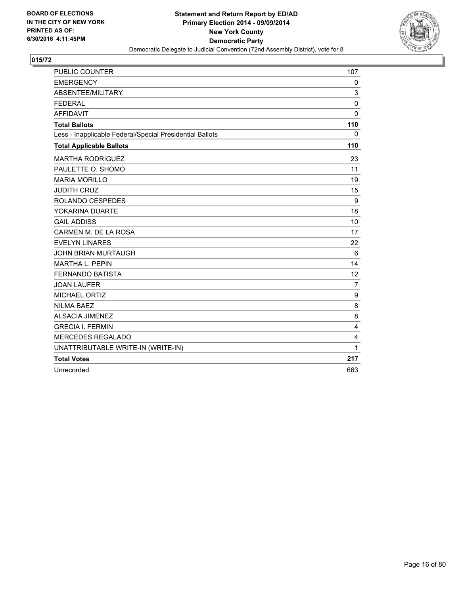

| <b>PUBLIC COUNTER</b>                                    | 107            |
|----------------------------------------------------------|----------------|
| <b>EMERGENCY</b>                                         | $\mathbf{0}$   |
| ABSENTEE/MILITARY                                        | 3              |
| <b>FEDERAL</b>                                           | 0              |
| <b>AFFIDAVIT</b>                                         | $\mathbf{0}$   |
| <b>Total Ballots</b>                                     | 110            |
| Less - Inapplicable Federal/Special Presidential Ballots | 0              |
| <b>Total Applicable Ballots</b>                          | 110            |
| <b>MARTHA RODRIGUEZ</b>                                  | 23             |
| PAULETTE O. SHOMO                                        | 11             |
| <b>MARIA MORILLO</b>                                     | 19             |
| <b>JUDITH CRUZ</b>                                       | 15             |
| ROLANDO CESPEDES                                         | 9              |
| YOKARINA DUARTE                                          | 18             |
| <b>GAIL ADDISS</b>                                       | 10             |
| CARMEN M. DE LA ROSA                                     | 17             |
| <b>EVELYN LINARES</b>                                    | 22             |
| <b>JOHN BRIAN MURTAUGH</b>                               | 6              |
| MARTHA L. PEPIN                                          | 14             |
| <b>FERNANDO BATISTA</b>                                  | 12             |
| <b>JOAN LAUFER</b>                                       | $\overline{7}$ |
| MICHAEL ORTIZ                                            | 9              |
| <b>NILMA BAEZ</b>                                        | 8              |
| <b>ALSACIA JIMENEZ</b>                                   | 8              |
| <b>GRECIA I. FERMIN</b>                                  | $\overline{4}$ |
| MERCEDES REGALADO                                        | 4              |
| UNATTRIBUTABLE WRITE-IN (WRITE-IN)                       | 1              |
| <b>Total Votes</b>                                       | 217            |
| Unrecorded                                               | 663            |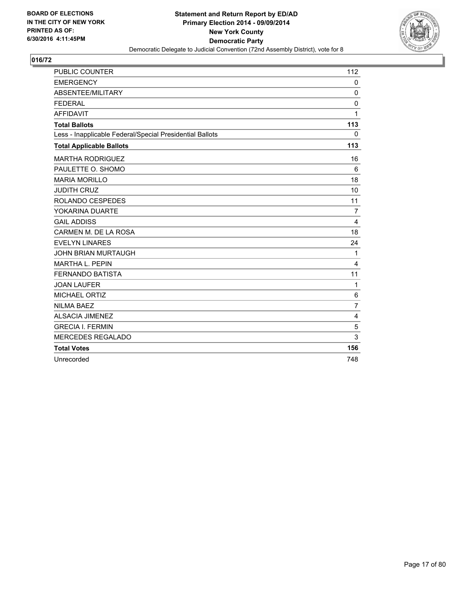

| PUBLIC COUNTER                                           | 112            |
|----------------------------------------------------------|----------------|
| <b>EMERGENCY</b>                                         | 0              |
| ABSENTEE/MILITARY                                        | $\mathbf 0$    |
| <b>FEDERAL</b>                                           | $\mathbf 0$    |
| <b>AFFIDAVIT</b>                                         | 1              |
| <b>Total Ballots</b>                                     | 113            |
| Less - Inapplicable Federal/Special Presidential Ballots | $\mathbf{0}$   |
| <b>Total Applicable Ballots</b>                          | 113            |
| <b>MARTHA RODRIGUEZ</b>                                  | 16             |
| PAULETTE O. SHOMO                                        | 6              |
| <b>MARIA MORILLO</b>                                     | 18             |
| <b>JUDITH CRUZ</b>                                       | 10             |
| <b>ROLANDO CESPEDES</b>                                  | 11             |
| YOKARINA DUARTE                                          | 7              |
| <b>GAIL ADDISS</b>                                       | 4              |
| CARMEN M. DE LA ROSA                                     | 18             |
| <b>EVELYN LINARES</b>                                    | 24             |
| <b>JOHN BRIAN MURTAUGH</b>                               | 1              |
| <b>MARTHA L. PEPIN</b>                                   | 4              |
| <b>FERNANDO BATISTA</b>                                  | 11             |
| <b>JOAN LAUFER</b>                                       | 1              |
| <b>MICHAEL ORTIZ</b>                                     | 6              |
| <b>NILMA BAEZ</b>                                        | $\overline{7}$ |
| <b>ALSACIA JIMENEZ</b>                                   | 4              |
| <b>GRECIA I. FERMIN</b>                                  | 5              |
| <b>MERCEDES REGALADO</b>                                 | 3              |
| <b>Total Votes</b>                                       | 156            |
| Unrecorded                                               | 748            |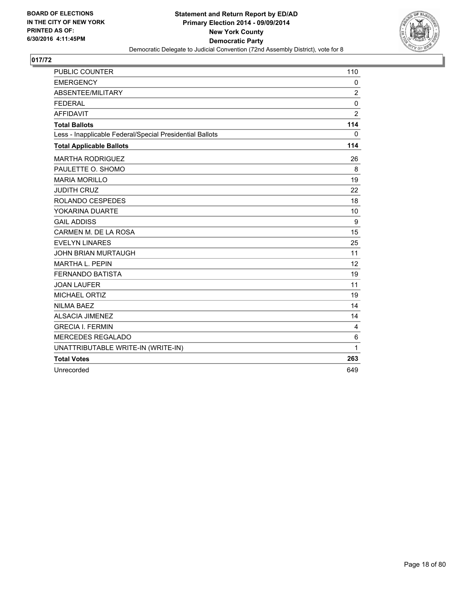

| <b>PUBLIC COUNTER</b>                                    | 110            |
|----------------------------------------------------------|----------------|
| <b>EMERGENCY</b>                                         | $\mathbf{0}$   |
| ABSENTEE/MILITARY                                        | 2              |
| <b>FEDERAL</b>                                           | 0              |
| <b>AFFIDAVIT</b>                                         | $\overline{2}$ |
| <b>Total Ballots</b>                                     | 114            |
| Less - Inapplicable Federal/Special Presidential Ballots | $\mathbf{0}$   |
| <b>Total Applicable Ballots</b>                          | 114            |
| <b>MARTHA RODRIGUEZ</b>                                  | 26             |
| PAULETTE O. SHOMO                                        | 8              |
| <b>MARIA MORILLO</b>                                     | 19             |
| <b>JUDITH CRUZ</b>                                       | 22             |
| <b>ROLANDO CESPEDES</b>                                  | 18             |
| YOKARINA DUARTE                                          | 10             |
| <b>GAIL ADDISS</b>                                       | 9              |
| CARMEN M. DE LA ROSA                                     | 15             |
| <b>EVELYN LINARES</b>                                    | 25             |
| <b>JOHN BRIAN MURTAUGH</b>                               | 11             |
| <b>MARTHA L. PEPIN</b>                                   | 12             |
| <b>FERNANDO BATISTA</b>                                  | 19             |
| <b>JOAN LAUFER</b>                                       | 11             |
| <b>MICHAEL ORTIZ</b>                                     | 19             |
| <b>NILMA BAEZ</b>                                        | 14             |
| <b>ALSACIA JIMENEZ</b>                                   | 14             |
| <b>GRECIA I. FERMIN</b>                                  | 4              |
| MERCEDES REGALADO                                        | 6              |
| UNATTRIBUTABLE WRITE-IN (WRITE-IN)                       | 1              |
| <b>Total Votes</b>                                       | 263            |
| Unrecorded                                               | 649            |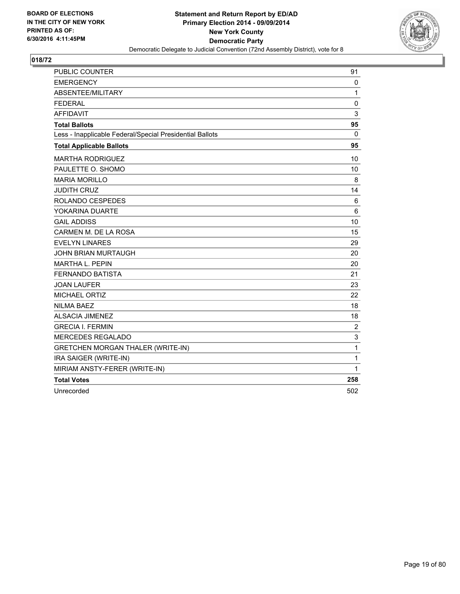

| <b>PUBLIC COUNTER</b>                                    | 91             |
|----------------------------------------------------------|----------------|
| <b>EMERGENCY</b>                                         | 0              |
| ABSENTEE/MILITARY                                        | 1              |
| <b>FEDERAL</b>                                           | 0              |
| <b>AFFIDAVIT</b>                                         | 3              |
| <b>Total Ballots</b>                                     | 95             |
| Less - Inapplicable Federal/Special Presidential Ballots | 0              |
| <b>Total Applicable Ballots</b>                          | 95             |
| <b>MARTHA RODRIGUEZ</b>                                  | 10             |
| PAULETTE O. SHOMO                                        | 10             |
| <b>MARIA MORILLO</b>                                     | 8              |
| <b>JUDITH CRUZ</b>                                       | 14             |
| <b>ROLANDO CESPEDES</b>                                  | 6              |
| YOKARINA DUARTE                                          | 6              |
| <b>GAIL ADDISS</b>                                       | 10             |
| CARMEN M. DE LA ROSA                                     | 15             |
| <b>EVELYN LINARES</b>                                    | 29             |
| <b>JOHN BRIAN MURTAUGH</b>                               | 20             |
| <b>MARTHA L. PEPIN</b>                                   | 20             |
| <b>FERNANDO BATISTA</b>                                  | 21             |
| <b>JOAN LAUFER</b>                                       | 23             |
| <b>MICHAEL ORTIZ</b>                                     | 22             |
| <b>NILMA BAEZ</b>                                        | 18             |
| <b>ALSACIA JIMENEZ</b>                                   | 18             |
| <b>GRECIA I. FERMIN</b>                                  | $\overline{c}$ |
| <b>MERCEDES REGALADO</b>                                 | 3              |
| <b>GRETCHEN MORGAN THALER (WRITE-IN)</b>                 | $\mathbf{1}$   |
| IRA SAIGER (WRITE-IN)                                    | $\mathbf{1}$   |
| MIRIAM ANSTY-FERER (WRITE-IN)                            | 1              |
| <b>Total Votes</b>                                       | 258            |
| Unrecorded                                               | 502            |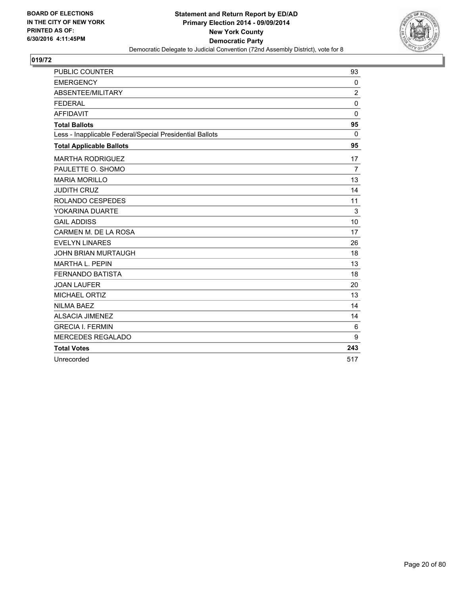

| <b>PUBLIC COUNTER</b>                                    | 93             |
|----------------------------------------------------------|----------------|
| <b>EMERGENCY</b>                                         | 0              |
| ABSENTEE/MILITARY                                        | $\overline{2}$ |
| <b>FEDERAL</b>                                           | $\mathbf 0$    |
| <b>AFFIDAVIT</b>                                         | $\Omega$       |
| <b>Total Ballots</b>                                     | 95             |
| Less - Inapplicable Federal/Special Presidential Ballots | $\mathbf{0}$   |
| <b>Total Applicable Ballots</b>                          | 95             |
| <b>MARTHA RODRIGUEZ</b>                                  | 17             |
| PAULETTE O. SHOMO                                        | $\overline{7}$ |
| <b>MARIA MORILLO</b>                                     | 13             |
| <b>JUDITH CRUZ</b>                                       | 14             |
| ROLANDO CESPEDES                                         | 11             |
| YOKARINA DUARTE                                          | 3              |
| <b>GAIL ADDISS</b>                                       | 10             |
| CARMEN M. DE LA ROSA                                     | 17             |
| <b>EVELYN LINARES</b>                                    | 26             |
| <b>JOHN BRIAN MURTAUGH</b>                               | 18             |
| <b>MARTHA L. PEPIN</b>                                   | 13             |
| <b>FERNANDO BATISTA</b>                                  | 18             |
| <b>JOAN LAUFER</b>                                       | 20             |
| <b>MICHAEL ORTIZ</b>                                     | 13             |
| <b>NILMA BAEZ</b>                                        | 14             |
| <b>ALSACIA JIMENEZ</b>                                   | 14             |
| <b>GRECIA I. FERMIN</b>                                  | 6              |
| <b>MERCEDES REGALADO</b>                                 | 9              |
| <b>Total Votes</b>                                       | 243            |
| Unrecorded                                               | 517            |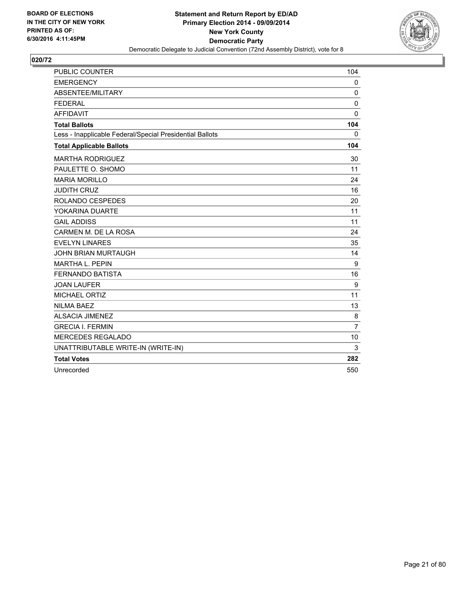

| <b>PUBLIC COUNTER</b>                                    | 104            |
|----------------------------------------------------------|----------------|
| <b>EMERGENCY</b>                                         | 0              |
| ABSENTEE/MILITARY                                        | 0              |
| <b>FEDERAL</b>                                           | 0              |
| <b>AFFIDAVIT</b>                                         | $\mathbf{0}$   |
| <b>Total Ballots</b>                                     | 104            |
| Less - Inapplicable Federal/Special Presidential Ballots | 0              |
| <b>Total Applicable Ballots</b>                          | 104            |
| <b>MARTHA RODRIGUEZ</b>                                  | 30             |
| PAULETTE O. SHOMO                                        | 11             |
| <b>MARIA MORILLO</b>                                     | 24             |
| <b>JUDITH CRUZ</b>                                       | 16             |
| ROLANDO CESPEDES                                         | 20             |
| YOKARINA DUARTE                                          | 11             |
| <b>GAIL ADDISS</b>                                       | 11             |
| CARMEN M. DE LA ROSA                                     | 24             |
| <b>EVELYN LINARES</b>                                    | 35             |
| <b>JOHN BRIAN MURTAUGH</b>                               | 14             |
| <b>MARTHA L. PEPIN</b>                                   | 9              |
| <b>FERNANDO BATISTA</b>                                  | 16             |
| <b>JOAN LAUFER</b>                                       | 9              |
| MICHAEL ORTIZ                                            | 11             |
| <b>NILMA BAEZ</b>                                        | 13             |
| <b>ALSACIA JIMENEZ</b>                                   | 8              |
| <b>GRECIA I. FERMIN</b>                                  | $\overline{7}$ |
| <b>MERCEDES REGALADO</b>                                 | 10             |
| UNATTRIBUTABLE WRITE-IN (WRITE-IN)                       | 3              |
| <b>Total Votes</b>                                       | 282            |
| Unrecorded                                               | 550            |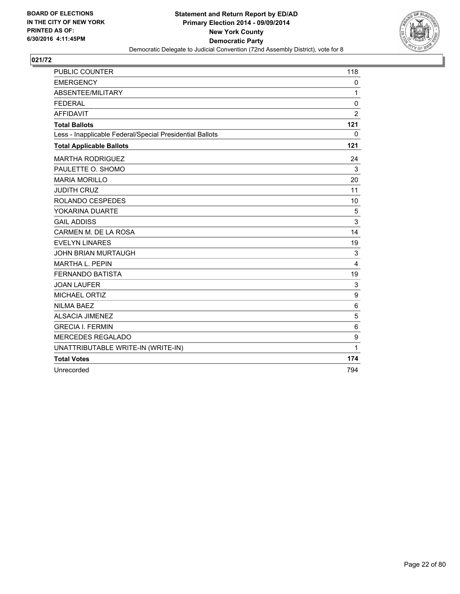

| <b>PUBLIC COUNTER</b>                                    | 118            |
|----------------------------------------------------------|----------------|
| <b>EMERGENCY</b>                                         | 0              |
| ABSENTEE/MILITARY                                        | 1              |
| <b>FEDERAL</b>                                           | 0              |
| <b>AFFIDAVIT</b>                                         | $\overline{2}$ |
| <b>Total Ballots</b>                                     | 121            |
| Less - Inapplicable Federal/Special Presidential Ballots | $\mathbf{0}$   |
| <b>Total Applicable Ballots</b>                          | 121            |
| <b>MARTHA RODRIGUEZ</b>                                  | 24             |
| PAULETTE O. SHOMO                                        | 3              |
| <b>MARIA MORILLO</b>                                     | 20             |
| <b>JUDITH CRUZ</b>                                       | 11             |
| <b>ROLANDO CESPEDES</b>                                  | 10             |
| YOKARINA DUARTE                                          | 5              |
| <b>GAIL ADDISS</b>                                       | 3              |
| CARMEN M. DE LA ROSA                                     | 14             |
| <b>EVELYN LINARES</b>                                    | 19             |
| <b>JOHN BRIAN MURTAUGH</b>                               | 3              |
| <b>MARTHA L. PEPIN</b>                                   | 4              |
| <b>FERNANDO BATISTA</b>                                  | 19             |
| <b>JOAN LAUFER</b>                                       | 3              |
| <b>MICHAEL ORTIZ</b>                                     | 9              |
| <b>NILMA BAEZ</b>                                        | 6              |
| <b>ALSACIA JIMENEZ</b>                                   | 5              |
| <b>GRECIA I. FERMIN</b>                                  | 6              |
| <b>MERCEDES REGALADO</b>                                 | 9              |
| UNATTRIBUTABLE WRITE-IN (WRITE-IN)                       | 1              |
| <b>Total Votes</b>                                       | 174            |
| Unrecorded                                               | 794            |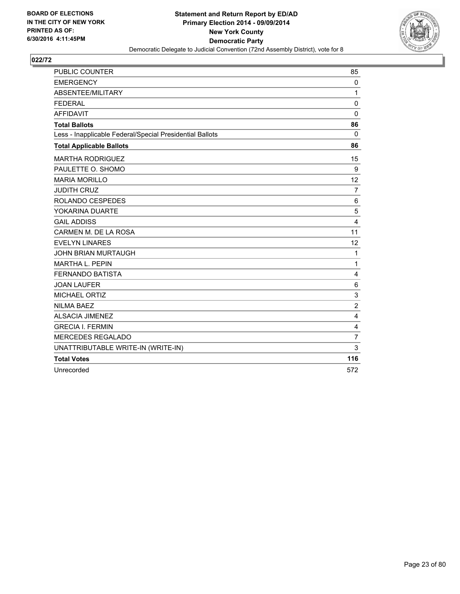

| PUBLIC COUNTER                                           | 85                      |
|----------------------------------------------------------|-------------------------|
| <b>EMERGENCY</b>                                         | 0                       |
| ABSENTEE/MILITARY                                        | $\mathbf{1}$            |
| <b>FEDERAL</b>                                           | $\mathbf 0$             |
| <b>AFFIDAVIT</b>                                         | 0                       |
| <b>Total Ballots</b>                                     | 86                      |
| Less - Inapplicable Federal/Special Presidential Ballots | 0                       |
| <b>Total Applicable Ballots</b>                          | 86                      |
| <b>MARTHA RODRIGUEZ</b>                                  | 15                      |
| PAULETTE O. SHOMO                                        | 9                       |
| <b>MARIA MORILLO</b>                                     | 12                      |
| <b>JUDITH CRUZ</b>                                       | $\overline{7}$          |
| ROLANDO CESPEDES                                         | 6                       |
| YOKARINA DUARTE                                          | 5                       |
| <b>GAIL ADDISS</b>                                       | $\overline{\mathbf{4}}$ |
| CARMEN M. DE LA ROSA                                     | 11                      |
| <b>EVELYN LINARES</b>                                    | 12                      |
| <b>JOHN BRIAN MURTAUGH</b>                               | 1                       |
| MARTHA L. PEPIN                                          | $\mathbf{1}$            |
| <b>FERNANDO BATISTA</b>                                  | 4                       |
| <b>JOAN LAUFER</b>                                       | 6                       |
| MICHAEL ORTIZ                                            | 3                       |
| <b>NILMA BAEZ</b>                                        | $\overline{2}$          |
| <b>ALSACIA JIMENEZ</b>                                   | 4                       |
| <b>GRECIA I. FERMIN</b>                                  | 4                       |
| <b>MERCEDES REGALADO</b>                                 | $\overline{7}$          |
| UNATTRIBUTABLE WRITE-IN (WRITE-IN)                       | 3                       |
| <b>Total Votes</b>                                       | 116                     |
| Unrecorded                                               | 572                     |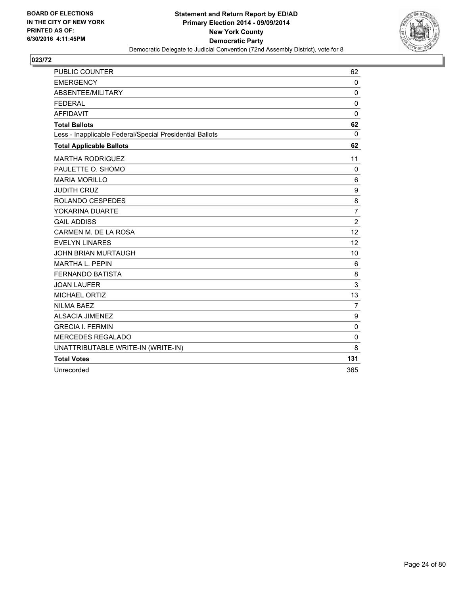

| <b>PUBLIC COUNTER</b>                                    | 62             |
|----------------------------------------------------------|----------------|
| <b>EMERGENCY</b>                                         | 0              |
| ABSENTEE/MILITARY                                        | 0              |
| <b>FEDERAL</b>                                           | 0              |
| <b>AFFIDAVIT</b>                                         | $\mathbf 0$    |
| <b>Total Ballots</b>                                     | 62             |
| Less - Inapplicable Federal/Special Presidential Ballots | $\Omega$       |
| <b>Total Applicable Ballots</b>                          | 62             |
| <b>MARTHA RODRIGUEZ</b>                                  | 11             |
| PAULETTE O. SHOMO                                        | 0              |
| <b>MARIA MORILLO</b>                                     | $\,6$          |
| <b>JUDITH CRUZ</b>                                       | 9              |
| ROLANDO CESPEDES                                         | 8              |
| YOKARINA DUARTE                                          | 7              |
| <b>GAIL ADDISS</b>                                       | $\overline{2}$ |
| CARMEN M. DE LA ROSA                                     | 12             |
| <b>EVELYN LINARES</b>                                    | 12             |
| <b>JOHN BRIAN MURTAUGH</b>                               | 10             |
| MARTHA L. PEPIN                                          | 6              |
| <b>FERNANDO BATISTA</b>                                  | 8              |
| <b>JOAN LAUFER</b>                                       | 3              |
| MICHAEL ORTIZ                                            | 13             |
| <b>NILMA BAEZ</b>                                        | 7              |
| <b>ALSACIA JIMENEZ</b>                                   | 9              |
| <b>GRECIA I. FERMIN</b>                                  | 0              |
| <b>MERCEDES REGALADO</b>                                 | $\Omega$       |
| UNATTRIBUTABLE WRITE-IN (WRITE-IN)                       | 8              |
| <b>Total Votes</b>                                       | 131            |
| Unrecorded                                               | 365            |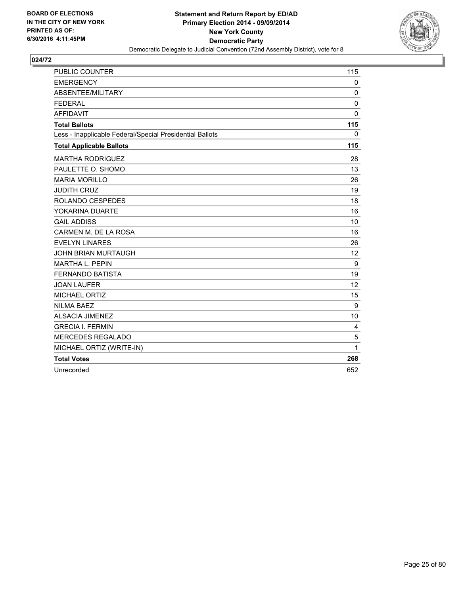

| <b>PUBLIC COUNTER</b>                                    | 115          |
|----------------------------------------------------------|--------------|
| <b>EMERGENCY</b>                                         | 0            |
| ABSENTEE/MILITARY                                        | 0            |
| <b>FEDERAL</b>                                           | $\mathbf{0}$ |
| <b>AFFIDAVIT</b>                                         | $\mathbf{0}$ |
| <b>Total Ballots</b>                                     | 115          |
| Less - Inapplicable Federal/Special Presidential Ballots | 0            |
| <b>Total Applicable Ballots</b>                          | 115          |
| <b>MARTHA RODRIGUEZ</b>                                  | 28           |
| PAULETTE O. SHOMO                                        | 13           |
| <b>MARIA MORILLO</b>                                     | 26           |
| <b>JUDITH CRUZ</b>                                       | 19           |
| ROLANDO CESPEDES                                         | 18           |
| YOKARINA DUARTE                                          | 16           |
| <b>GAIL ADDISS</b>                                       | 10           |
| CARMEN M. DE LA ROSA                                     | 16           |
| <b>EVELYN LINARES</b>                                    | 26           |
| <b>JOHN BRIAN MURTAUGH</b>                               | 12           |
| <b>MARTHA L. PEPIN</b>                                   | 9            |
| <b>FERNANDO BATISTA</b>                                  | 19           |
| <b>JOAN LAUFER</b>                                       | 12           |
| <b>MICHAEL ORTIZ</b>                                     | 15           |
| <b>NILMA BAEZ</b>                                        | 9            |
| <b>ALSACIA JIMENEZ</b>                                   | 10           |
| <b>GRECIA I. FERMIN</b>                                  | 4            |
| <b>MERCEDES REGALADO</b>                                 | 5            |
| MICHAEL ORTIZ (WRITE-IN)                                 | 1            |
| <b>Total Votes</b>                                       | 268          |
| Unrecorded                                               | 652          |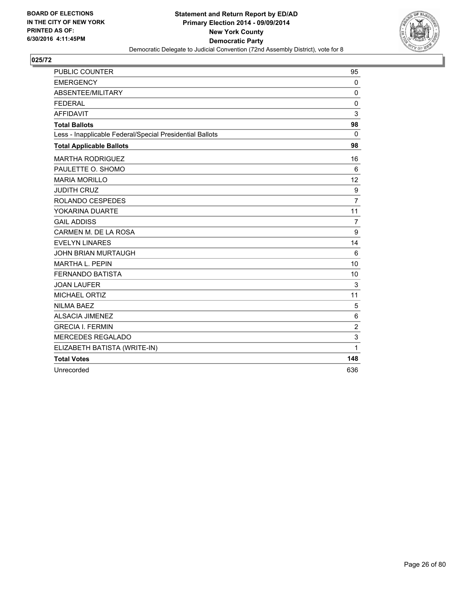

| <b>PUBLIC COUNTER</b>                                    | 95             |
|----------------------------------------------------------|----------------|
| <b>EMERGENCY</b>                                         | $\mathbf 0$    |
| ABSENTEE/MILITARY                                        | $\mathbf{0}$   |
| <b>FEDERAL</b>                                           | $\Omega$       |
| <b>AFFIDAVIT</b>                                         | 3              |
| <b>Total Ballots</b>                                     | 98             |
| Less - Inapplicable Federal/Special Presidential Ballots | $\mathbf{0}$   |
| <b>Total Applicable Ballots</b>                          | 98             |
| <b>MARTHA RODRIGUEZ</b>                                  | 16             |
| PAULETTE O. SHOMO                                        | 6              |
| <b>MARIA MORILLO</b>                                     | 12             |
| <b>JUDITH CRUZ</b>                                       | 9              |
| ROLANDO CESPEDES                                         | $\overline{7}$ |
| YOKARINA DUARTE                                          | 11             |
| <b>GAIL ADDISS</b>                                       | $\overline{7}$ |
| CARMEN M. DE LA ROSA                                     | 9              |
| <b>EVELYN LINARES</b>                                    | 14             |
| <b>JOHN BRIAN MURTAUGH</b>                               | 6              |
| <b>MARTHA L. PEPIN</b>                                   | 10             |
| <b>FERNANDO BATISTA</b>                                  | 10             |
| <b>JOAN LAUFER</b>                                       | 3              |
| MICHAEL ORTIZ                                            | 11             |
| <b>NILMA BAEZ</b>                                        | 5              |
| <b>ALSACIA JIMENEZ</b>                                   | 6              |
| <b>GRECIA I. FERMIN</b>                                  | 2              |
| MERCEDES REGALADO                                        | 3              |
| ELIZABETH BATISTA (WRITE-IN)                             | 1              |
| <b>Total Votes</b>                                       | 148            |
| Unrecorded                                               | 636            |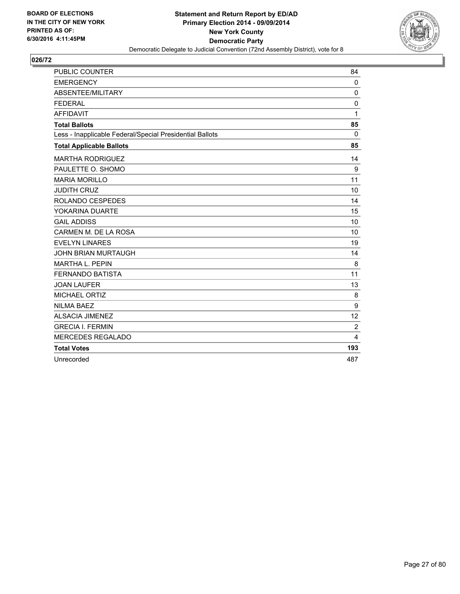

| <b>PUBLIC COUNTER</b>                                    | 84           |
|----------------------------------------------------------|--------------|
| <b>EMERGENCY</b>                                         | $\mathbf 0$  |
| ABSENTEE/MILITARY                                        | $\mathbf 0$  |
| <b>FEDERAL</b>                                           | 0            |
| <b>AFFIDAVIT</b>                                         | $\mathbf{1}$ |
| <b>Total Ballots</b>                                     | 85           |
| Less - Inapplicable Federal/Special Presidential Ballots | $\Omega$     |
| <b>Total Applicable Ballots</b>                          | 85           |
| <b>MARTHA RODRIGUEZ</b>                                  | 14           |
| PAULETTE O. SHOMO                                        | 9            |
| <b>MARIA MORILLO</b>                                     | 11           |
| <b>JUDITH CRUZ</b>                                       | 10           |
| ROLANDO CESPEDES                                         | 14           |
| YOKARINA DUARTE                                          | 15           |
| <b>GAIL ADDISS</b>                                       | 10           |
| CARMEN M. DE LA ROSA                                     | 10           |
| <b>EVELYN LINARES</b>                                    | 19           |
| <b>JOHN BRIAN MURTAUGH</b>                               | 14           |
| <b>MARTHA L. PEPIN</b>                                   | 8            |
| <b>FERNANDO BATISTA</b>                                  | 11           |
| <b>JOAN LAUFER</b>                                       | 13           |
| MICHAEL ORTIZ                                            | 8            |
| <b>NILMA BAEZ</b>                                        | 9            |
| <b>ALSACIA JIMENEZ</b>                                   | 12           |
| <b>GRECIA I. FERMIN</b>                                  | 2            |
| <b>MERCEDES REGALADO</b>                                 | 4            |
| <b>Total Votes</b>                                       | 193          |
| Unrecorded                                               | 487          |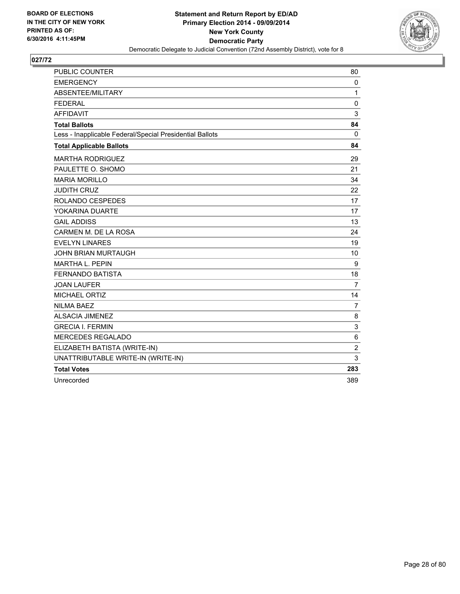

| PUBLIC COUNTER                                           | 80             |
|----------------------------------------------------------|----------------|
| <b>EMERGENCY</b>                                         | 0              |
| ABSENTEE/MILITARY                                        | $\mathbf{1}$   |
| <b>FEDERAL</b>                                           | $\mathbf 0$    |
| <b>AFFIDAVIT</b>                                         | 3              |
| <b>Total Ballots</b>                                     | 84             |
| Less - Inapplicable Federal/Special Presidential Ballots | 0              |
| <b>Total Applicable Ballots</b>                          | 84             |
| <b>MARTHA RODRIGUEZ</b>                                  | 29             |
| PAULETTE O. SHOMO                                        | 21             |
| <b>MARIA MORILLO</b>                                     | 34             |
| <b>JUDITH CRUZ</b>                                       | 22             |
| ROLANDO CESPEDES                                         | 17             |
| YOKARINA DUARTE                                          | 17             |
| <b>GAIL ADDISS</b>                                       | 13             |
| CARMEN M. DE LA ROSA                                     | 24             |
| <b>EVELYN LINARES</b>                                    | 19             |
| <b>JOHN BRIAN MURTAUGH</b>                               | 10             |
| <b>MARTHA L. PEPIN</b>                                   | 9              |
| <b>FERNANDO BATISTA</b>                                  | 18             |
| <b>JOAN LAUFER</b>                                       | $\overline{7}$ |
| <b>MICHAEL ORTIZ</b>                                     | 14             |
| <b>NILMA BAEZ</b>                                        | $\overline{7}$ |
| <b>ALSACIA JIMENEZ</b>                                   | 8              |
| <b>GRECIA I. FERMIN</b>                                  | 3              |
| <b>MERCEDES REGALADO</b>                                 | 6              |
| ELIZABETH BATISTA (WRITE-IN)                             | $\overline{2}$ |
| UNATTRIBUTABLE WRITE-IN (WRITE-IN)                       | 3              |
| <b>Total Votes</b>                                       | 283            |
| Unrecorded                                               | 389            |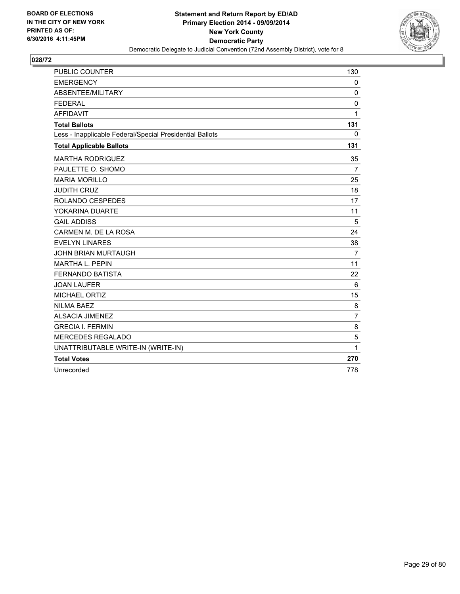

| <b>PUBLIC COUNTER</b>                                    | 130            |
|----------------------------------------------------------|----------------|
| <b>EMERGENCY</b>                                         | $\mathbf{0}$   |
| ABSENTEE/MILITARY                                        | 0              |
| <b>FEDERAL</b>                                           | 0              |
| <b>AFFIDAVIT</b>                                         | 1              |
| <b>Total Ballots</b>                                     | 131            |
| Less - Inapplicable Federal/Special Presidential Ballots | 0              |
| <b>Total Applicable Ballots</b>                          | 131            |
| <b>MARTHA RODRIGUEZ</b>                                  | 35             |
| PAULETTE O. SHOMO                                        | $\overline{7}$ |
| <b>MARIA MORILLO</b>                                     | 25             |
| <b>JUDITH CRUZ</b>                                       | 18             |
| ROLANDO CESPEDES                                         | 17             |
| YOKARINA DUARTE                                          | 11             |
| <b>GAIL ADDISS</b>                                       | 5              |
| CARMEN M. DE LA ROSA                                     | 24             |
| <b>EVELYN LINARES</b>                                    | 38             |
| <b>JOHN BRIAN MURTAUGH</b>                               | $\overline{7}$ |
| MARTHA L. PEPIN                                          | 11             |
| <b>FERNANDO BATISTA</b>                                  | 22             |
| <b>JOAN LAUFER</b>                                       | 6              |
| MICHAEL ORTIZ                                            | 15             |
| <b>NILMA BAEZ</b>                                        | 8              |
| <b>ALSACIA JIMENEZ</b>                                   | $\overline{7}$ |
| <b>GRECIA I. FERMIN</b>                                  | 8              |
| <b>MERCEDES REGALADO</b>                                 | 5              |
| UNATTRIBUTABLE WRITE-IN (WRITE-IN)                       | 1              |
| <b>Total Votes</b>                                       | 270            |
| Unrecorded                                               | 778            |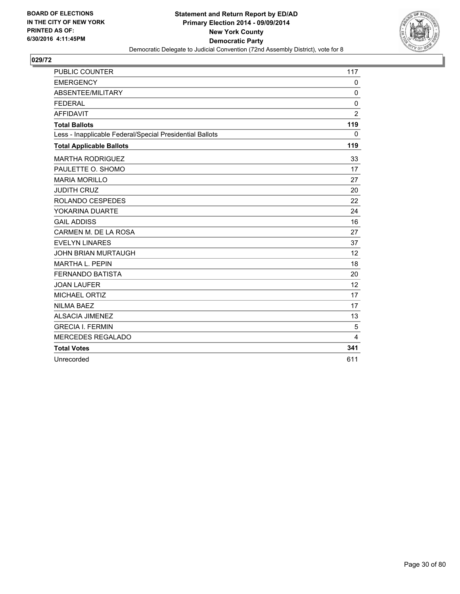

| <b>PUBLIC COUNTER</b>                                    | 117             |
|----------------------------------------------------------|-----------------|
| <b>EMERGENCY</b>                                         | 0               |
| ABSENTEE/MILITARY                                        | $\mathbf 0$     |
| <b>FEDERAL</b>                                           | $\mathbf 0$     |
| <b>AFFIDAVIT</b>                                         | $\overline{c}$  |
| <b>Total Ballots</b>                                     | 119             |
| Less - Inapplicable Federal/Special Presidential Ballots | 0               |
| <b>Total Applicable Ballots</b>                          | 119             |
| <b>MARTHA RODRIGUEZ</b>                                  | 33              |
| PAULETTE O. SHOMO                                        | 17              |
| <b>MARIA MORILLO</b>                                     | 27              |
| <b>JUDITH CRUZ</b>                                       | 20              |
| ROLANDO CESPEDES                                         | 22              |
| YOKARINA DUARTE                                          | 24              |
| <b>GAIL ADDISS</b>                                       | 16              |
| CARMEN M. DE LA ROSA                                     | 27              |
| <b>EVELYN LINARES</b>                                    | 37              |
| <b>JOHN BRIAN MURTAUGH</b>                               | 12 <sup>2</sup> |
| <b>MARTHA L. PEPIN</b>                                   | 18              |
| <b>FERNANDO BATISTA</b>                                  | 20              |
| <b>JOAN LAUFER</b>                                       | 12              |
| <b>MICHAEL ORTIZ</b>                                     | 17              |
| <b>NILMA BAEZ</b>                                        | 17              |
| <b>ALSACIA JIMENEZ</b>                                   | 13              |
| <b>GRECIA I. FERMIN</b>                                  | 5               |
| <b>MERCEDES REGALADO</b>                                 | 4               |
| <b>Total Votes</b>                                       | 341             |
| Unrecorded                                               | 611             |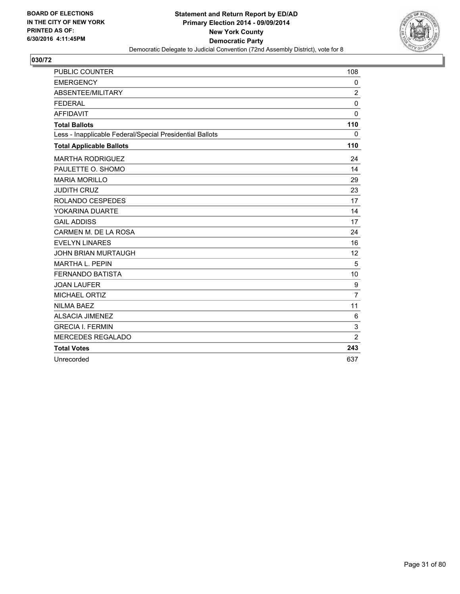

| <b>PUBLIC COUNTER</b>                                    | 108            |
|----------------------------------------------------------|----------------|
| <b>EMERGENCY</b>                                         | 0              |
| ABSENTEE/MILITARY                                        | $\overline{2}$ |
| <b>FEDERAL</b>                                           | $\mathbf 0$    |
| <b>AFFIDAVIT</b>                                         | $\mathbf 0$    |
| <b>Total Ballots</b>                                     | 110            |
| Less - Inapplicable Federal/Special Presidential Ballots | $\mathbf{0}$   |
| <b>Total Applicable Ballots</b>                          | 110            |
| <b>MARTHA RODRIGUEZ</b>                                  | 24             |
| PAULETTE O. SHOMO                                        | 14             |
| <b>MARIA MORILLO</b>                                     | 29             |
| <b>JUDITH CRUZ</b>                                       | 23             |
| ROLANDO CESPEDES                                         | 17             |
| YOKARINA DUARTE                                          | 14             |
| <b>GAIL ADDISS</b>                                       | 17             |
| CARMEN M. DE LA ROSA                                     | 24             |
| <b>EVELYN LINARES</b>                                    | 16             |
| <b>JOHN BRIAN MURTAUGH</b>                               | 12             |
| <b>MARTHA L. PEPIN</b>                                   | 5              |
| <b>FERNANDO BATISTA</b>                                  | 10             |
| <b>JOAN LAUFER</b>                                       | 9              |
| <b>MICHAEL ORTIZ</b>                                     | $\overline{7}$ |
| <b>NILMA BAEZ</b>                                        | 11             |
| <b>ALSACIA JIMENEZ</b>                                   | 6              |
| <b>GRECIA I. FERMIN</b>                                  | 3              |
| <b>MERCEDES REGALADO</b>                                 | $\overline{2}$ |
| <b>Total Votes</b>                                       | 243            |
| Unrecorded                                               | 637            |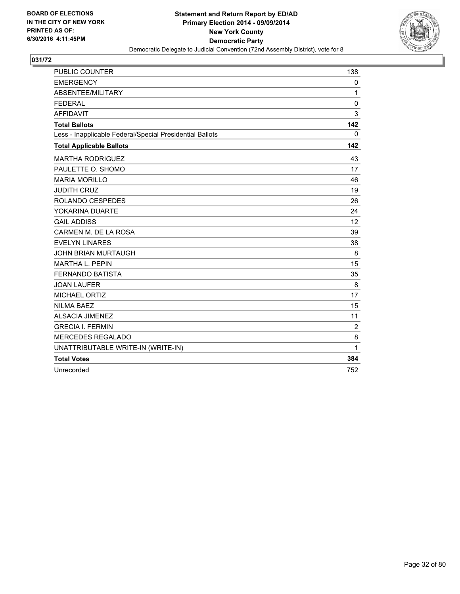

| <b>PUBLIC COUNTER</b>                                    | 138            |
|----------------------------------------------------------|----------------|
| <b>EMERGENCY</b>                                         | 0              |
| ABSENTEE/MILITARY                                        | 1              |
| <b>FEDERAL</b>                                           | 0              |
| <b>AFFIDAVIT</b>                                         | 3              |
| <b>Total Ballots</b>                                     | 142            |
| Less - Inapplicable Federal/Special Presidential Ballots | $\mathbf{0}$   |
| <b>Total Applicable Ballots</b>                          | 142            |
| <b>MARTHA RODRIGUEZ</b>                                  | 43             |
| PAULETTE O. SHOMO                                        | 17             |
| <b>MARIA MORILLO</b>                                     | 46             |
| <b>JUDITH CRUZ</b>                                       | 19             |
| <b>ROLANDO CESPEDES</b>                                  | 26             |
| YOKARINA DUARTE                                          | 24             |
| <b>GAIL ADDISS</b>                                       | 12             |
| CARMEN M. DE LA ROSA                                     | 39             |
| <b>EVELYN LINARES</b>                                    | 38             |
| <b>JOHN BRIAN MURTAUGH</b>                               | 8              |
| <b>MARTHA L. PEPIN</b>                                   | 15             |
| <b>FERNANDO BATISTA</b>                                  | 35             |
| <b>JOAN LAUFER</b>                                       | 8              |
| <b>MICHAEL ORTIZ</b>                                     | 17             |
| <b>NILMA BAEZ</b>                                        | 15             |
| <b>ALSACIA JIMENEZ</b>                                   | 11             |
| <b>GRECIA I. FERMIN</b>                                  | $\overline{c}$ |
| <b>MERCEDES REGALADO</b>                                 | 8              |
| UNATTRIBUTABLE WRITE-IN (WRITE-IN)                       | 1              |
| <b>Total Votes</b>                                       | 384            |
| Unrecorded                                               | 752            |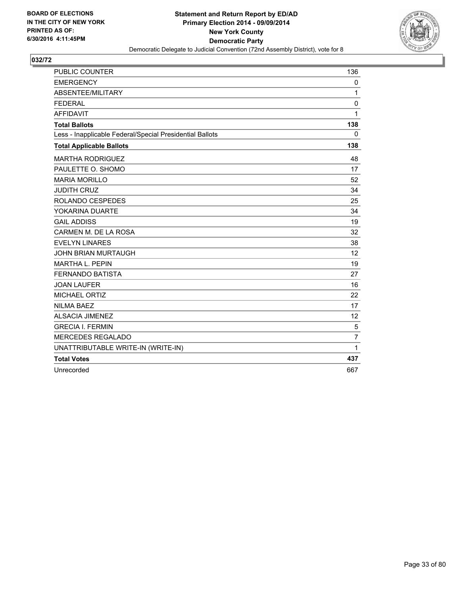

| <b>PUBLIC COUNTER</b>                                    | 136            |
|----------------------------------------------------------|----------------|
| <b>EMERGENCY</b>                                         | 0              |
| ABSENTEE/MILITARY                                        | $\mathbf{1}$   |
| <b>FEDERAL</b>                                           | 0              |
| <b>AFFIDAVIT</b>                                         | 1              |
| <b>Total Ballots</b>                                     | 138            |
| Less - Inapplicable Federal/Special Presidential Ballots | 0              |
| <b>Total Applicable Ballots</b>                          | 138            |
| <b>MARTHA RODRIGUEZ</b>                                  | 48             |
| PAULETTE O. SHOMO                                        | 17             |
| <b>MARIA MORILLO</b>                                     | 52             |
| <b>JUDITH CRUZ</b>                                       | 34             |
| ROLANDO CESPEDES                                         | 25             |
| YOKARINA DUARTE                                          | 34             |
| <b>GAIL ADDISS</b>                                       | 19             |
| CARMEN M. DE LA ROSA                                     | 32             |
| <b>EVELYN LINARES</b>                                    | 38             |
| <b>JOHN BRIAN MURTAUGH</b>                               | 12             |
| <b>MARTHA L. PEPIN</b>                                   | 19             |
| <b>FERNANDO BATISTA</b>                                  | 27             |
| <b>JOAN LAUFER</b>                                       | 16             |
| <b>MICHAEL ORTIZ</b>                                     | 22             |
| <b>NILMA BAEZ</b>                                        | 17             |
| <b>ALSACIA JIMENEZ</b>                                   | 12             |
| <b>GRECIA I. FERMIN</b>                                  | 5              |
| <b>MERCEDES REGALADO</b>                                 | $\overline{7}$ |
| UNATTRIBUTABLE WRITE-IN (WRITE-IN)                       | $\mathbf{1}$   |
| <b>Total Votes</b>                                       | 437            |
| Unrecorded                                               | 667            |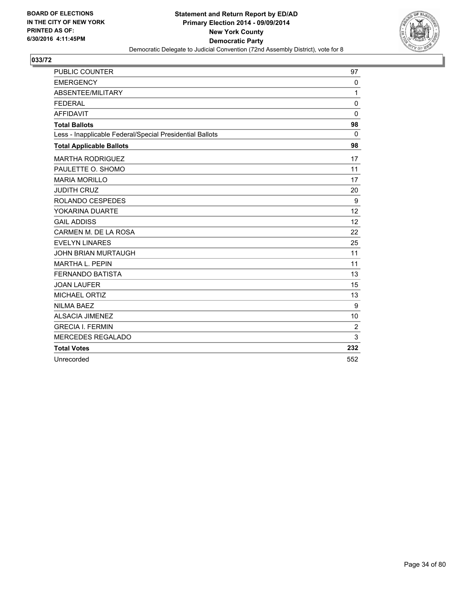

| <b>PUBLIC COUNTER</b>                                    | 97           |
|----------------------------------------------------------|--------------|
| <b>EMERGENCY</b>                                         | $\mathbf{0}$ |
| ABSENTEE/MILITARY                                        | 1            |
| <b>FEDERAL</b>                                           | $\mathbf 0$  |
| <b>AFFIDAVIT</b>                                         | $\mathbf 0$  |
| <b>Total Ballots</b>                                     | 98           |
| Less - Inapplicable Federal/Special Presidential Ballots | $\Omega$     |
| <b>Total Applicable Ballots</b>                          | 98           |
| <b>MARTHA RODRIGUEZ</b>                                  | 17           |
| PAULETTE O. SHOMO                                        | 11           |
| <b>MARIA MORILLO</b>                                     | 17           |
| <b>JUDITH CRUZ</b>                                       | 20           |
| ROLANDO CESPEDES                                         | 9            |
| YOKARINA DUARTE                                          | 12           |
| <b>GAIL ADDISS</b>                                       | 12           |
| CARMEN M. DE LA ROSA                                     | 22           |
| <b>EVELYN LINARES</b>                                    | 25           |
| JOHN BRIAN MURTAUGH                                      | 11           |
| <b>MARTHA L. PEPIN</b>                                   | 11           |
| <b>FERNANDO BATISTA</b>                                  | 13           |
| <b>JOAN LAUFER</b>                                       | 15           |
| MICHAEL ORTIZ                                            | 13           |
| <b>NILMA BAEZ</b>                                        | 9            |
| <b>ALSACIA JIMENEZ</b>                                   | 10           |
| <b>GRECIA I. FERMIN</b>                                  | 2            |
| <b>MERCEDES REGALADO</b>                                 | 3            |
| <b>Total Votes</b>                                       | 232          |
| Unrecorded                                               | 552          |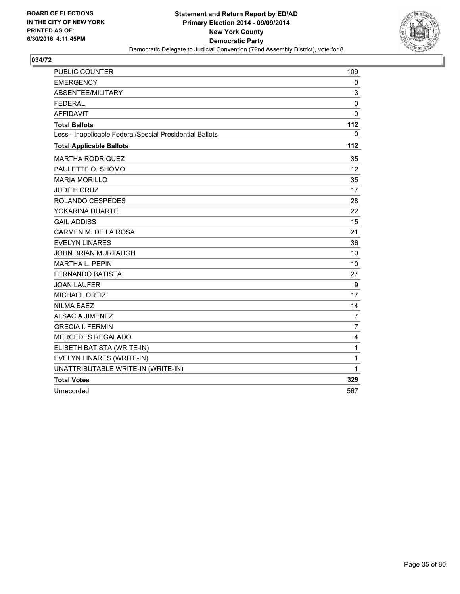

| <b>PUBLIC COUNTER</b>                                    | 109            |
|----------------------------------------------------------|----------------|
| <b>EMERGENCY</b>                                         | 0              |
| ABSENTEE/MILITARY                                        | 3              |
| <b>FEDERAL</b>                                           | 0              |
| <b>AFFIDAVIT</b>                                         | $\Omega$       |
| <b>Total Ballots</b>                                     | 112            |
| Less - Inapplicable Federal/Special Presidential Ballots | 0              |
| <b>Total Applicable Ballots</b>                          | 112            |
| <b>MARTHA RODRIGUEZ</b>                                  | 35             |
| PAULETTE O. SHOMO                                        | 12             |
| <b>MARIA MORILLO</b>                                     | 35             |
| <b>JUDITH CRUZ</b>                                       | 17             |
| ROLANDO CESPEDES                                         | 28             |
| YOKARINA DUARTE                                          | 22             |
| <b>GAIL ADDISS</b>                                       | 15             |
| CARMEN M. DE LA ROSA                                     | 21             |
| <b>EVELYN LINARES</b>                                    | 36             |
| <b>JOHN BRIAN MURTAUGH</b>                               | 10             |
| <b>MARTHA L. PEPIN</b>                                   | 10             |
| <b>FERNANDO BATISTA</b>                                  | 27             |
| <b>JOAN LAUFER</b>                                       | 9              |
| <b>MICHAEL ORTIZ</b>                                     | 17             |
| <b>NILMA BAEZ</b>                                        | 14             |
| <b>ALSACIA JIMENEZ</b>                                   | $\overline{7}$ |
| <b>GRECIA I. FERMIN</b>                                  | $\overline{7}$ |
| <b>MERCEDES REGALADO</b>                                 | 4              |
| ELIBETH BATISTA (WRITE-IN)                               | $\mathbf{1}$   |
| EVELYN LINARES (WRITE-IN)                                | $\mathbf{1}$   |
| UNATTRIBUTABLE WRITE-IN (WRITE-IN)                       | 1              |
| <b>Total Votes</b>                                       | 329            |
| Unrecorded                                               | 567            |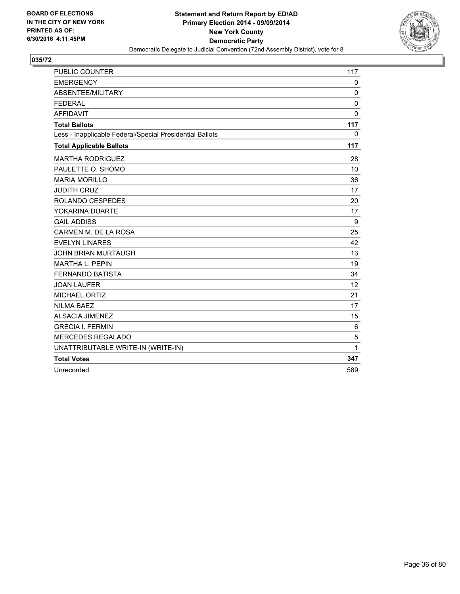

| <b>PUBLIC COUNTER</b>                                    | 117          |
|----------------------------------------------------------|--------------|
| <b>EMERGENCY</b>                                         | $\mathbf{0}$ |
| ABSENTEE/MILITARY                                        | 0            |
| <b>FEDERAL</b>                                           | $\Omega$     |
| <b>AFFIDAVIT</b>                                         | $\mathbf{0}$ |
| <b>Total Ballots</b>                                     | 117          |
| Less - Inapplicable Federal/Special Presidential Ballots | $\mathbf{0}$ |
| <b>Total Applicable Ballots</b>                          | 117          |
| <b>MARTHA RODRIGUEZ</b>                                  | 28           |
| PAULETTE O. SHOMO                                        | 10           |
| <b>MARIA MORILLO</b>                                     | 36           |
| <b>JUDITH CRUZ</b>                                       | 17           |
| ROLANDO CESPEDES                                         | 20           |
| YOKARINA DUARTE                                          | 17           |
| <b>GAIL ADDISS</b>                                       | 9            |
| CARMEN M. DE LA ROSA                                     | 25           |
| <b>EVELYN LINARES</b>                                    | 42           |
| <b>JOHN BRIAN MURTAUGH</b>                               | 13           |
| <b>MARTHA L. PEPIN</b>                                   | 19           |
| <b>FERNANDO BATISTA</b>                                  | 34           |
| <b>JOAN LAUFER</b>                                       | 12           |
| <b>MICHAEL ORTIZ</b>                                     | 21           |
| <b>NILMA BAEZ</b>                                        | 17           |
| <b>ALSACIA JIMENEZ</b>                                   | 15           |
| <b>GRECIA I. FERMIN</b>                                  | 6            |
| <b>MERCEDES REGALADO</b>                                 | 5            |
| UNATTRIBUTABLE WRITE-IN (WRITE-IN)                       | 1            |
| <b>Total Votes</b>                                       | 347          |
| Unrecorded                                               | 589          |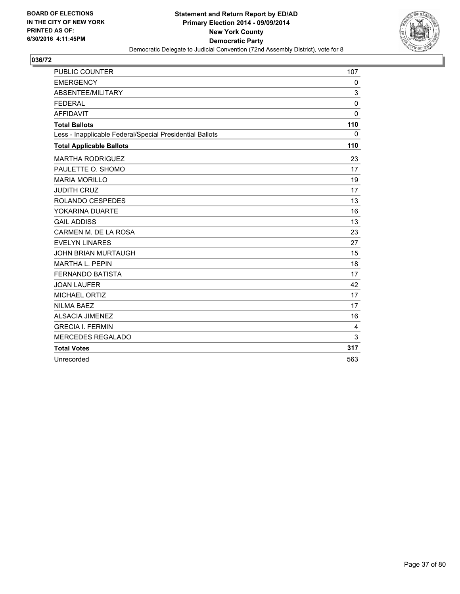

| <b>PUBLIC COUNTER</b>                                    | 107          |
|----------------------------------------------------------|--------------|
| <b>EMERGENCY</b>                                         | 0            |
| ABSENTEE/MILITARY                                        | 3            |
| <b>FEDERAL</b>                                           | 0            |
| <b>AFFIDAVIT</b>                                         | 0            |
| <b>Total Ballots</b>                                     | 110          |
| Less - Inapplicable Federal/Special Presidential Ballots | $\mathbf{0}$ |
| <b>Total Applicable Ballots</b>                          | 110          |
| <b>MARTHA RODRIGUEZ</b>                                  | 23           |
| PAULETTE O. SHOMO                                        | 17           |
| <b>MARIA MORILLO</b>                                     | 19           |
| <b>JUDITH CRUZ</b>                                       | 17           |
| ROLANDO CESPEDES                                         | 13           |
| YOKARINA DUARTE                                          | 16           |
| <b>GAIL ADDISS</b>                                       | 13           |
| CARMEN M. DE LA ROSA                                     | 23           |
| <b>EVELYN LINARES</b>                                    | 27           |
| <b>JOHN BRIAN MURTAUGH</b>                               | 15           |
| <b>MARTHA L. PEPIN</b>                                   | 18           |
| <b>FERNANDO BATISTA</b>                                  | 17           |
| <b>JOAN LAUFER</b>                                       | 42           |
| <b>MICHAEL ORTIZ</b>                                     | 17           |
| <b>NILMA BAEZ</b>                                        | 17           |
| <b>ALSACIA JIMENEZ</b>                                   | 16           |
| <b>GRECIA I. FERMIN</b>                                  | 4            |
| <b>MERCEDES REGALADO</b>                                 | 3            |
| <b>Total Votes</b>                                       | 317          |
| Unrecorded                                               | 563          |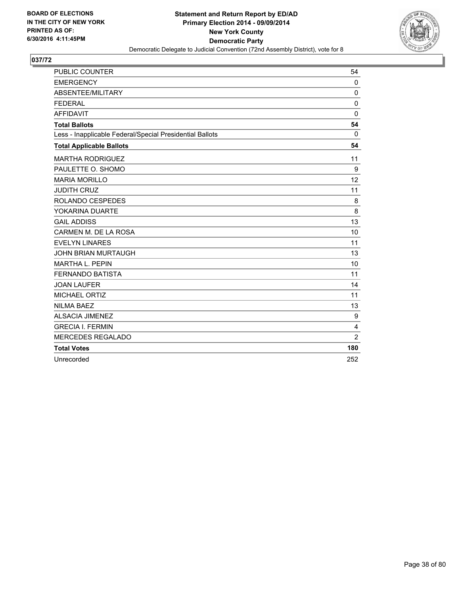

| <b>PUBLIC COUNTER</b>                                    | 54             |
|----------------------------------------------------------|----------------|
| <b>EMERGENCY</b>                                         | $\mathbf{0}$   |
| ABSENTEE/MILITARY                                        | $\Omega$       |
| <b>FEDERAL</b>                                           | $\mathbf 0$    |
| <b>AFFIDAVIT</b>                                         | $\Omega$       |
| <b>Total Ballots</b>                                     | 54             |
| Less - Inapplicable Federal/Special Presidential Ballots | $\mathbf{0}$   |
| <b>Total Applicable Ballots</b>                          | 54             |
| <b>MARTHA RODRIGUEZ</b>                                  | 11             |
| PAULETTE O. SHOMO                                        | 9              |
| <b>MARIA MORILLO</b>                                     | 12             |
| <b>JUDITH CRUZ</b>                                       | 11             |
| ROLANDO CESPEDES                                         | 8              |
| YOKARINA DUARTE                                          | 8              |
| <b>GAIL ADDISS</b>                                       | 13             |
| CARMEN M. DE LA ROSA                                     | 10             |
| <b>EVELYN LINARES</b>                                    | 11             |
| <b>JOHN BRIAN MURTAUGH</b>                               | 13             |
| <b>MARTHA L. PEPIN</b>                                   | 10             |
| <b>FERNANDO BATISTA</b>                                  | 11             |
| <b>JOAN LAUFER</b>                                       | 14             |
| <b>MICHAEL ORTIZ</b>                                     | 11             |
| <b>NILMA BAEZ</b>                                        | 13             |
| <b>ALSACIA JIMENEZ</b>                                   | 9              |
| <b>GRECIA I. FERMIN</b>                                  | 4              |
| <b>MERCEDES REGALADO</b>                                 | $\overline{2}$ |
| <b>Total Votes</b>                                       | 180            |
| Unrecorded                                               | 252            |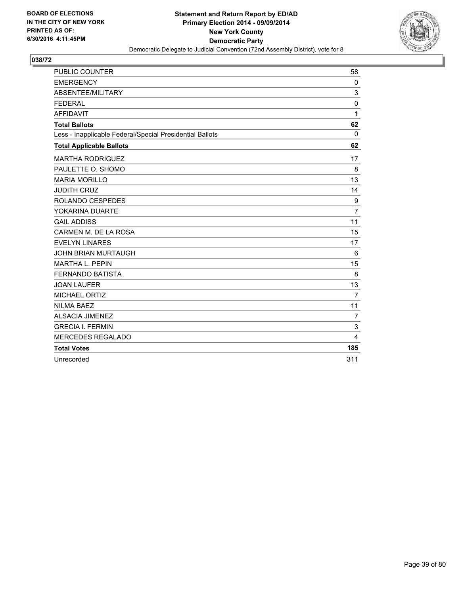

| <b>PUBLIC COUNTER</b>                                    | 58             |
|----------------------------------------------------------|----------------|
| <b>EMERGENCY</b>                                         | $\mathbf{0}$   |
| ABSENTEE/MILITARY                                        | 3              |
| <b>FEDERAL</b>                                           | 0              |
| <b>AFFIDAVIT</b>                                         | 1              |
| <b>Total Ballots</b>                                     | 62             |
| Less - Inapplicable Federal/Special Presidential Ballots | $\Omega$       |
| <b>Total Applicable Ballots</b>                          | 62             |
| <b>MARTHA RODRIGUEZ</b>                                  | 17             |
| PAULETTE O. SHOMO                                        | 8              |
| <b>MARIA MORILLO</b>                                     | 13             |
| <b>JUDITH CRUZ</b>                                       | 14             |
| ROLANDO CESPEDES                                         | 9              |
| YOKARINA DUARTE                                          | $\overline{7}$ |
| <b>GAIL ADDISS</b>                                       | 11             |
| CARMEN M. DE LA ROSA                                     | 15             |
| <b>EVELYN LINARES</b>                                    | 17             |
| <b>JOHN BRIAN MURTAUGH</b>                               | 6              |
| <b>MARTHA L. PEPIN</b>                                   | 15             |
| <b>FERNANDO BATISTA</b>                                  | 8              |
| <b>JOAN LAUFER</b>                                       | 13             |
| MICHAEL ORTIZ                                            | $\overline{7}$ |
| <b>NILMA BAEZ</b>                                        | 11             |
| <b>ALSACIA JIMENEZ</b>                                   | $\overline{7}$ |
| <b>GRECIA I. FERMIN</b>                                  | 3              |
| <b>MERCEDES REGALADO</b>                                 | 4              |
| <b>Total Votes</b>                                       | 185            |
| Unrecorded                                               | 311            |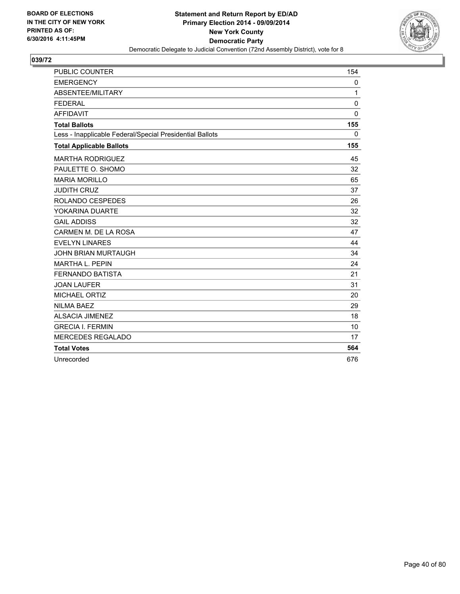

| PUBLIC COUNTER                                           | 154         |
|----------------------------------------------------------|-------------|
| <b>EMERGENCY</b>                                         | 0           |
| ABSENTEE/MILITARY                                        | 1           |
| <b>FEDERAL</b>                                           | $\mathbf 0$ |
| <b>AFFIDAVIT</b>                                         | 0           |
| <b>Total Ballots</b>                                     | 155         |
| Less - Inapplicable Federal/Special Presidential Ballots | $\Omega$    |
| <b>Total Applicable Ballots</b>                          | 155         |
| <b>MARTHA RODRIGUEZ</b>                                  | 45          |
| PAULETTE O. SHOMO                                        | 32          |
| <b>MARIA MORILLO</b>                                     | 65          |
| <b>JUDITH CRUZ</b>                                       | 37          |
| ROLANDO CESPEDES                                         | 26          |
| YOKARINA DUARTE                                          | 32          |
| <b>GAIL ADDISS</b>                                       | 32          |
| CARMEN M. DE LA ROSA                                     | 47          |
| <b>EVELYN LINARES</b>                                    | 44          |
| <b>JOHN BRIAN MURTAUGH</b>                               | 34          |
| <b>MARTHA L. PEPIN</b>                                   | 24          |
| <b>FERNANDO BATISTA</b>                                  | 21          |
| <b>JOAN LAUFER</b>                                       | 31          |
| MICHAEL ORTIZ                                            | 20          |
| <b>NILMA BAEZ</b>                                        | 29          |
| <b>ALSACIA JIMENEZ</b>                                   | 18          |
| <b>GRECIA I. FERMIN</b>                                  | 10          |
| <b>MERCEDES REGALADO</b>                                 | 17          |
| <b>Total Votes</b>                                       | 564         |
| Unrecorded                                               | 676         |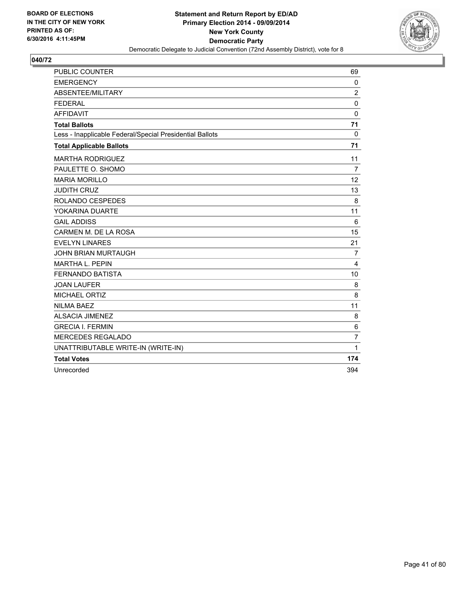

| <b>PUBLIC COUNTER</b>                                    | 69             |
|----------------------------------------------------------|----------------|
| <b>EMERGENCY</b>                                         | $\Omega$       |
| ABSENTEE/MILITARY                                        | $\overline{2}$ |
| <b>FEDERAL</b>                                           | 0              |
| <b>AFFIDAVIT</b>                                         | $\Omega$       |
| <b>Total Ballots</b>                                     | 71             |
| Less - Inapplicable Federal/Special Presidential Ballots | $\Omega$       |
| <b>Total Applicable Ballots</b>                          | 71             |
| <b>MARTHA RODRIGUEZ</b>                                  | 11             |
| PAULETTE O. SHOMO                                        | $\overline{7}$ |
| <b>MARIA MORILLO</b>                                     | 12             |
| <b>JUDITH CRUZ</b>                                       | 13             |
| ROLANDO CESPEDES                                         | 8              |
| YOKARINA DUARTE                                          | 11             |
| <b>GAIL ADDISS</b>                                       | 6              |
| CARMEN M. DE LA ROSA                                     | 15             |
| <b>EVELYN LINARES</b>                                    | 21             |
| <b>JOHN BRIAN MURTAUGH</b>                               | $\overline{7}$ |
| <b>MARTHA L. PEPIN</b>                                   | 4              |
| <b>FERNANDO BATISTA</b>                                  | 10             |
| <b>JOAN LAUFER</b>                                       | 8              |
| <b>MICHAEL ORTIZ</b>                                     | 8              |
| <b>NILMA BAEZ</b>                                        | 11             |
| <b>ALSACIA JIMENEZ</b>                                   | 8              |
| <b>GRECIA I. FERMIN</b>                                  | 6              |
| <b>MERCEDES REGALADO</b>                                 | $\overline{7}$ |
| UNATTRIBUTABLE WRITE-IN (WRITE-IN)                       | 1              |
| <b>Total Votes</b>                                       | 174            |
| Unrecorded                                               | 394            |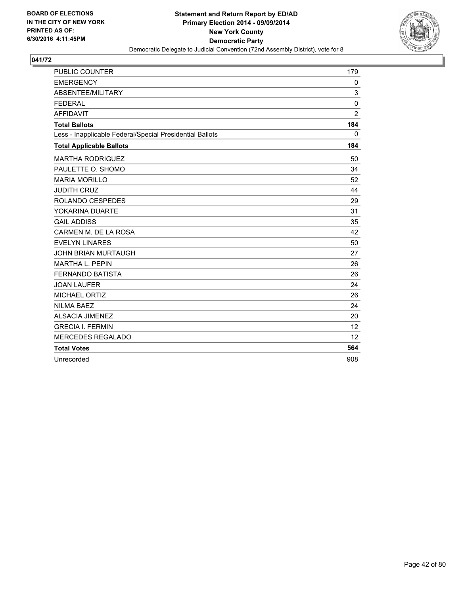

| PUBLIC COUNTER                                           | 179            |
|----------------------------------------------------------|----------------|
| <b>EMERGENCY</b>                                         | 0              |
| ABSENTEE/MILITARY                                        | 3              |
| <b>FEDERAL</b>                                           | $\mathbf 0$    |
| <b>AFFIDAVIT</b>                                         | $\overline{2}$ |
| <b>Total Ballots</b>                                     | 184            |
| Less - Inapplicable Federal/Special Presidential Ballots | $\mathbf{0}$   |
| <b>Total Applicable Ballots</b>                          | 184            |
| <b>MARTHA RODRIGUEZ</b>                                  | 50             |
| PAULETTE O. SHOMO                                        | 34             |
| <b>MARIA MORILLO</b>                                     | 52             |
| <b>JUDITH CRUZ</b>                                       | 44             |
| ROLANDO CESPEDES                                         | 29             |
| YOKARINA DUARTE                                          | 31             |
| <b>GAIL ADDISS</b>                                       | 35             |
| CARMEN M. DE LA ROSA                                     | 42             |
| <b>EVELYN LINARES</b>                                    | 50             |
| <b>JOHN BRIAN MURTAUGH</b>                               | 27             |
| <b>MARTHA L. PEPIN</b>                                   | 26             |
| <b>FERNANDO BATISTA</b>                                  | 26             |
| <b>JOAN LAUFER</b>                                       | 24             |
| MICHAEL ORTIZ                                            | 26             |
| <b>NILMA BAEZ</b>                                        | 24             |
| <b>ALSACIA JIMENEZ</b>                                   | 20             |
| <b>GRECIA I. FERMIN</b>                                  | 12             |
| <b>MERCEDES REGALADO</b>                                 | 12             |
| <b>Total Votes</b>                                       | 564            |
| Unrecorded                                               | 908            |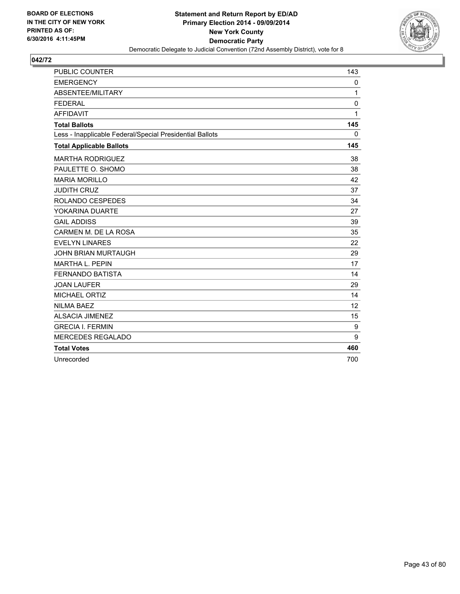

| PUBLIC COUNTER                                           | 143          |
|----------------------------------------------------------|--------------|
| <b>EMERGENCY</b>                                         | 0            |
| ABSENTEE/MILITARY                                        | 1            |
| <b>FEDERAL</b>                                           | 0            |
| <b>AFFIDAVIT</b>                                         | $\mathbf{1}$ |
| <b>Total Ballots</b>                                     | 145          |
| Less - Inapplicable Federal/Special Presidential Ballots | $\mathbf{0}$ |
| <b>Total Applicable Ballots</b>                          | 145          |
| <b>MARTHA RODRIGUEZ</b>                                  | 38           |
| PAULETTE O. SHOMO                                        | 38           |
| <b>MARIA MORILLO</b>                                     | 42           |
| <b>JUDITH CRUZ</b>                                       | 37           |
| <b>ROLANDO CESPEDES</b>                                  | 34           |
| YOKARINA DUARTE                                          | 27           |
| <b>GAIL ADDISS</b>                                       | 39           |
| CARMEN M. DE LA ROSA                                     | 35           |
| <b>EVELYN LINARES</b>                                    | 22           |
| <b>JOHN BRIAN MURTAUGH</b>                               | 29           |
| <b>MARTHA L. PEPIN</b>                                   | 17           |
| <b>FERNANDO BATISTA</b>                                  | 14           |
| <b>JOAN LAUFER</b>                                       | 29           |
| <b>MICHAEL ORTIZ</b>                                     | 14           |
| <b>NILMA BAEZ</b>                                        | 12           |
| <b>ALSACIA JIMENEZ</b>                                   | 15           |
| <b>GRECIA I. FERMIN</b>                                  | 9            |
| <b>MERCEDES REGALADO</b>                                 | 9            |
| <b>Total Votes</b>                                       | 460          |
| Unrecorded                                               | 700          |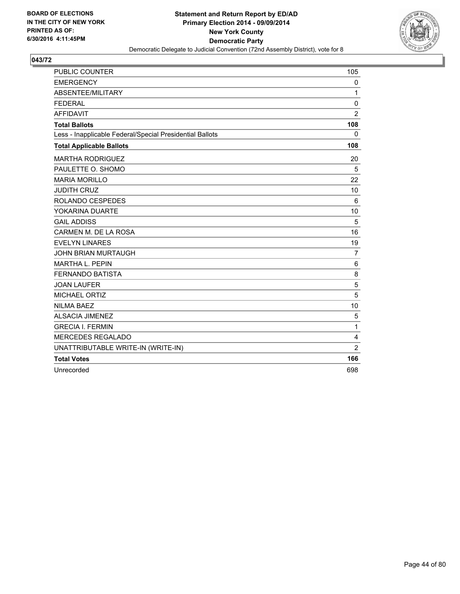

| <b>PUBLIC COUNTER</b>                                    | 105            |
|----------------------------------------------------------|----------------|
| <b>EMERGENCY</b>                                         | 0              |
| ABSENTEE/MILITARY                                        | $\mathbf{1}$   |
| <b>FEDERAL</b>                                           | 0              |
| <b>AFFIDAVIT</b>                                         | $\overline{2}$ |
| <b>Total Ballots</b>                                     | 108            |
| Less - Inapplicable Federal/Special Presidential Ballots | $\mathbf{0}$   |
| <b>Total Applicable Ballots</b>                          | 108            |
| <b>MARTHA RODRIGUEZ</b>                                  | 20             |
| PAULETTE O. SHOMO                                        | 5              |
| <b>MARIA MORILLO</b>                                     | 22             |
| <b>JUDITH CRUZ</b>                                       | 10             |
| <b>ROLANDO CESPEDES</b>                                  | 6              |
| YOKARINA DUARTE                                          | 10             |
| <b>GAIL ADDISS</b>                                       | 5              |
| CARMEN M. DE LA ROSA                                     | 16             |
| <b>EVELYN LINARES</b>                                    | 19             |
| <b>JOHN BRIAN MURTAUGH</b>                               | 7              |
| MARTHA L. PEPIN                                          | 6              |
| <b>FERNANDO BATISTA</b>                                  | 8              |
| <b>JOAN LAUFER</b>                                       | 5              |
| <b>MICHAEL ORTIZ</b>                                     | 5              |
| <b>NILMA BAEZ</b>                                        | 10             |
| <b>ALSACIA JIMENEZ</b>                                   | 5              |
| <b>GRECIA I. FERMIN</b>                                  | $\mathbf{1}$   |
| <b>MERCEDES REGALADO</b>                                 | 4              |
| UNATTRIBUTABLE WRITE-IN (WRITE-IN)                       | $\overline{2}$ |
| <b>Total Votes</b>                                       | 166            |
| Unrecorded                                               | 698            |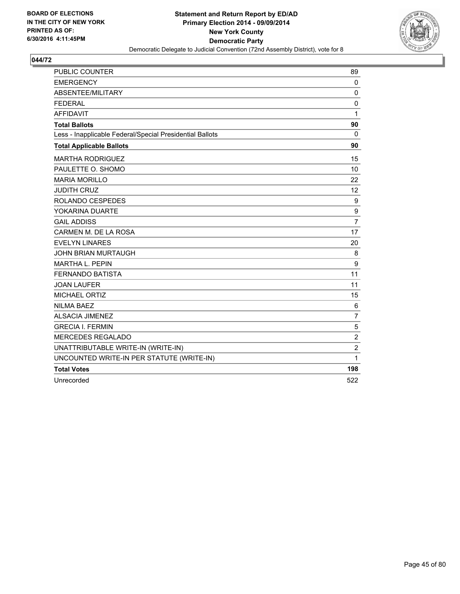

| <b>PUBLIC COUNTER</b>                                    | 89               |
|----------------------------------------------------------|------------------|
| <b>EMERGENCY</b>                                         | 0                |
| ABSENTEE/MILITARY                                        | $\mathbf 0$      |
| <b>FEDERAL</b>                                           | $\mathbf 0$      |
| <b>AFFIDAVIT</b>                                         | 1                |
| <b>Total Ballots</b>                                     | 90               |
| Less - Inapplicable Federal/Special Presidential Ballots | $\Omega$         |
| <b>Total Applicable Ballots</b>                          | 90               |
| <b>MARTHA RODRIGUEZ</b>                                  | 15               |
| PAULETTE O. SHOMO                                        | 10               |
| <b>MARIA MORILLO</b>                                     | 22               |
| <b>JUDITH CRUZ</b>                                       | 12 <sup>2</sup>  |
| ROLANDO CESPEDES                                         | 9                |
| YOKARINA DUARTE                                          | $\boldsymbol{9}$ |
| <b>GAIL ADDISS</b>                                       | $\overline{7}$   |
| CARMEN M. DE LA ROSA                                     | 17               |
| <b>EVELYN LINARES</b>                                    | 20               |
| <b>JOHN BRIAN MURTAUGH</b>                               | 8                |
| <b>MARTHA L. PEPIN</b>                                   | $\boldsymbol{9}$ |
| <b>FERNANDO BATISTA</b>                                  | 11               |
| <b>JOAN LAUFER</b>                                       | 11               |
| <b>MICHAEL ORTIZ</b>                                     | 15               |
| <b>NILMA BAEZ</b>                                        | 6                |
| <b>ALSACIA JIMENEZ</b>                                   | $\overline{7}$   |
| <b>GRECIA I. FERMIN</b>                                  | 5                |
| <b>MERCEDES REGALADO</b>                                 | $\overline{2}$   |
| UNATTRIBUTABLE WRITE-IN (WRITE-IN)                       | $\mathbf 2$      |
| UNCOUNTED WRITE-IN PER STATUTE (WRITE-IN)                | 1                |
| <b>Total Votes</b>                                       | 198              |
| Unrecorded                                               | 522              |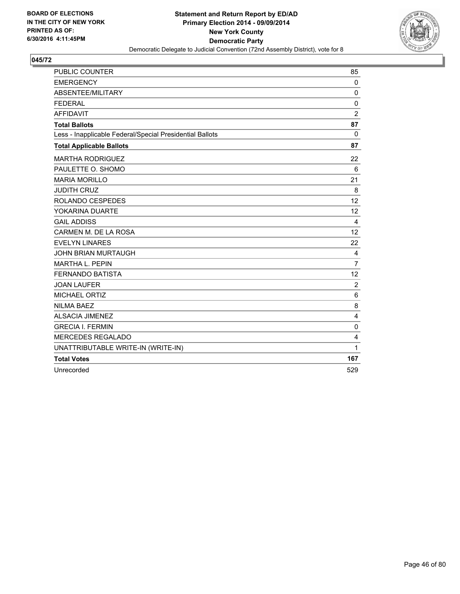

| <b>PUBLIC COUNTER</b>                                    | 85                      |
|----------------------------------------------------------|-------------------------|
| <b>EMERGENCY</b>                                         | 0                       |
| ABSENTEE/MILITARY                                        | 0                       |
| <b>FEDERAL</b>                                           | 0                       |
| <b>AFFIDAVIT</b>                                         | $\overline{2}$          |
| <b>Total Ballots</b>                                     | 87                      |
| Less - Inapplicable Federal/Special Presidential Ballots | $\Omega$                |
| <b>Total Applicable Ballots</b>                          | 87                      |
| <b>MARTHA RODRIGUEZ</b>                                  | 22                      |
| PAULETTE O. SHOMO                                        | 6                       |
| <b>MARIA MORILLO</b>                                     | 21                      |
| <b>JUDITH CRUZ</b>                                       | 8                       |
| ROLANDO CESPEDES                                         | 12                      |
| YOKARINA DUARTE                                          | 12                      |
| <b>GAIL ADDISS</b>                                       | 4                       |
| CARMEN M. DE LA ROSA                                     | 12                      |
| <b>EVELYN LINARES</b>                                    | 22                      |
| <b>JOHN BRIAN MURTAUGH</b>                               | 4                       |
| <b>MARTHA L. PEPIN</b>                                   | $\overline{7}$          |
| <b>FERNANDO BATISTA</b>                                  | 12                      |
| <b>JOAN LAUFER</b>                                       | $\overline{2}$          |
| MICHAEL ORTIZ                                            | 6                       |
| <b>NILMA BAEZ</b>                                        | 8                       |
| <b>ALSACIA JIMENEZ</b>                                   | $\overline{\mathbf{4}}$ |
| <b>GRECIA I. FERMIN</b>                                  | 0                       |
| <b>MERCEDES REGALADO</b>                                 | 4                       |
| UNATTRIBUTABLE WRITE-IN (WRITE-IN)                       | 1                       |
| <b>Total Votes</b>                                       | 167                     |
| Unrecorded                                               | 529                     |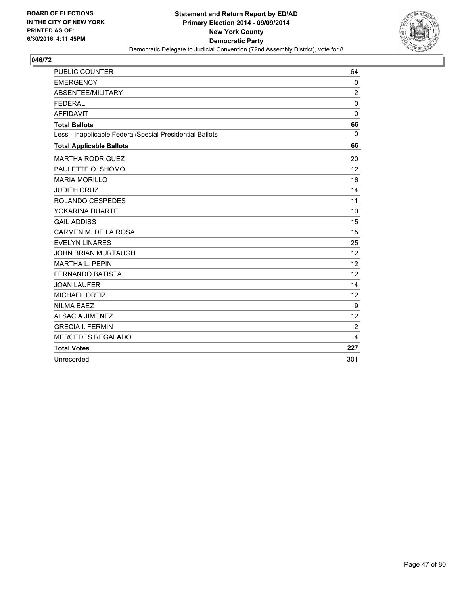

| <b>PUBLIC COUNTER</b>                                    | 64             |
|----------------------------------------------------------|----------------|
| <b>EMERGENCY</b>                                         | 0              |
| ABSENTEE/MILITARY                                        | $\overline{2}$ |
| <b>FEDERAL</b>                                           | $\mathbf 0$    |
| <b>AFFIDAVIT</b>                                         | $\mathbf 0$    |
| <b>Total Ballots</b>                                     | 66             |
| Less - Inapplicable Federal/Special Presidential Ballots | $\Omega$       |
| <b>Total Applicable Ballots</b>                          | 66             |
| <b>MARTHA RODRIGUEZ</b>                                  | 20             |
| PAULETTE O. SHOMO                                        | 12             |
| <b>MARIA MORILLO</b>                                     | 16             |
| <b>JUDITH CRUZ</b>                                       | 14             |
| ROLANDO CESPEDES                                         | 11             |
| YOKARINA DUARTE                                          | 10             |
| <b>GAIL ADDISS</b>                                       | 15             |
| CARMEN M. DE LA ROSA                                     | 15             |
| <b>EVELYN LINARES</b>                                    | 25             |
| <b>JOHN BRIAN MURTAUGH</b>                               | 12             |
| <b>MARTHA L. PEPIN</b>                                   | 12             |
| <b>FERNANDO BATISTA</b>                                  | 12             |
| <b>JOAN LAUFER</b>                                       | 14             |
| MICHAEL ORTIZ                                            | 12             |
| <b>NILMA BAEZ</b>                                        | 9              |
| <b>ALSACIA JIMENEZ</b>                                   | 12             |
| <b>GRECIA I. FERMIN</b>                                  | 2              |
| <b>MERCEDES REGALADO</b>                                 | 4              |
| <b>Total Votes</b>                                       | 227            |
| Unrecorded                                               | 301            |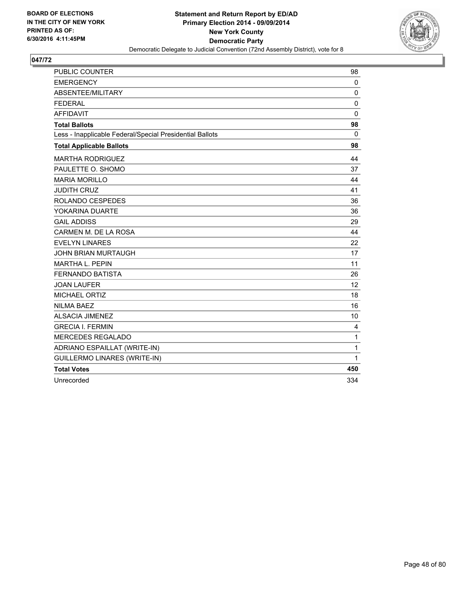

| <b>PUBLIC COUNTER</b>                                    | 98           |
|----------------------------------------------------------|--------------|
| <b>EMERGENCY</b>                                         | 0            |
| ABSENTEE/MILITARY                                        | 0            |
| <b>FEDERAL</b>                                           | 0            |
| <b>AFFIDAVIT</b>                                         | $\Omega$     |
| <b>Total Ballots</b>                                     | 98           |
| Less - Inapplicable Federal/Special Presidential Ballots | $\Omega$     |
| <b>Total Applicable Ballots</b>                          | 98           |
| <b>MARTHA RODRIGUEZ</b>                                  | 44           |
| PAULETTE O. SHOMO                                        | 37           |
| <b>MARIA MORILLO</b>                                     | 44           |
| <b>JUDITH CRUZ</b>                                       | 41           |
| ROLANDO CESPEDES                                         | 36           |
| YOKARINA DUARTE                                          | 36           |
| <b>GAIL ADDISS</b>                                       | 29           |
| CARMEN M. DE LA ROSA                                     | 44           |
| <b>EVELYN LINARES</b>                                    | 22           |
| <b>JOHN BRIAN MURTAUGH</b>                               | 17           |
| <b>MARTHA L. PEPIN</b>                                   | 11           |
| <b>FERNANDO BATISTA</b>                                  | 26           |
| <b>JOAN LAUFER</b>                                       | 12           |
| <b>MICHAEL ORTIZ</b>                                     | 18           |
| <b>NILMA BAEZ</b>                                        | 16           |
| <b>ALSACIA JIMENEZ</b>                                   | 10           |
| <b>GRECIA I. FERMIN</b>                                  | 4            |
| <b>MERCEDES REGALADO</b>                                 | $\mathbf 1$  |
| ADRIANO ESPAILLAT (WRITE-IN)                             | $\mathbf{1}$ |
| <b>GUILLERMO LINARES (WRITE-IN)</b>                      | $\mathbf{1}$ |
| <b>Total Votes</b>                                       | 450          |
| Unrecorded                                               | 334          |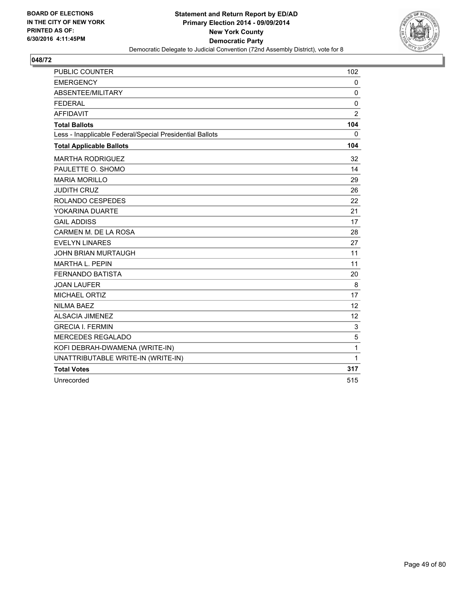

| <b>PUBLIC COUNTER</b>                                    | 102            |
|----------------------------------------------------------|----------------|
| <b>EMERGENCY</b>                                         | 0              |
| ABSENTEE/MILITARY                                        | 0              |
| <b>FEDERAL</b>                                           | $\mathbf 0$    |
| <b>AFFIDAVIT</b>                                         | $\overline{2}$ |
| <b>Total Ballots</b>                                     | 104            |
| Less - Inapplicable Federal/Special Presidential Ballots | 0              |
| <b>Total Applicable Ballots</b>                          | 104            |
| <b>MARTHA RODRIGUEZ</b>                                  | 32             |
| PAULETTE O. SHOMO                                        | 14             |
| <b>MARIA MORILLO</b>                                     | 29             |
| <b>JUDITH CRUZ</b>                                       | 26             |
| ROLANDO CESPEDES                                         | 22             |
| YOKARINA DUARTE                                          | 21             |
| <b>GAIL ADDISS</b>                                       | 17             |
| CARMEN M. DE LA ROSA                                     | 28             |
| <b>EVELYN LINARES</b>                                    | 27             |
| <b>JOHN BRIAN MURTAUGH</b>                               | 11             |
| <b>MARTHA L. PEPIN</b>                                   | 11             |
| <b>FERNANDO BATISTA</b>                                  | 20             |
| <b>JOAN LAUFER</b>                                       | 8              |
| MICHAEL ORTIZ                                            | 17             |
| <b>NILMA BAEZ</b>                                        | 12             |
| <b>ALSACIA JIMENEZ</b>                                   | 12             |
| <b>GRECIA I. FERMIN</b>                                  | 3              |
| MERCEDES REGALADO                                        | 5              |
| KOFI DEBRAH-DWAMENA (WRITE-IN)                           | 1              |
| UNATTRIBUTABLE WRITE-IN (WRITE-IN)                       | 1              |
| <b>Total Votes</b>                                       | 317            |
| Unrecorded                                               | 515            |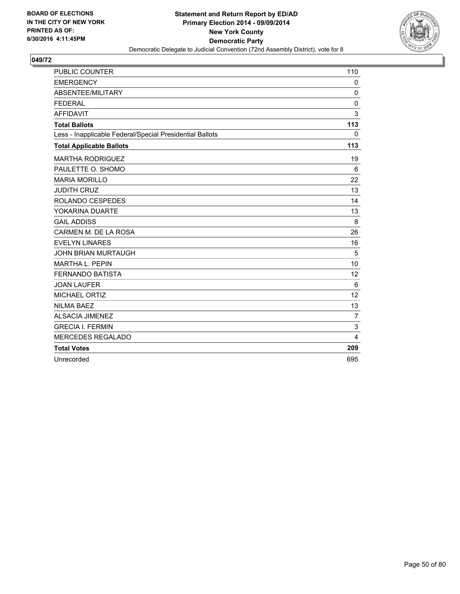

| <b>PUBLIC COUNTER</b>                                    | 110            |
|----------------------------------------------------------|----------------|
| <b>EMERGENCY</b>                                         | $\mathbf 0$    |
| ABSENTEE/MILITARY                                        | $\Omega$       |
| <b>FEDERAL</b>                                           | $\mathbf 0$    |
| <b>AFFIDAVIT</b>                                         | 3              |
| <b>Total Ballots</b>                                     | 113            |
| Less - Inapplicable Federal/Special Presidential Ballots | $\mathbf{0}$   |
| <b>Total Applicable Ballots</b>                          | 113            |
| <b>MARTHA RODRIGUEZ</b>                                  | 19             |
| PAULETTE O. SHOMO                                        | 6              |
| <b>MARIA MORILLO</b>                                     | 22             |
| <b>JUDITH CRUZ</b>                                       | 13             |
| ROLANDO CESPEDES                                         | 14             |
| YOKARINA DUARTE                                          | 13             |
| <b>GAIL ADDISS</b>                                       | 8              |
| CARMEN M. DE LA ROSA                                     | 26             |
| <b>EVELYN LINARES</b>                                    | 16             |
| <b>JOHN BRIAN MURTAUGH</b>                               | 5              |
| <b>MARTHA L. PEPIN</b>                                   | 10             |
| <b>FERNANDO BATISTA</b>                                  | 12             |
| <b>JOAN LAUFER</b>                                       | 6              |
| <b>MICHAEL ORTIZ</b>                                     | 12             |
| <b>NILMA BAEZ</b>                                        | 13             |
| <b>ALSACIA JIMENEZ</b>                                   | $\overline{7}$ |
| <b>GRECIA I. FERMIN</b>                                  | 3              |
| <b>MERCEDES REGALADO</b>                                 | 4              |
| <b>Total Votes</b>                                       | 209            |
| Unrecorded                                               | 695            |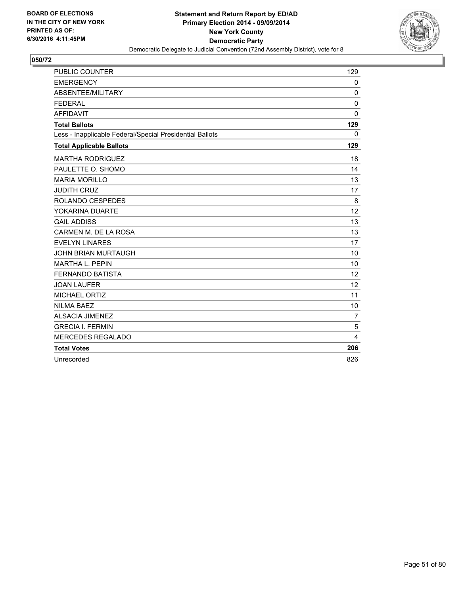

| <b>PUBLIC COUNTER</b>                                    | 129            |
|----------------------------------------------------------|----------------|
| <b>EMERGENCY</b>                                         | 0              |
| ABSENTEE/MILITARY                                        | $\mathbf 0$    |
| <b>FEDERAL</b>                                           | $\mathbf 0$    |
| <b>AFFIDAVIT</b>                                         | 0              |
| <b>Total Ballots</b>                                     | 129            |
| Less - Inapplicable Federal/Special Presidential Ballots | $\mathbf{0}$   |
| <b>Total Applicable Ballots</b>                          | 129            |
| <b>MARTHA RODRIGUEZ</b>                                  | 18             |
| PAULETTE O. SHOMO                                        | 14             |
| <b>MARIA MORILLO</b>                                     | 13             |
| <b>JUDITH CRUZ</b>                                       | 17             |
| ROLANDO CESPEDES                                         | 8              |
| YOKARINA DUARTE                                          | 12             |
| <b>GAIL ADDISS</b>                                       | 13             |
| CARMEN M. DE LA ROSA                                     | 13             |
| <b>EVELYN LINARES</b>                                    | 17             |
| <b>JOHN BRIAN MURTAUGH</b>                               | 10             |
| <b>MARTHA L. PEPIN</b>                                   | 10             |
| <b>FERNANDO BATISTA</b>                                  | 12             |
| <b>JOAN LAUFER</b>                                       | 12             |
| <b>MICHAEL ORTIZ</b>                                     | 11             |
| <b>NILMA BAEZ</b>                                        | 10             |
| <b>ALSACIA JIMENEZ</b>                                   | $\overline{7}$ |
| <b>GRECIA I. FERMIN</b>                                  | 5              |
| <b>MERCEDES REGALADO</b>                                 | 4              |
| <b>Total Votes</b>                                       | 206            |
| Unrecorded                                               | 826            |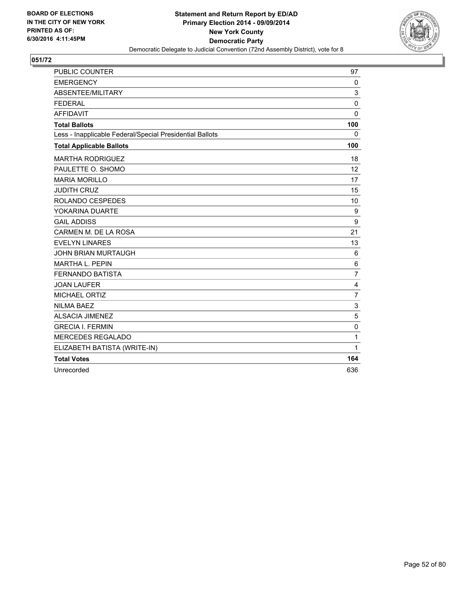

| <b>PUBLIC COUNTER</b>                                    | 97             |
|----------------------------------------------------------|----------------|
| <b>EMERGENCY</b>                                         | 0              |
| ABSENTEE/MILITARY                                        | 3              |
| <b>FEDERAL</b>                                           | 0              |
| <b>AFFIDAVIT</b>                                         | $\mathbf{0}$   |
| <b>Total Ballots</b>                                     | 100            |
| Less - Inapplicable Federal/Special Presidential Ballots | 0              |
| <b>Total Applicable Ballots</b>                          | 100            |
| <b>MARTHA RODRIGUEZ</b>                                  | 18             |
| PAULETTE O. SHOMO                                        | 12             |
| <b>MARIA MORILLO</b>                                     | 17             |
| <b>JUDITH CRUZ</b>                                       | 15             |
| ROLANDO CESPEDES                                         | 10             |
| YOKARINA DUARTE                                          | 9              |
| <b>GAIL ADDISS</b>                                       | 9              |
| CARMEN M. DE LA ROSA                                     | 21             |
| <b>EVELYN LINARES</b>                                    | 13             |
| <b>JOHN BRIAN MURTAUGH</b>                               | 6              |
| <b>MARTHA L. PEPIN</b>                                   | 6              |
| <b>FERNANDO BATISTA</b>                                  | $\overline{7}$ |
| <b>JOAN LAUFER</b>                                       | 4              |
| <b>MICHAEL ORTIZ</b>                                     | $\overline{7}$ |
| <b>NILMA BAEZ</b>                                        | 3              |
| <b>ALSACIA JIMENEZ</b>                                   | 5              |
| <b>GRECIA I. FERMIN</b>                                  | 0              |
| <b>MERCEDES REGALADO</b>                                 | 1              |
| ELIZABETH BATISTA (WRITE-IN)                             | 1              |
| <b>Total Votes</b>                                       | 164            |
| Unrecorded                                               | 636            |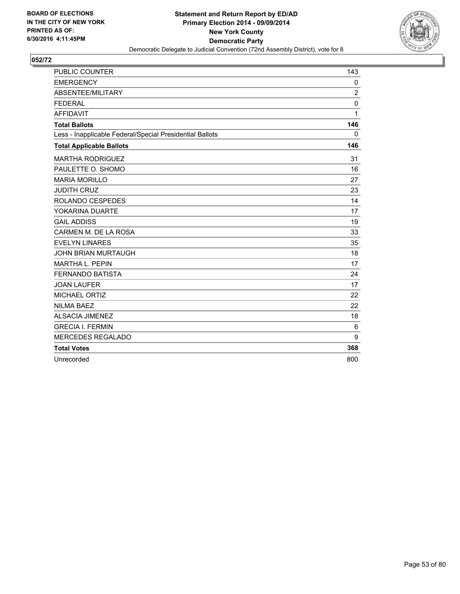

| <b>PUBLIC COUNTER</b>                                    | 143            |
|----------------------------------------------------------|----------------|
| <b>EMERGENCY</b>                                         | 0              |
| ABSENTEE/MILITARY                                        | $\overline{2}$ |
| <b>FEDERAL</b>                                           | 0              |
| <b>AFFIDAVIT</b>                                         | $\mathbf{1}$   |
| <b>Total Ballots</b>                                     | 146            |
| Less - Inapplicable Federal/Special Presidential Ballots | 0              |
| <b>Total Applicable Ballots</b>                          | 146            |
| <b>MARTHA RODRIGUEZ</b>                                  | 31             |
| PAULETTE O. SHOMO                                        | 16             |
| <b>MARIA MORILLO</b>                                     | 27             |
| <b>JUDITH CRUZ</b>                                       | 23             |
| ROLANDO CESPEDES                                         | 14             |
| YOKARINA DUARTE                                          | 17             |
| <b>GAIL ADDISS</b>                                       | 19             |
| CARMEN M. DE LA ROSA                                     | 33             |
| <b>EVELYN LINARES</b>                                    | 35             |
| <b>JOHN BRIAN MURTAUGH</b>                               | 18             |
| <b>MARTHA L. PEPIN</b>                                   | 17             |
| <b>FERNANDO BATISTA</b>                                  | 24             |
| <b>JOAN LAUFER</b>                                       | 17             |
| MICHAEL ORTIZ                                            | 22             |
| <b>NILMA BAEZ</b>                                        | 22             |
| <b>ALSACIA JIMENEZ</b>                                   | 18             |
| <b>GRECIA I. FERMIN</b>                                  | 6              |
| <b>MERCEDES REGALADO</b>                                 | 9              |
| <b>Total Votes</b>                                       | 368            |
| Unrecorded                                               | 800            |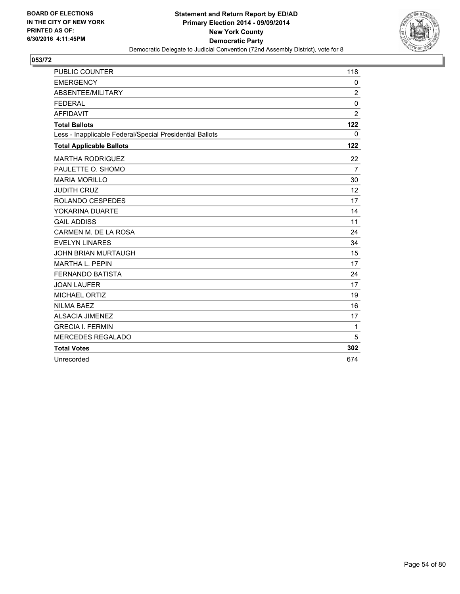

| <b>PUBLIC COUNTER</b>                                    | 118            |
|----------------------------------------------------------|----------------|
| <b>EMERGENCY</b>                                         | $\mathbf 0$    |
| ABSENTEE/MILITARY                                        | $\overline{2}$ |
| <b>FEDERAL</b>                                           | $\mathbf 0$    |
| <b>AFFIDAVIT</b>                                         | $\overline{2}$ |
| <b>Total Ballots</b>                                     | 122            |
| Less - Inapplicable Federal/Special Presidential Ballots | $\mathbf{0}$   |
| <b>Total Applicable Ballots</b>                          | 122            |
| <b>MARTHA RODRIGUEZ</b>                                  | 22             |
| PAULETTE O. SHOMO                                        | $\overline{7}$ |
| <b>MARIA MORILLO</b>                                     | 30             |
| <b>JUDITH CRUZ</b>                                       | 12             |
| ROLANDO CESPEDES                                         | 17             |
| YOKARINA DUARTE                                          | 14             |
| <b>GAIL ADDISS</b>                                       | 11             |
| CARMEN M. DE LA ROSA                                     | 24             |
| <b>EVELYN LINARES</b>                                    | 34             |
| <b>JOHN BRIAN MURTAUGH</b>                               | 15             |
| <b>MARTHA L. PEPIN</b>                                   | 17             |
| <b>FERNANDO BATISTA</b>                                  | 24             |
| <b>JOAN LAUFER</b>                                       | 17             |
| <b>MICHAEL ORTIZ</b>                                     | 19             |
| <b>NILMA BAEZ</b>                                        | 16             |
| <b>ALSACIA JIMENEZ</b>                                   | 17             |
| <b>GRECIA I. FERMIN</b>                                  | 1              |
| <b>MERCEDES REGALADO</b>                                 | 5              |
| <b>Total Votes</b>                                       | 302            |
| Unrecorded                                               | 674            |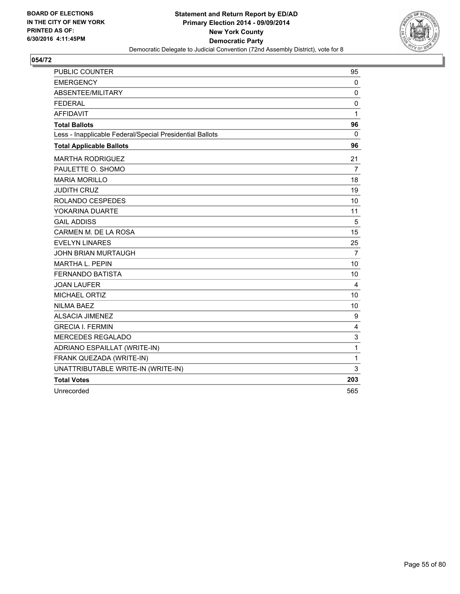

| PUBLIC COUNTER                                           | 95             |
|----------------------------------------------------------|----------------|
| <b>EMERGENCY</b>                                         | 0              |
| ABSENTEE/MILITARY                                        | 0              |
| <b>FEDERAL</b>                                           | 0              |
| <b>AFFIDAVIT</b>                                         | 1              |
| <b>Total Ballots</b>                                     | 96             |
| Less - Inapplicable Federal/Special Presidential Ballots | 0              |
| <b>Total Applicable Ballots</b>                          | 96             |
| <b>MARTHA RODRIGUEZ</b>                                  | 21             |
| PAULETTE O. SHOMO                                        | 7              |
| <b>MARIA MORILLO</b>                                     | 18             |
| <b>JUDITH CRUZ</b>                                       | 19             |
| ROLANDO CESPEDES                                         | 10             |
| YOKARINA DUARTE                                          | 11             |
| <b>GAIL ADDISS</b>                                       | 5              |
| CARMEN M. DE LA ROSA                                     | 15             |
| <b>EVELYN LINARES</b>                                    | 25             |
| <b>JOHN BRIAN MURTAUGH</b>                               | $\overline{7}$ |
| <b>MARTHA L. PEPIN</b>                                   | 10             |
| <b>FERNANDO BATISTA</b>                                  | 10             |
| JOAN LAUFER                                              | 4              |
| <b>MICHAEL ORTIZ</b>                                     | 10             |
| <b>NILMA BAEZ</b>                                        | 10             |
| <b>ALSACIA JIMENEZ</b>                                   | 9              |
| <b>GRECIA I. FERMIN</b>                                  | 4              |
| <b>MERCEDES REGALADO</b>                                 | 3              |
| ADRIANO ESPAILLAT (WRITE-IN)                             | 1              |
| FRANK QUEZADA (WRITE-IN)                                 | 1              |
| UNATTRIBUTABLE WRITE-IN (WRITE-IN)                       | 3              |
| <b>Total Votes</b>                                       | 203            |
| Unrecorded                                               | 565            |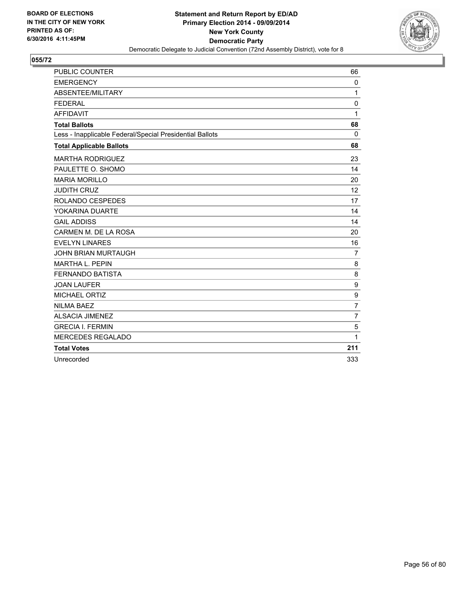

| <b>PUBLIC COUNTER</b>                                    | 66             |
|----------------------------------------------------------|----------------|
| <b>EMERGENCY</b>                                         | $\mathbf{0}$   |
| ABSENTEE/MILITARY                                        | 1              |
| <b>FEDERAL</b>                                           | 0              |
| <b>AFFIDAVIT</b>                                         | 1              |
| <b>Total Ballots</b>                                     | 68             |
| Less - Inapplicable Federal/Special Presidential Ballots | $\Omega$       |
| <b>Total Applicable Ballots</b>                          | 68             |
| <b>MARTHA RODRIGUEZ</b>                                  | 23             |
| PAULETTE O. SHOMO                                        | 14             |
| <b>MARIA MORILLO</b>                                     | 20             |
| <b>JUDITH CRUZ</b>                                       | 12             |
| ROLANDO CESPEDES                                         | 17             |
| YOKARINA DUARTE                                          | 14             |
| <b>GAIL ADDISS</b>                                       | 14             |
| CARMEN M. DE LA ROSA                                     | 20             |
| <b>EVELYN LINARES</b>                                    | 16             |
| JOHN BRIAN MURTAUGH                                      | $\overline{7}$ |
| <b>MARTHA L. PEPIN</b>                                   | 8              |
| <b>FERNANDO BATISTA</b>                                  | 8              |
| <b>JOAN LAUFER</b>                                       | 9              |
| MICHAEL ORTIZ                                            | 9              |
| <b>NILMA BAEZ</b>                                        | $\overline{7}$ |
| <b>ALSACIA JIMENEZ</b>                                   | $\overline{7}$ |
| <b>GRECIA I. FERMIN</b>                                  | 5              |
| <b>MERCEDES REGALADO</b>                                 | 1              |
| <b>Total Votes</b>                                       | 211            |
| Unrecorded                                               | 333            |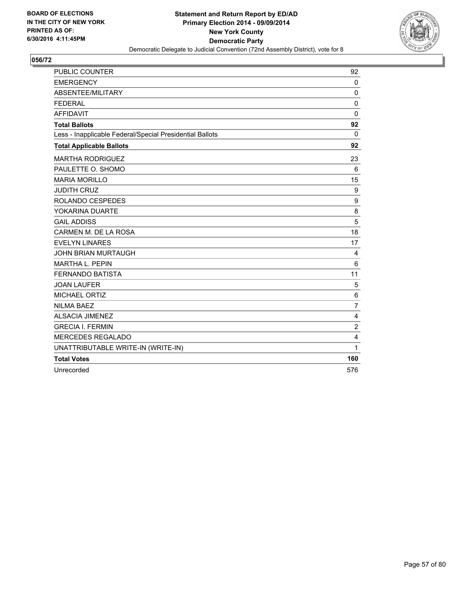

| <b>PUBLIC COUNTER</b>                                    | 92                      |
|----------------------------------------------------------|-------------------------|
| <b>EMERGENCY</b>                                         | 0                       |
| ABSENTEE/MILITARY                                        | 0                       |
| <b>FEDERAL</b>                                           | 0                       |
| <b>AFFIDAVIT</b>                                         | 0                       |
| <b>Total Ballots</b>                                     | 92                      |
| Less - Inapplicable Federal/Special Presidential Ballots | $\Omega$                |
| <b>Total Applicable Ballots</b>                          | 92                      |
| <b>MARTHA RODRIGUEZ</b>                                  | 23                      |
| PAULETTE O. SHOMO                                        | 6                       |
| <b>MARIA MORILLO</b>                                     | 15                      |
| <b>JUDITH CRUZ</b>                                       | 9                       |
| ROLANDO CESPEDES                                         | 9                       |
| YOKARINA DUARTE                                          | 8                       |
| <b>GAIL ADDISS</b>                                       | 5                       |
| CARMEN M. DE LA ROSA                                     | 18                      |
| <b>EVELYN LINARES</b>                                    | 17                      |
| <b>JOHN BRIAN MURTAUGH</b>                               | 4                       |
| <b>MARTHA L. PEPIN</b>                                   | 6                       |
| <b>FERNANDO BATISTA</b>                                  | 11                      |
| <b>JOAN LAUFER</b>                                       | 5                       |
| MICHAEL ORTIZ                                            | 6                       |
| <b>NILMA BAEZ</b>                                        | $\overline{7}$          |
| <b>ALSACIA JIMENEZ</b>                                   | 4                       |
| <b>GRECIA I. FERMIN</b>                                  | $\overline{\mathbf{c}}$ |
| <b>MERCEDES REGALADO</b>                                 | 4                       |
| UNATTRIBUTABLE WRITE-IN (WRITE-IN)                       | 1                       |
| <b>Total Votes</b>                                       | 160                     |
| Unrecorded                                               | 576                     |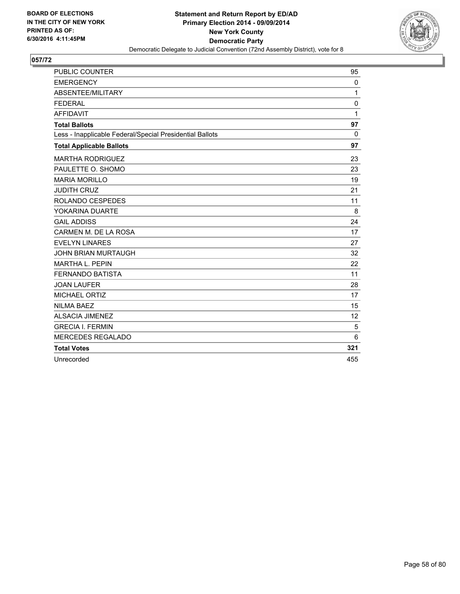

| <b>PUBLIC COUNTER</b>                                    | 95           |
|----------------------------------------------------------|--------------|
| <b>EMERGENCY</b>                                         | 0            |
| ABSENTEE/MILITARY                                        | 1            |
| <b>FEDERAL</b>                                           | $\mathbf 0$  |
| <b>AFFIDAVIT</b>                                         | $\mathbf{1}$ |
| <b>Total Ballots</b>                                     | 97           |
| Less - Inapplicable Federal/Special Presidential Ballots | $\Omega$     |
| <b>Total Applicable Ballots</b>                          | 97           |
| <b>MARTHA RODRIGUEZ</b>                                  | 23           |
| PAULETTE O. SHOMO                                        | 23           |
| <b>MARIA MORILLO</b>                                     | 19           |
| <b>JUDITH CRUZ</b>                                       | 21           |
| ROLANDO CESPEDES                                         | 11           |
| YOKARINA DUARTE                                          | 8            |
| <b>GAIL ADDISS</b>                                       | 24           |
| CARMEN M. DE LA ROSA                                     | 17           |
| <b>EVELYN LINARES</b>                                    | 27           |
| <b>JOHN BRIAN MURTAUGH</b>                               | 32           |
| <b>MARTHA L. PEPIN</b>                                   | 22           |
| <b>FERNANDO BATISTA</b>                                  | 11           |
| <b>JOAN LAUFER</b>                                       | 28           |
| <b>MICHAEL ORTIZ</b>                                     | 17           |
| <b>NILMA BAEZ</b>                                        | 15           |
| <b>ALSACIA JIMENEZ</b>                                   | 12           |
| <b>GRECIA I. FERMIN</b>                                  | 5            |
| <b>MERCEDES REGALADO</b>                                 | 6            |
| <b>Total Votes</b>                                       | 321          |
| Unrecorded                                               | 455          |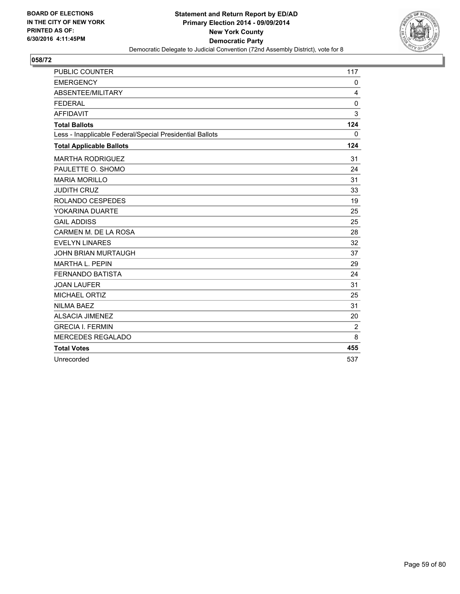

| <b>PUBLIC COUNTER</b>                                    | 117          |
|----------------------------------------------------------|--------------|
| <b>EMERGENCY</b>                                         | 0            |
| ABSENTEE/MILITARY                                        | 4            |
| <b>FEDERAL</b>                                           | 0            |
| <b>AFFIDAVIT</b>                                         | 3            |
| <b>Total Ballots</b>                                     | 124          |
| Less - Inapplicable Federal/Special Presidential Ballots | $\mathbf{0}$ |
| <b>Total Applicable Ballots</b>                          | 124          |
| <b>MARTHA RODRIGUEZ</b>                                  | 31           |
| PAULETTE O. SHOMO                                        | 24           |
| <b>MARIA MORILLO</b>                                     | 31           |
| <b>JUDITH CRUZ</b>                                       | 33           |
| ROLANDO CESPEDES                                         | 19           |
| YOKARINA DUARTE                                          | 25           |
| <b>GAIL ADDISS</b>                                       | 25           |
| CARMEN M. DE LA ROSA                                     | 28           |
| <b>EVELYN LINARES</b>                                    | 32           |
| <b>JOHN BRIAN MURTAUGH</b>                               | 37           |
| <b>MARTHA L. PEPIN</b>                                   | 29           |
| <b>FERNANDO BATISTA</b>                                  | 24           |
| <b>JOAN LAUFER</b>                                       | 31           |
| MICHAEL ORTIZ                                            | 25           |
| <b>NILMA BAEZ</b>                                        | 31           |
| <b>ALSACIA JIMENEZ</b>                                   | 20           |
| <b>GRECIA I. FERMIN</b>                                  | 2            |
| <b>MERCEDES REGALADO</b>                                 | 8            |
| <b>Total Votes</b>                                       | 455          |
| Unrecorded                                               | 537          |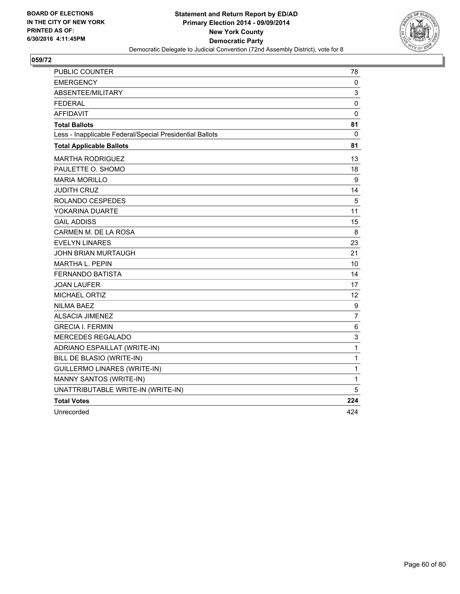

| PUBLIC COUNTER                                           | 78  |
|----------------------------------------------------------|-----|
| <b>EMERGENCY</b>                                         | 0   |
| ABSENTEE/MILITARY                                        | 3   |
| <b>FEDERAL</b>                                           | 0   |
| AFFIDAVIT                                                | 0   |
| <b>Total Ballots</b>                                     | 81  |
| Less - Inapplicable Federal/Special Presidential Ballots | 0   |
| <b>Total Applicable Ballots</b>                          | 81  |
| <b>MARTHA RODRIGUEZ</b>                                  | 13  |
| PAULETTE O. SHOMO                                        | 18  |
| <b>MARIA MORILLO</b>                                     | 9   |
| <b>JUDITH CRUZ</b>                                       | 14  |
| ROLANDO CESPEDES                                         | 5   |
| YOKARINA DUARTE                                          | 11  |
| <b>GAIL ADDISS</b>                                       | 15  |
| CARMEN M. DE LA ROSA                                     | 8   |
| <b>EVELYN LINARES</b>                                    | 23  |
| JOHN BRIAN MURTAUGH                                      | 21  |
| <b>MARTHA L. PEPIN</b>                                   | 10  |
| FERNANDO BATISTA                                         | 14  |
| <b>JOAN LAUFER</b>                                       | 17  |
| <b>MICHAEL ORTIZ</b>                                     | 12  |
| <b>NILMA BAEZ</b>                                        | 9   |
| <b>ALSACIA JIMENEZ</b>                                   | 7   |
| <b>GRECIA I. FERMIN</b>                                  | 6   |
| MERCEDES REGALADO                                        | 3   |
| ADRIANO ESPAILLAT (WRITE-IN)                             | 1   |
| BILL DE BLASIO (WRITE-IN)                                | 1   |
| <b>GUILLERMO LINARES (WRITE-IN)</b>                      | 1   |
| MANNY SANTOS (WRITE-IN)                                  | 1   |
| UNATTRIBUTABLE WRITE-IN (WRITE-IN)                       | 5   |
| <b>Total Votes</b>                                       | 224 |
| Unrecorded                                               | 424 |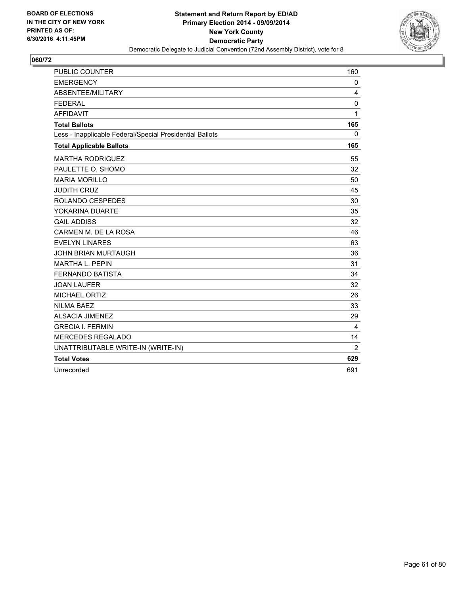

| <b>PUBLIC COUNTER</b>                                    | 160            |
|----------------------------------------------------------|----------------|
| <b>EMERGENCY</b>                                         | 0              |
| ABSENTEE/MILITARY                                        | 4              |
| <b>FEDERAL</b>                                           | 0              |
| <b>AFFIDAVIT</b>                                         | 1              |
| <b>Total Ballots</b>                                     | 165            |
| Less - Inapplicable Federal/Special Presidential Ballots | $\mathbf{0}$   |
| <b>Total Applicable Ballots</b>                          | 165            |
| <b>MARTHA RODRIGUEZ</b>                                  | 55             |
| PAULETTE O. SHOMO                                        | 32             |
| <b>MARIA MORILLO</b>                                     | 50             |
| <b>JUDITH CRUZ</b>                                       | 45             |
| ROLANDO CESPEDES                                         | 30             |
| YOKARINA DUARTE                                          | 35             |
| <b>GAIL ADDISS</b>                                       | 32             |
| CARMEN M. DE LA ROSA                                     | 46             |
| <b>EVELYN LINARES</b>                                    | 63             |
| <b>JOHN BRIAN MURTAUGH</b>                               | 36             |
| MARTHA L. PEPIN                                          | 31             |
| <b>FERNANDO BATISTA</b>                                  | 34             |
| <b>JOAN LAUFER</b>                                       | 32             |
| MICHAEL ORTIZ                                            | 26             |
| <b>NILMA BAEZ</b>                                        | 33             |
| <b>ALSACIA JIMENEZ</b>                                   | 29             |
| <b>GRECIA I. FERMIN</b>                                  | 4              |
| <b>MERCEDES REGALADO</b>                                 | 14             |
| UNATTRIBUTABLE WRITE-IN (WRITE-IN)                       | $\overline{2}$ |
| <b>Total Votes</b>                                       | 629            |
| Unrecorded                                               | 691            |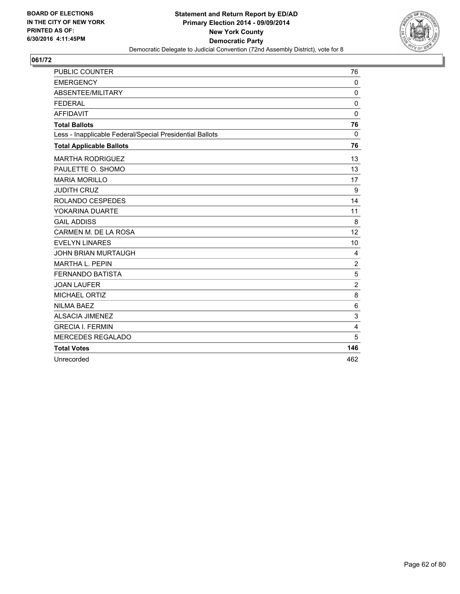

| <b>PUBLIC COUNTER</b>                                    | 76             |
|----------------------------------------------------------|----------------|
| <b>EMERGENCY</b>                                         | $\mathbf 0$    |
| ABSENTEE/MILITARY                                        | $\Omega$       |
| <b>FEDERAL</b>                                           | $\mathbf 0$    |
| <b>AFFIDAVIT</b>                                         | $\mathbf 0$    |
| <b>Total Ballots</b>                                     | 76             |
| Less - Inapplicable Federal/Special Presidential Ballots | $\Omega$       |
| <b>Total Applicable Ballots</b>                          | 76             |
| <b>MARTHA RODRIGUEZ</b>                                  | 13             |
| PAULETTE O. SHOMO                                        | 13             |
| <b>MARIA MORILLO</b>                                     | 17             |
| <b>JUDITH CRUZ</b>                                       | 9              |
| ROLANDO CESPEDES                                         | 14             |
| YOKARINA DUARTE                                          | 11             |
| <b>GAIL ADDISS</b>                                       | 8              |
| CARMEN M. DE LA ROSA                                     | 12             |
| <b>EVELYN LINARES</b>                                    | 10             |
| <b>JOHN BRIAN MURTAUGH</b>                               | 4              |
| <b>MARTHA L. PEPIN</b>                                   | $\overline{2}$ |
| <b>FERNANDO BATISTA</b>                                  | 5              |
| <b>JOAN LAUFER</b>                                       | $\overline{2}$ |
| <b>MICHAEL ORTIZ</b>                                     | 8              |
| <b>NILMA BAEZ</b>                                        | 6              |
| <b>ALSACIA JIMENEZ</b>                                   | 3              |
| <b>GRECIA I. FERMIN</b>                                  | 4              |
| <b>MERCEDES REGALADO</b>                                 | 5              |
| <b>Total Votes</b>                                       | 146            |
| Unrecorded                                               | 462            |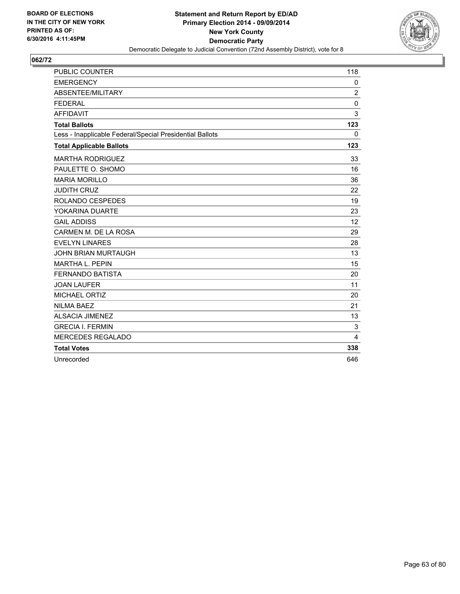

| <b>PUBLIC COUNTER</b>                                    | 118            |
|----------------------------------------------------------|----------------|
| <b>EMERGENCY</b>                                         | 0              |
| ABSENTEE/MILITARY                                        | $\overline{2}$ |
| <b>FEDERAL</b>                                           | $\mathbf 0$    |
| <b>AFFIDAVIT</b>                                         | 3              |
| <b>Total Ballots</b>                                     | 123            |
| Less - Inapplicable Federal/Special Presidential Ballots | 0              |
| <b>Total Applicable Ballots</b>                          | 123            |
| <b>MARTHA RODRIGUEZ</b>                                  | 33             |
| PAULETTE O. SHOMO                                        | 16             |
| <b>MARIA MORILLO</b>                                     | 36             |
| <b>JUDITH CRUZ</b>                                       | 22             |
| ROLANDO CESPEDES                                         | 19             |
| YOKARINA DUARTE                                          | 23             |
| <b>GAIL ADDISS</b>                                       | 12             |
| CARMEN M. DE LA ROSA                                     | 29             |
| <b>EVELYN LINARES</b>                                    | 28             |
| <b>JOHN BRIAN MURTAUGH</b>                               | 13             |
| <b>MARTHA L. PEPIN</b>                                   | 15             |
| <b>FERNANDO BATISTA</b>                                  | 20             |
| <b>JOAN LAUFER</b>                                       | 11             |
| MICHAEL ORTIZ                                            | 20             |
| <b>NILMA BAEZ</b>                                        | 21             |
| <b>ALSACIA JIMENEZ</b>                                   | 13             |
| <b>GRECIA I. FERMIN</b>                                  | 3              |
| <b>MERCEDES REGALADO</b>                                 | 4              |
| <b>Total Votes</b>                                       | 338            |
| Unrecorded                                               | 646            |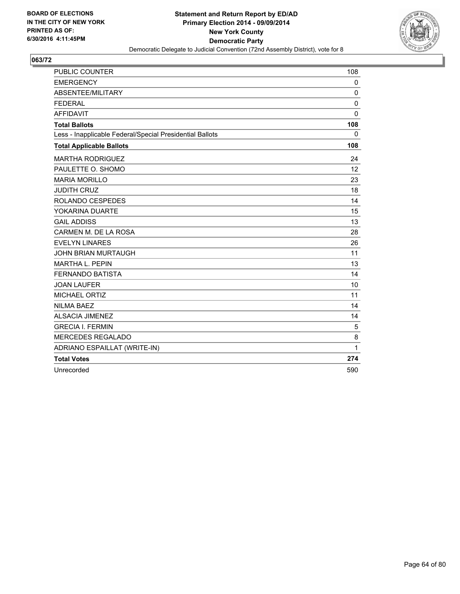

| <b>PUBLIC COUNTER</b>                                    | 108          |
|----------------------------------------------------------|--------------|
| <b>EMERGENCY</b>                                         | 0            |
| ABSENTEE/MILITARY                                        | 0            |
| <b>FEDERAL</b>                                           | 0            |
| <b>AFFIDAVIT</b>                                         | $\mathbf{0}$ |
| <b>Total Ballots</b>                                     | 108          |
| Less - Inapplicable Federal/Special Presidential Ballots | 0            |
| <b>Total Applicable Ballots</b>                          | 108          |
| <b>MARTHA RODRIGUEZ</b>                                  | 24           |
| PAULETTE O. SHOMO                                        | 12           |
| <b>MARIA MORILLO</b>                                     | 23           |
| <b>JUDITH CRUZ</b>                                       | 18           |
| ROLANDO CESPEDES                                         | 14           |
| YOKARINA DUARTE                                          | 15           |
| <b>GAIL ADDISS</b>                                       | 13           |
| CARMEN M. DE LA ROSA                                     | 28           |
| <b>EVELYN LINARES</b>                                    | 26           |
| <b>JOHN BRIAN MURTAUGH</b>                               | 11           |
| <b>MARTHA L. PEPIN</b>                                   | 13           |
| <b>FERNANDO BATISTA</b>                                  | 14           |
| <b>JOAN LAUFER</b>                                       | 10           |
| <b>MICHAEL ORTIZ</b>                                     | 11           |
| <b>NILMA BAEZ</b>                                        | 14           |
| <b>ALSACIA JIMENEZ</b>                                   | 14           |
| <b>GRECIA I. FERMIN</b>                                  | 5            |
| <b>MERCEDES REGALADO</b>                                 | 8            |
| ADRIANO ESPAILLAT (WRITE-IN)                             | $\mathbf{1}$ |
| <b>Total Votes</b>                                       | 274          |
| Unrecorded                                               | 590          |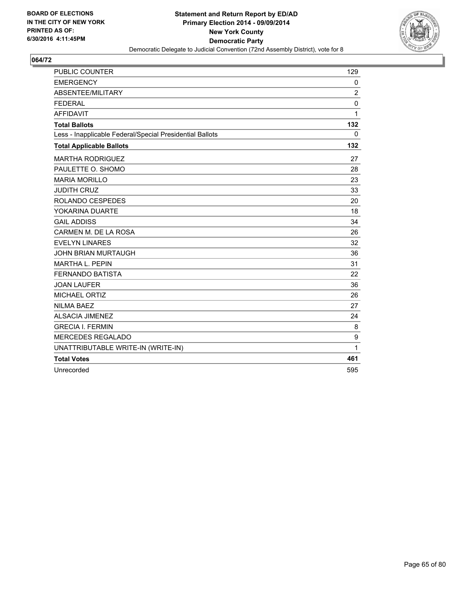

| <b>PUBLIC COUNTER</b>                                    | 129          |
|----------------------------------------------------------|--------------|
| <b>EMERGENCY</b>                                         | $\mathbf{0}$ |
| ABSENTEE/MILITARY                                        | 2            |
| <b>FEDERAL</b>                                           | 0            |
| <b>AFFIDAVIT</b>                                         | 1            |
| <b>Total Ballots</b>                                     | 132          |
| Less - Inapplicable Federal/Special Presidential Ballots | $\mathbf{0}$ |
| <b>Total Applicable Ballots</b>                          | 132          |
| <b>MARTHA RODRIGUEZ</b>                                  | 27           |
| PAULETTE O. SHOMO                                        | 28           |
| <b>MARIA MORILLO</b>                                     | 23           |
| <b>JUDITH CRUZ</b>                                       | 33           |
| <b>ROLANDO CESPEDES</b>                                  | 20           |
| YOKARINA DUARTE                                          | 18           |
| <b>GAIL ADDISS</b>                                       | 34           |
| CARMEN M. DE LA ROSA                                     | 26           |
| <b>EVELYN LINARES</b>                                    | 32           |
| <b>JOHN BRIAN MURTAUGH</b>                               | 36           |
| <b>MARTHA L. PEPIN</b>                                   | 31           |
| <b>FERNANDO BATISTA</b>                                  | 22           |
| <b>JOAN LAUFER</b>                                       | 36           |
| <b>MICHAEL ORTIZ</b>                                     | 26           |
| <b>NILMA BAEZ</b>                                        | 27           |
| <b>ALSACIA JIMENEZ</b>                                   | 24           |
| <b>GRECIA I. FERMIN</b>                                  | 8            |
| <b>MERCEDES REGALADO</b>                                 | 9            |
| UNATTRIBUTABLE WRITE-IN (WRITE-IN)                       | 1            |
| <b>Total Votes</b>                                       | 461          |
| Unrecorded                                               | 595          |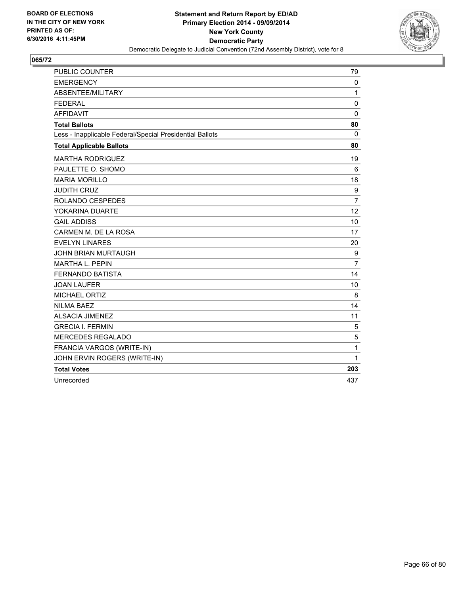

| <b>PUBLIC COUNTER</b>                                    | 79             |
|----------------------------------------------------------|----------------|
| <b>EMERGENCY</b>                                         | 0              |
| ABSENTEE/MILITARY                                        | 1              |
| <b>FEDERAL</b>                                           | $\mathbf 0$    |
| <b>AFFIDAVIT</b>                                         | $\mathbf 0$    |
| <b>Total Ballots</b>                                     | 80             |
| Less - Inapplicable Federal/Special Presidential Ballots | $\Omega$       |
| <b>Total Applicable Ballots</b>                          | 80             |
| <b>MARTHA RODRIGUEZ</b>                                  | 19             |
| PAULETTE O. SHOMO                                        | 6              |
| <b>MARIA MORILLO</b>                                     | 18             |
| <b>JUDITH CRUZ</b>                                       | 9              |
| ROLANDO CESPEDES                                         | $\overline{7}$ |
| YOKARINA DUARTE                                          | 12             |
| <b>GAIL ADDISS</b>                                       | 10             |
| CARMEN M. DE LA ROSA                                     | 17             |
| <b>EVELYN LINARES</b>                                    | 20             |
| <b>JOHN BRIAN MURTAUGH</b>                               | 9              |
| <b>MARTHA L. PEPIN</b>                                   | $\overline{7}$ |
| <b>FERNANDO BATISTA</b>                                  | 14             |
| <b>JOAN LAUFER</b>                                       | 10             |
| <b>MICHAEL ORTIZ</b>                                     | 8              |
| <b>NILMA BAEZ</b>                                        | 14             |
| <b>ALSACIA JIMENEZ</b>                                   | 11             |
| <b>GRECIA I. FERMIN</b>                                  | 5              |
| <b>MERCEDES REGALADO</b>                                 | 5              |
| FRANCIA VARGOS (WRITE-IN)                                | 1              |
| JOHN ERVIN ROGERS (WRITE-IN)                             | 1              |
| <b>Total Votes</b>                                       | 203            |
| Unrecorded                                               | 437            |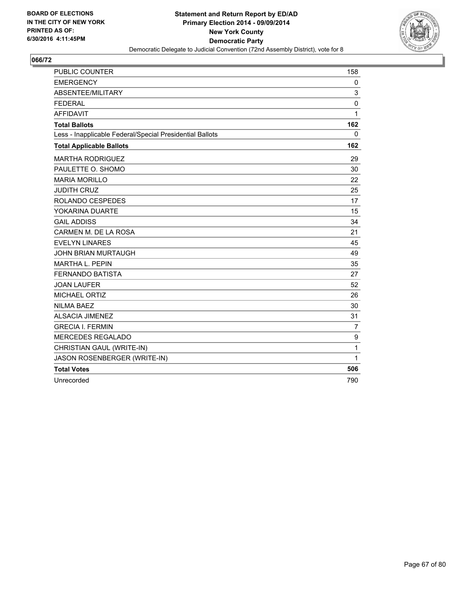

| <b>PUBLIC COUNTER</b>                                    | 158              |
|----------------------------------------------------------|------------------|
| <b>EMERGENCY</b>                                         | 0                |
| ABSENTEE/MILITARY                                        | 3                |
| <b>FEDERAL</b>                                           | $\mathbf 0$      |
| <b>AFFIDAVIT</b>                                         | 1                |
| <b>Total Ballots</b>                                     | 162              |
| Less - Inapplicable Federal/Special Presidential Ballots | 0                |
| <b>Total Applicable Ballots</b>                          | 162              |
| <b>MARTHA RODRIGUEZ</b>                                  | 29               |
| PAULETTE O. SHOMO                                        | 30               |
| <b>MARIA MORILLO</b>                                     | 22               |
| <b>JUDITH CRUZ</b>                                       | 25               |
| ROLANDO CESPEDES                                         | 17               |
| YOKARINA DUARTE                                          | 15               |
| <b>GAIL ADDISS</b>                                       | 34               |
| CARMEN M. DE LA ROSA                                     | 21               |
| <b>EVELYN LINARES</b>                                    | 45               |
| <b>JOHN BRIAN MURTAUGH</b>                               | 49               |
| <b>MARTHA L. PEPIN</b>                                   | 35               |
| <b>FERNANDO BATISTA</b>                                  | 27               |
| <b>JOAN LAUFER</b>                                       | 52               |
| MICHAEL ORTIZ                                            | 26               |
| <b>NILMA BAEZ</b>                                        | 30               |
| <b>ALSACIA JIMENEZ</b>                                   | 31               |
| <b>GRECIA I. FERMIN</b>                                  | 7                |
| <b>MERCEDES REGALADO</b>                                 | $\boldsymbol{9}$ |
| CHRISTIAN GAUL (WRITE-IN)                                | 1                |
| JASON ROSENBERGER (WRITE-IN)                             | 1                |
| <b>Total Votes</b>                                       | 506              |
| Unrecorded                                               | 790              |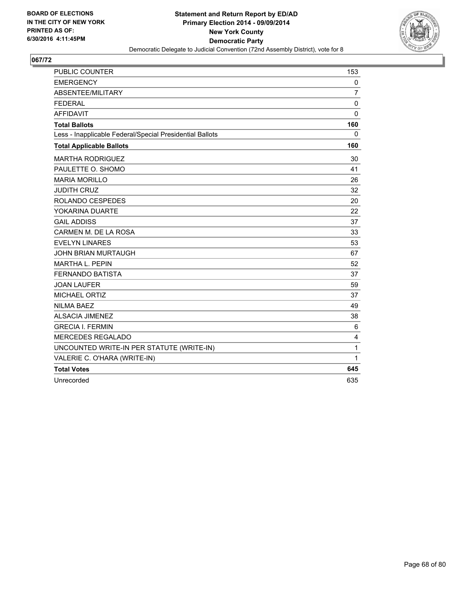

| <b>PUBLIC COUNTER</b>                                    | 153         |
|----------------------------------------------------------|-------------|
| <b>EMERGENCY</b>                                         | 0           |
| ABSENTEE/MILITARY                                        | 7           |
| <b>FEDERAL</b>                                           | $\mathbf 0$ |
| <b>AFFIDAVIT</b>                                         | 0           |
| <b>Total Ballots</b>                                     | 160         |
| Less - Inapplicable Federal/Special Presidential Ballots | 0           |
| <b>Total Applicable Ballots</b>                          | 160         |
| <b>MARTHA RODRIGUEZ</b>                                  | 30          |
| PAULETTE O. SHOMO                                        | 41          |
| <b>MARIA MORILLO</b>                                     | 26          |
| <b>JUDITH CRUZ</b>                                       | 32          |
| ROLANDO CESPEDES                                         | 20          |
| YOKARINA DUARTE                                          | 22          |
| <b>GAIL ADDISS</b>                                       | 37          |
| CARMEN M. DE LA ROSA                                     | 33          |
| <b>EVELYN LINARES</b>                                    | 53          |
| <b>JOHN BRIAN MURTAUGH</b>                               | 67          |
| <b>MARTHA L. PEPIN</b>                                   | 52          |
| <b>FERNANDO BATISTA</b>                                  | 37          |
| <b>JOAN LAUFER</b>                                       | 59          |
| <b>MICHAEL ORTIZ</b>                                     | 37          |
| <b>NILMA BAEZ</b>                                        | 49          |
| <b>ALSACIA JIMENEZ</b>                                   | 38          |
| <b>GRECIA I. FERMIN</b>                                  | 6           |
| MERCEDES REGALADO                                        | 4           |
| UNCOUNTED WRITE-IN PER STATUTE (WRITE-IN)                | 1           |
| VALERIE C. O'HARA (WRITE-IN)                             | 1           |
| <b>Total Votes</b>                                       | 645         |
| Unrecorded                                               | 635         |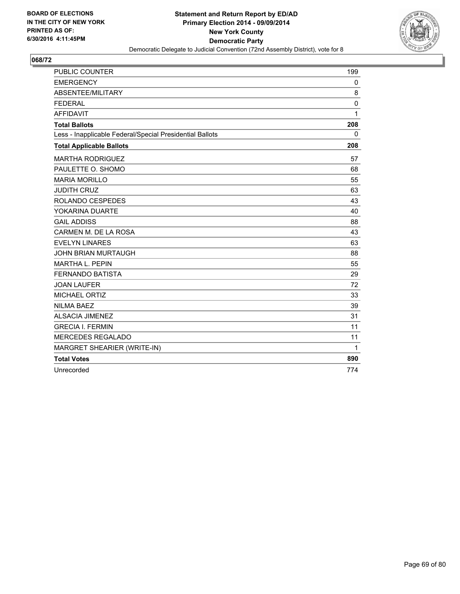

| <b>PUBLIC COUNTER</b>                                    | 199          |
|----------------------------------------------------------|--------------|
| <b>EMERGENCY</b>                                         | $\mathbf{0}$ |
| ABSENTEE/MILITARY                                        | 8            |
| <b>FEDERAL</b>                                           | 0            |
| <b>AFFIDAVIT</b>                                         | 1            |
| <b>Total Ballots</b>                                     | 208          |
| Less - Inapplicable Federal/Special Presidential Ballots | $\mathbf{0}$ |
| <b>Total Applicable Ballots</b>                          | 208          |
| <b>MARTHA RODRIGUEZ</b>                                  | 57           |
| PAULETTE O. SHOMO                                        | 68           |
| <b>MARIA MORILLO</b>                                     | 55           |
| <b>JUDITH CRUZ</b>                                       | 63           |
| ROLANDO CESPEDES                                         | 43           |
| YOKARINA DUARTE                                          | 40           |
| <b>GAIL ADDISS</b>                                       | 88           |
| CARMEN M. DE LA ROSA                                     | 43           |
| <b>EVELYN LINARES</b>                                    | 63           |
| <b>JOHN BRIAN MURTAUGH</b>                               | 88           |
| <b>MARTHA L. PEPIN</b>                                   | 55           |
| <b>FERNANDO BATISTA</b>                                  | 29           |
| <b>JOAN LAUFER</b>                                       | 72           |
| <b>MICHAEL ORTIZ</b>                                     | 33           |
| <b>NILMA BAEZ</b>                                        | 39           |
| <b>ALSACIA JIMENEZ</b>                                   | 31           |
| <b>GRECIA I. FERMIN</b>                                  | 11           |
| <b>MERCEDES REGALADO</b>                                 | 11           |
| MARGRET SHEARIER (WRITE-IN)                              | $\mathbf{1}$ |
| <b>Total Votes</b>                                       | 890          |
| Unrecorded                                               | 774          |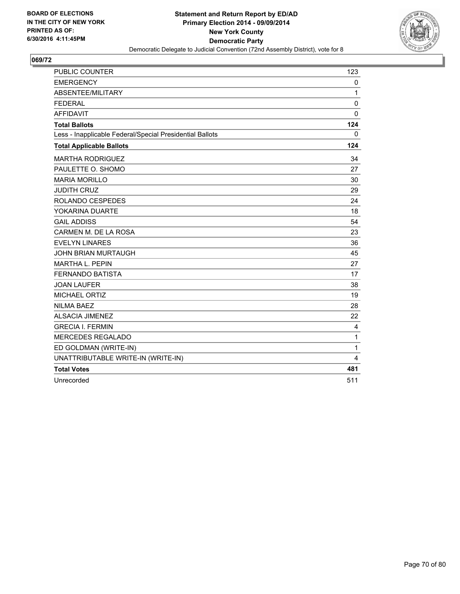

| <b>PUBLIC COUNTER</b>                                    | 123          |
|----------------------------------------------------------|--------------|
| <b>EMERGENCY</b>                                         | 0            |
| ABSENTEE/MILITARY                                        | 1            |
| <b>FEDERAL</b>                                           | $\mathbf 0$  |
| <b>AFFIDAVIT</b>                                         | 0            |
| <b>Total Ballots</b>                                     | 124          |
| Less - Inapplicable Federal/Special Presidential Ballots | 0            |
| <b>Total Applicable Ballots</b>                          | 124          |
| <b>MARTHA RODRIGUEZ</b>                                  | 34           |
| PAULETTE O. SHOMO                                        | 27           |
| <b>MARIA MORILLO</b>                                     | 30           |
| <b>JUDITH CRUZ</b>                                       | 29           |
| ROLANDO CESPEDES                                         | 24           |
| YOKARINA DUARTE                                          | 18           |
| <b>GAIL ADDISS</b>                                       | 54           |
| CARMEN M. DE LA ROSA                                     | 23           |
| <b>EVELYN LINARES</b>                                    | 36           |
| <b>JOHN BRIAN MURTAUGH</b>                               | 45           |
| <b>MARTHA L. PEPIN</b>                                   | 27           |
| <b>FERNANDO BATISTA</b>                                  | 17           |
| <b>JOAN LAUFER</b>                                       | 38           |
| <b>MICHAEL ORTIZ</b>                                     | 19           |
| <b>NILMA BAEZ</b>                                        | 28           |
| <b>ALSACIA JIMENEZ</b>                                   | 22           |
| <b>GRECIA I. FERMIN</b>                                  | 4            |
| <b>MERCEDES REGALADO</b>                                 | $\mathbf{1}$ |
| ED GOLDMAN (WRITE-IN)                                    | $\mathbf{1}$ |
| UNATTRIBUTABLE WRITE-IN (WRITE-IN)                       | 4            |
| <b>Total Votes</b>                                       | 481          |
| Unrecorded                                               | 511          |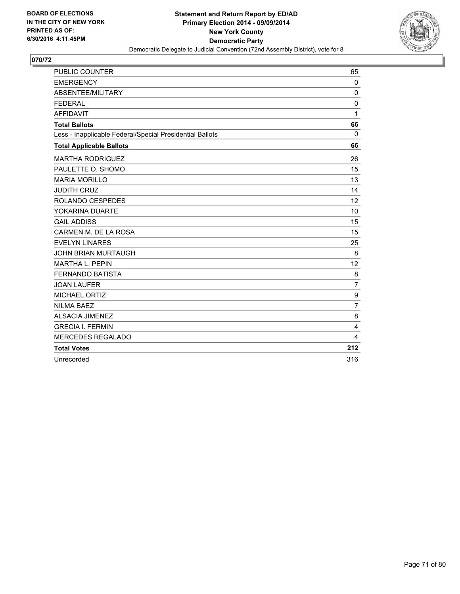

| <b>PUBLIC COUNTER</b>                                    | 65               |
|----------------------------------------------------------|------------------|
| <b>EMERGENCY</b>                                         | $\mathbf 0$      |
| ABSENTEE/MILITARY                                        | $\mathbf 0$      |
| <b>FEDERAL</b>                                           | 0                |
| <b>AFFIDAVIT</b>                                         | $\mathbf{1}$     |
| <b>Total Ballots</b>                                     | 66               |
| Less - Inapplicable Federal/Special Presidential Ballots | $\Omega$         |
| <b>Total Applicable Ballots</b>                          | 66               |
| <b>MARTHA RODRIGUEZ</b>                                  | 26               |
| PAULETTE O. SHOMO                                        | 15               |
| <b>MARIA MORILLO</b>                                     | 13               |
| <b>JUDITH CRUZ</b>                                       | 14               |
| ROLANDO CESPEDES                                         | 12               |
| YOKARINA DUARTE                                          | 10               |
| <b>GAIL ADDISS</b>                                       | 15               |
| CARMEN M. DE LA ROSA                                     | 15               |
| <b>EVELYN LINARES</b>                                    | 25               |
| <b>JOHN BRIAN MURTAUGH</b>                               | 8                |
| <b>MARTHA L. PEPIN</b>                                   | 12               |
| <b>FERNANDO BATISTA</b>                                  | 8                |
| <b>JOAN LAUFER</b>                                       | $\overline{7}$   |
| <b>MICHAEL ORTIZ</b>                                     | $\boldsymbol{9}$ |
| <b>NILMA BAEZ</b>                                        | $\overline{7}$   |
| <b>ALSACIA JIMENEZ</b>                                   | 8                |
| <b>GRECIA I. FERMIN</b>                                  | 4                |
| <b>MERCEDES REGALADO</b>                                 | 4                |
| <b>Total Votes</b>                                       | 212              |
| Unrecorded                                               | 316              |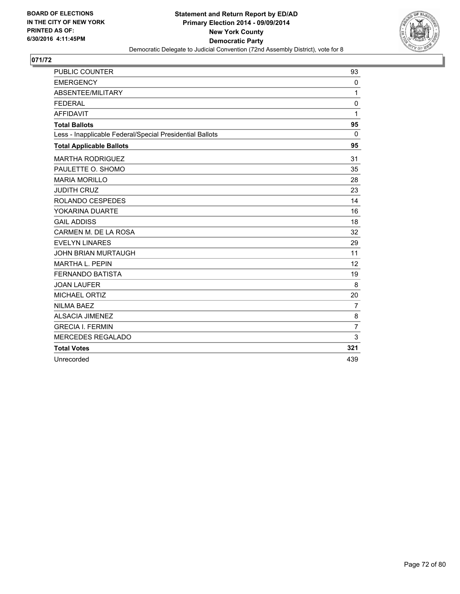

| <b>PUBLIC COUNTER</b>                                    | 93             |
|----------------------------------------------------------|----------------|
| <b>EMERGENCY</b>                                         | 0              |
| ABSENTEE/MILITARY                                        | 1              |
| <b>FEDERAL</b>                                           | $\mathbf 0$    |
| <b>AFFIDAVIT</b>                                         | 1              |
| <b>Total Ballots</b>                                     | 95             |
| Less - Inapplicable Federal/Special Presidential Ballots | $\mathbf{0}$   |
| <b>Total Applicable Ballots</b>                          | 95             |
| <b>MARTHA RODRIGUEZ</b>                                  | 31             |
| PAULETTE O. SHOMO                                        | 35             |
| <b>MARIA MORILLO</b>                                     | 28             |
| <b>JUDITH CRUZ</b>                                       | 23             |
| ROLANDO CESPEDES                                         | 14             |
| YOKARINA DUARTE                                          | 16             |
| <b>GAIL ADDISS</b>                                       | 18             |
| CARMEN M. DE LA ROSA                                     | 32             |
| <b>EVELYN LINARES</b>                                    | 29             |
| <b>JOHN BRIAN MURTAUGH</b>                               | 11             |
| <b>MARTHA L. PEPIN</b>                                   | 12             |
| <b>FERNANDO BATISTA</b>                                  | 19             |
| <b>JOAN LAUFER</b>                                       | 8              |
| <b>MICHAEL ORTIZ</b>                                     | 20             |
| <b>NILMA BAEZ</b>                                        | $\overline{7}$ |
| <b>ALSACIA JIMENEZ</b>                                   | 8              |
| <b>GRECIA I. FERMIN</b>                                  | $\overline{7}$ |
| <b>MERCEDES REGALADO</b>                                 | 3              |
| <b>Total Votes</b>                                       | 321            |
| Unrecorded                                               | 439            |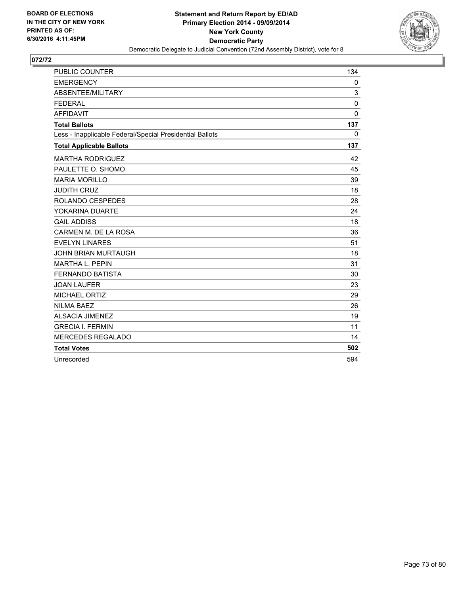

| PUBLIC COUNTER                                           | 134          |
|----------------------------------------------------------|--------------|
| <b>EMERGENCY</b>                                         | 0            |
| ABSENTEE/MILITARY                                        | 3            |
| <b>FEDERAL</b>                                           | $\mathbf 0$  |
| <b>AFFIDAVIT</b>                                         | 0            |
| <b>Total Ballots</b>                                     | 137          |
| Less - Inapplicable Federal/Special Presidential Ballots | $\mathbf{0}$ |
| <b>Total Applicable Ballots</b>                          | 137          |
| <b>MARTHA RODRIGUEZ</b>                                  | 42           |
| PAULETTE O. SHOMO                                        | 45           |
| <b>MARIA MORILLO</b>                                     | 39           |
| <b>JUDITH CRUZ</b>                                       | 18           |
| ROLANDO CESPEDES                                         | 28           |
| YOKARINA DUARTE                                          | 24           |
| <b>GAIL ADDISS</b>                                       | 18           |
| CARMEN M. DE LA ROSA                                     | 36           |
| <b>EVELYN LINARES</b>                                    | 51           |
| <b>JOHN BRIAN MURTAUGH</b>                               | 18           |
| <b>MARTHA L. PEPIN</b>                                   | 31           |
| <b>FERNANDO BATISTA</b>                                  | 30           |
| <b>JOAN LAUFER</b>                                       | 23           |
| MICHAEL ORTIZ                                            | 29           |
| <b>NILMA BAEZ</b>                                        | 26           |
| <b>ALSACIA JIMENEZ</b>                                   | 19           |
| <b>GRECIA I. FERMIN</b>                                  | 11           |
| <b>MERCEDES REGALADO</b>                                 | 14           |
| <b>Total Votes</b>                                       | 502          |
| Unrecorded                                               | 594          |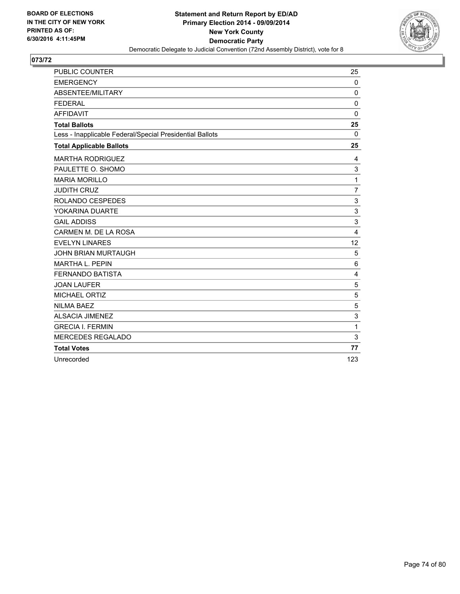

| <b>PUBLIC COUNTER</b>                                    | 25                      |
|----------------------------------------------------------|-------------------------|
| <b>EMERGENCY</b>                                         | $\mathbf 0$             |
| ABSENTEE/MILITARY                                        | $\Omega$                |
| <b>FEDERAL</b>                                           | $\mathbf 0$             |
| <b>AFFIDAVIT</b>                                         | $\Omega$                |
| <b>Total Ballots</b>                                     | 25                      |
| Less - Inapplicable Federal/Special Presidential Ballots | $\Omega$                |
| <b>Total Applicable Ballots</b>                          | 25                      |
| <b>MARTHA RODRIGUEZ</b>                                  | 4                       |
| PAULETTE O. SHOMO                                        | 3                       |
| <b>MARIA MORILLO</b>                                     | 1                       |
| <b>JUDITH CRUZ</b>                                       | $\overline{7}$          |
| ROLANDO CESPEDES                                         | 3                       |
| YOKARINA DUARTE                                          | 3                       |
| <b>GAIL ADDISS</b>                                       | 3                       |
| CARMEN M. DE LA ROSA                                     | $\overline{\mathbf{4}}$ |
| <b>EVELYN LINARES</b>                                    | 12                      |
| <b>JOHN BRIAN MURTAUGH</b>                               | 5                       |
| <b>MARTHA L. PEPIN</b>                                   | 6                       |
| <b>FERNANDO BATISTA</b>                                  | 4                       |
| <b>JOAN LAUFER</b>                                       | 5                       |
| MICHAEL ORTIZ                                            | 5                       |
| <b>NILMA BAEZ</b>                                        | 5                       |
| <b>ALSACIA JIMENEZ</b>                                   | 3                       |
| <b>GRECIA I. FERMIN</b>                                  | 1                       |
| <b>MERCEDES REGALADO</b>                                 | 3                       |
| <b>Total Votes</b>                                       | 77                      |
| Unrecorded                                               | 123                     |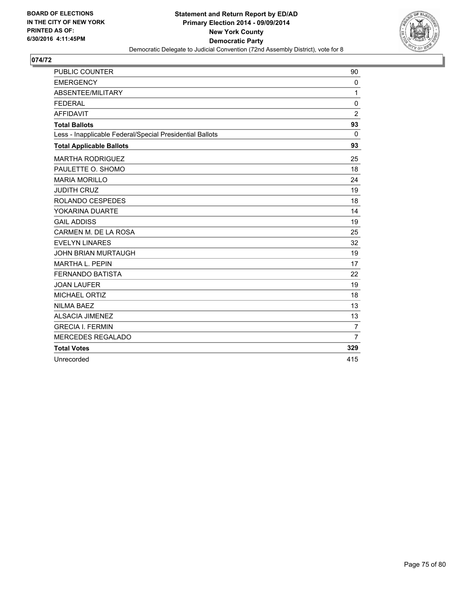

| <b>PUBLIC COUNTER</b>                                    | 90             |
|----------------------------------------------------------|----------------|
| <b>EMERGENCY</b>                                         | 0              |
| ABSENTEE/MILITARY                                        | 1              |
| <b>FEDERAL</b>                                           | 0              |
| <b>AFFIDAVIT</b>                                         | $\overline{2}$ |
| <b>Total Ballots</b>                                     | 93             |
| Less - Inapplicable Federal/Special Presidential Ballots | $\Omega$       |
| <b>Total Applicable Ballots</b>                          | 93             |
| <b>MARTHA RODRIGUEZ</b>                                  | 25             |
| PAULETTE O. SHOMO                                        | 18             |
| <b>MARIA MORILLO</b>                                     | 24             |
| <b>JUDITH CRUZ</b>                                       | 19             |
| ROLANDO CESPEDES                                         | 18             |
| YOKARINA DUARTE                                          | 14             |
| <b>GAIL ADDISS</b>                                       | 19             |
| CARMEN M. DE LA ROSA                                     | 25             |
| <b>EVELYN LINARES</b>                                    | 32             |
| <b>JOHN BRIAN MURTAUGH</b>                               | 19             |
| <b>MARTHA L. PEPIN</b>                                   | 17             |
| <b>FERNANDO BATISTA</b>                                  | 22             |
| <b>JOAN LAUFER</b>                                       | 19             |
| <b>MICHAEL ORTIZ</b>                                     | 18             |
| <b>NILMA BAEZ</b>                                        | 13             |
| <b>ALSACIA JIMENEZ</b>                                   | 13             |
| <b>GRECIA I. FERMIN</b>                                  | $\overline{7}$ |
| <b>MERCEDES REGALADO</b>                                 | $\overline{7}$ |
| <b>Total Votes</b>                                       | 329            |
| Unrecorded                                               | 415            |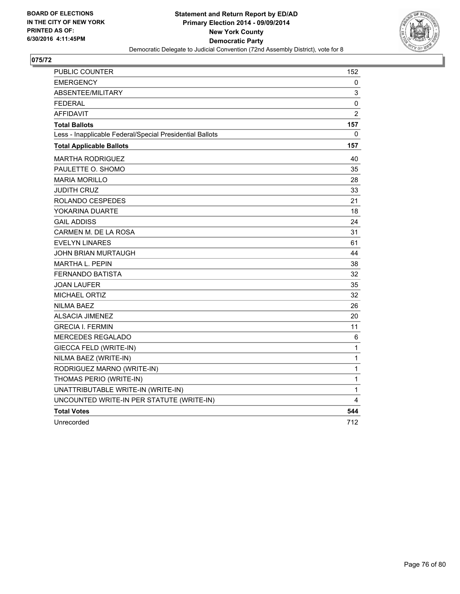

| <b>PUBLIC COUNTER</b>                                    | 152            |
|----------------------------------------------------------|----------------|
| EMERGENCY                                                | 0              |
| <b>ABSENTEE/MILITARY</b>                                 | 3              |
| <b>FEDERAL</b>                                           | 0              |
| <b>AFFIDAVIT</b>                                         | $\overline{2}$ |
| <b>Total Ballots</b>                                     | 157            |
| Less - Inapplicable Federal/Special Presidential Ballots | 0              |
| <b>Total Applicable Ballots</b>                          | 157            |
| MARTHA RODRIGUEZ                                         | 40             |
| PAULETTE O. SHOMO                                        | 35             |
| <b>MARIA MORILLO</b>                                     | 28             |
| <b>JUDITH CRUZ</b>                                       | 33             |
| ROLANDO CESPEDES                                         | 21             |
| YOKARINA DUARTE                                          | 18             |
| <b>GAIL ADDISS</b>                                       | 24             |
| CARMEN M. DE LA ROSA                                     | 31             |
| <b>EVELYN LINARES</b>                                    | 61             |
| <b>JOHN BRIAN MURTAUGH</b>                               | 44             |
| <b>MARTHA L. PEPIN</b>                                   | 38             |
| <b>FERNANDO BATISTA</b>                                  | 32             |
| <b>JOAN LAUFER</b>                                       | 35             |
| <b>MICHAEL ORTIZ</b>                                     | 32             |
| <b>NILMA BAEZ</b>                                        | 26             |
| <b>ALSACIA JIMENEZ</b>                                   | 20             |
| <b>GRECIA I. FERMIN</b>                                  | 11             |
| MERCEDES REGALADO                                        | 6              |
| GIECCA FELD (WRITE-IN)                                   | 1              |
| NILMA BAEZ (WRITE-IN)                                    | 1              |
| RODRIGUEZ MARNO (WRITE-IN)                               | 1              |
| THOMAS PERIO (WRITE-IN)                                  | 1              |
| UNATTRIBUTABLE WRITE-IN (WRITE-IN)                       | 1              |
| UNCOUNTED WRITE-IN PER STATUTE (WRITE-IN)                | 4              |
| <b>Total Votes</b>                                       | 544            |
| Unrecorded                                               | 712            |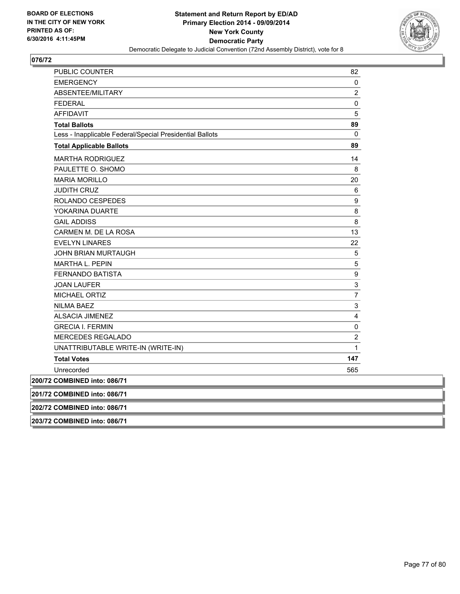

| <b>PUBLIC COUNTER</b>                                    | 82                      |
|----------------------------------------------------------|-------------------------|
| <b>EMERGENCY</b>                                         | 0                       |
| ABSENTEE/MILITARY                                        | $\overline{2}$          |
| <b>FEDERAL</b>                                           | 0                       |
| <b>AFFIDAVIT</b>                                         | 5                       |
| <b>Total Ballots</b>                                     | 89                      |
| Less - Inapplicable Federal/Special Presidential Ballots | 0                       |
| <b>Total Applicable Ballots</b>                          | 89                      |
| <b>MARTHA RODRIGUEZ</b>                                  | 14                      |
| PAULETTE O. SHOMO                                        | 8                       |
| <b>MARIA MORILLO</b>                                     | 20                      |
| <b>JUDITH CRUZ</b>                                       | 6                       |
| ROLANDO CESPEDES                                         | 9                       |
| YOKARINA DUARTE                                          | 8                       |
| <b>GAIL ADDISS</b>                                       | 8                       |
| CARMEN M. DE LA ROSA                                     | 13                      |
| <b>EVELYN LINARES</b>                                    | 22                      |
| JOHN BRIAN MURTAUGH                                      | 5                       |
| <b>MARTHA L. PEPIN</b>                                   | 5                       |
| <b>FERNANDO BATISTA</b>                                  | 9                       |
| <b>JOAN LAUFER</b>                                       | 3                       |
| <b>MICHAEL ORTIZ</b>                                     | $\overline{7}$          |
| <b>NILMA BAEZ</b>                                        | 3                       |
| <b>ALSACIA JIMENEZ</b>                                   | 4                       |
| <b>GRECIA I. FERMIN</b>                                  | 0                       |
| <b>MERCEDES REGALADO</b>                                 | $\overline{\mathbf{c}}$ |
| UNATTRIBUTABLE WRITE-IN (WRITE-IN)                       | 1                       |
| <b>Total Votes</b>                                       | 147                     |
| Unrecorded                                               | 565                     |
| 200/72 COMBINED into: 086/71                             |                         |
| 201/72 COMBINED into: 086/71                             |                         |
| 202/72 COMBINED into: 086/71                             |                         |

**203/72 COMBINED into: 086/71**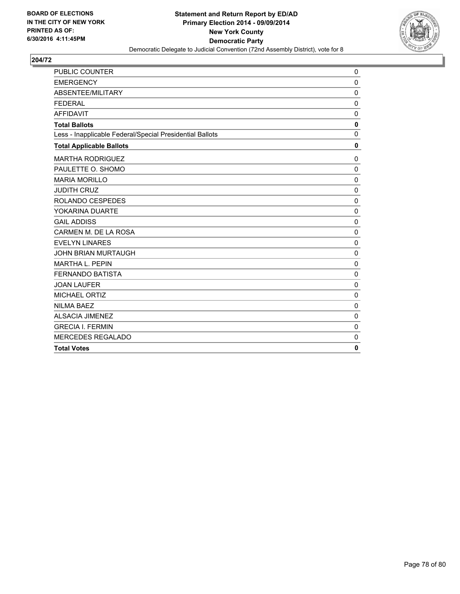

| PUBLIC COUNTER                                           | 0            |
|----------------------------------------------------------|--------------|
| <b>EMERGENCY</b>                                         | $\mathbf 0$  |
| ABSENTEE/MILITARY                                        | $\mathbf 0$  |
| <b>FEDERAL</b>                                           | 0            |
| <b>AFFIDAVIT</b>                                         | $\mathbf 0$  |
| <b>Total Ballots</b>                                     | 0            |
| Less - Inapplicable Federal/Special Presidential Ballots | 0            |
| <b>Total Applicable Ballots</b>                          | $\mathbf 0$  |
| <b>MARTHA RODRIGUEZ</b>                                  | 0            |
| PAULETTE O. SHOMO                                        | $\mathbf 0$  |
| <b>MARIA MORILLO</b>                                     | $\mathbf 0$  |
| <b>JUDITH CRUZ</b>                                       | 0            |
| ROLANDO CESPEDES                                         | 0            |
| YOKARINA DUARTE                                          | $\mathbf 0$  |
| <b>GAIL ADDISS</b>                                       | $\mathbf 0$  |
| CARMEN M. DE LA ROSA                                     | $\mathbf 0$  |
| <b>EVELYN LINARES</b>                                    | $\mathbf 0$  |
| <b>JOHN BRIAN MURTAUGH</b>                               | $\mathbf 0$  |
| <b>MARTHA L. PEPIN</b>                                   | $\mathbf 0$  |
| <b>FERNANDO BATISTA</b>                                  | 0            |
| <b>JOAN LAUFER</b>                                       | $\mathbf 0$  |
| <b>MICHAEL ORTIZ</b>                                     | $\mathbf 0$  |
| <b>NILMA BAEZ</b>                                        | $\mathbf 0$  |
| <b>ALSACIA JIMENEZ</b>                                   | $\mathbf 0$  |
| <b>GRECIA I. FERMIN</b>                                  | $\Omega$     |
| MERCEDES REGALADO                                        | $\mathbf{0}$ |
| <b>Total Votes</b>                                       | $\mathbf{0}$ |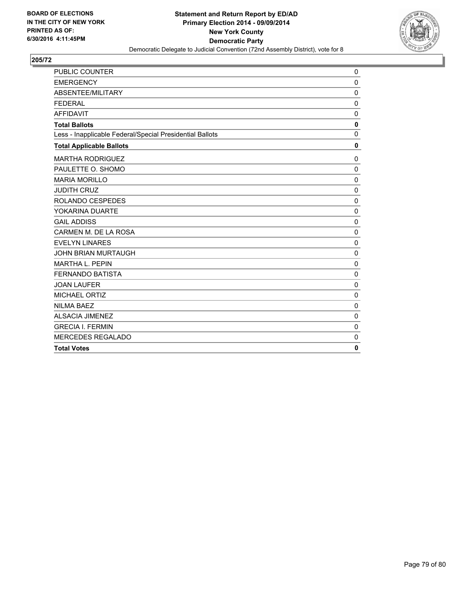

| PUBLIC COUNTER                                           | 0            |
|----------------------------------------------------------|--------------|
| <b>EMERGENCY</b>                                         | $\mathbf 0$  |
| ABSENTEE/MILITARY                                        | $\mathbf 0$  |
| <b>FEDERAL</b>                                           | 0            |
| <b>AFFIDAVIT</b>                                         | $\mathbf 0$  |
| <b>Total Ballots</b>                                     | $\mathbf 0$  |
| Less - Inapplicable Federal/Special Presidential Ballots | 0            |
| <b>Total Applicable Ballots</b>                          | $\mathbf 0$  |
| <b>MARTHA RODRIGUEZ</b>                                  | 0            |
| PAULETTE O. SHOMO                                        | $\mathbf 0$  |
| <b>MARIA MORILLO</b>                                     | $\mathbf 0$  |
| <b>JUDITH CRUZ</b>                                       | $\mathbf 0$  |
| ROLANDO CESPEDES                                         | $\mathbf 0$  |
| YOKARINA DUARTE                                          | $\mathbf 0$  |
| <b>GAIL ADDISS</b>                                       | $\mathbf 0$  |
| CARMEN M. DE LA ROSA                                     | $\mathbf 0$  |
| <b>EVELYN LINARES</b>                                    | $\mathbf 0$  |
| <b>JOHN BRIAN MURTAUGH</b>                               | $\mathbf 0$  |
| <b>MARTHA L. PEPIN</b>                                   | $\mathbf 0$  |
| <b>FERNANDO BATISTA</b>                                  | 0            |
| <b>JOAN LAUFER</b>                                       | $\mathbf 0$  |
| MICHAEL ORTIZ                                            | $\mathbf 0$  |
| <b>NILMA BAEZ</b>                                        | $\mathbf 0$  |
| <b>ALSACIA JIMENEZ</b>                                   | $\mathbf 0$  |
| <b>GRECIA I. FERMIN</b>                                  | $\mathbf 0$  |
| <b>MERCEDES REGALADO</b>                                 | 0            |
| <b>Total Votes</b>                                       | $\mathbf{0}$ |